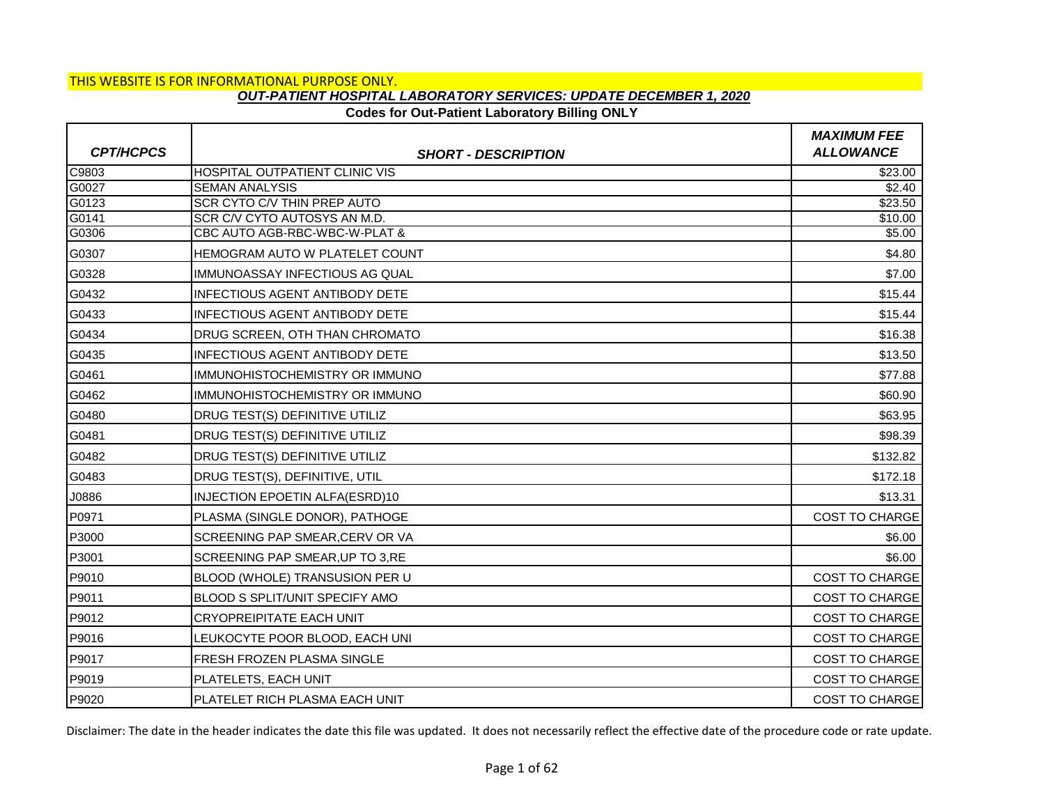## **Codes for Out-Patient Laboratory Billing ONLY**

|                  |                                                               | <b>MAXIMUM FEE</b>    |
|------------------|---------------------------------------------------------------|-----------------------|
| <b>CPT/HCPCS</b> | <b>SHORT - DESCRIPTION</b>                                    | <b>ALLOWANCE</b>      |
| C9803            | <b>HOSPITAL OUTPATIENT CLINIC VIS</b>                         | \$23.00               |
| G0027            | <b>SEMAN ANALYSIS</b>                                         | \$2.40                |
| G0123            | SCR CYTO C/V THIN PREP AUTO                                   | \$23.50               |
| G0141            | SCR C/V CYTO AUTOSYS AN M.D.<br>CBC AUTO AGB-RBC-WBC-W-PLAT & | \$10.00               |
| G0306            |                                                               | \$5.00                |
| G0307            | <b>IHEMOGRAM AUTO W PLATELET COUNT</b>                        | \$4.80                |
| G0328            | IMMUNOASSAY INFECTIOUS AG QUAL                                | \$7.00                |
| G0432            | <b>INFECTIOUS AGENT ANTIBODY DETE</b>                         | \$15.44               |
| G0433            | INFECTIOUS AGENT ANTIBODY DETE                                | \$15.44               |
| G0434            | DRUG SCREEN, OTH THAN CHROMATO                                | \$16.38               |
| G0435            | INFECTIOUS AGENT ANTIBODY DETE                                | \$13.50               |
| G0461            | IMMUNOHISTOCHEMISTRY OR IMMUNO                                | \$77.88               |
| G0462            | IMMUNOHISTOCHEMISTRY OR IMMUNO                                | \$60.90               |
| G0480            | DRUG TEST(S) DEFINITIVE UTILIZ                                | \$63.95               |
| G0481            | DRUG TEST(S) DEFINITIVE UTILIZ                                | \$98.39               |
| G0482            | DRUG TEST(S) DEFINITIVE UTILIZ                                | \$132.82              |
| G0483            | DRUG TEST(S), DEFINITIVE, UTIL                                | \$172.18              |
| J0886            | INJECTION EPOETIN ALFA(ESRD)10                                | \$13.31               |
| P0971            | PLASMA (SINGLE DONOR), PATHOGE                                | <b>COST TO CHARGE</b> |
| P3000            | <b>SCREENING PAP SMEAR, CERV OR VA</b>                        | \$6.00                |
| P3001            | SCREENING PAP SMEAR, UP TO 3, RE                              | \$6.00                |
| P9010            | BLOOD (WHOLE) TRANSUSION PER U                                | <b>COST TO CHARGE</b> |
| P9011            | BLOOD S SPLIT/UNIT SPECIFY AMO                                | COST TO CHARGE        |
| P9012            | <b>CRYOPREIPITATE EACH UNIT</b>                               | <b>COST TO CHARGE</b> |
| P9016            | LEUKOCYTE POOR BLOOD. EACH UNI                                | <b>COST TO CHARGE</b> |
| P9017            | <b>FRESH FROZEN PLASMA SINGLE</b>                             | <b>COST TO CHARGE</b> |
| P9019            | PLATELETS, EACH UNIT                                          | <b>COST TO CHARGE</b> |
| P9020            | PLATELET RICH PLASMA EACH UNIT                                | <b>COST TO CHARGE</b> |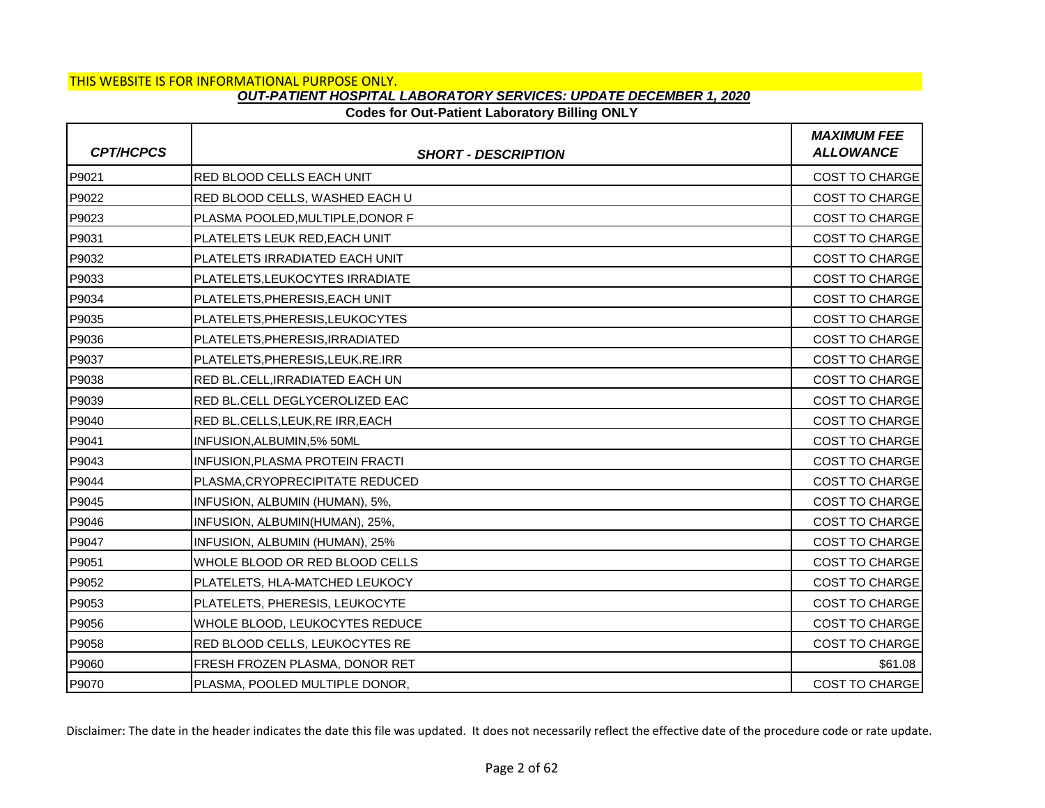## **Codes for Out-Patient Laboratory Billing ONLY**

| <b>CPT/HCPCS</b> | <b>SHORT - DESCRIPTION</b>       | <b>MAXIMUM FEE</b><br><b>ALLOWANCE</b> |
|------------------|----------------------------------|----------------------------------------|
| P9021            | RED BLOOD CELLS EACH UNIT        | <b>COST TO CHARGE</b>                  |
| P9022            | RED BLOOD CELLS, WASHED EACH U   | COST TO CHARGE                         |
| P9023            | PLASMA POOLED, MULTIPLE, DONOR F | <b>COST TO CHARGE</b>                  |
| P9031            | PLATELETS LEUK RED.EACH UNIT     | <b>COST TO CHARGE</b>                  |
| P9032            | PLATELETS IRRADIATED EACH UNIT   | COST TO CHARGE                         |
| P9033            | PLATELETS, LEUKOCYTES IRRADIATE  | <b>COST TO CHARGE</b>                  |
| P9034            | PLATELETS, PHERESIS, EACH UNIT   | <b>COST TO CHARGE</b>                  |
| P9035            | PLATELETS, PHERESIS, LEUKOCYTES  | <b>COST TO CHARGE</b>                  |
| P9036            | PLATELETS, PHERESIS, IRRADIATED  | <b>COST TO CHARGE</b>                  |
| P9037            | PLATELETS, PHERESIS, LEUK.RE.IRR | <b>COST TO CHARGE</b>                  |
| P9038            | RED BL.CELL, IRRADIATED EACH UN  | COST TO CHARGE                         |
| P9039            | RED BL.CELL DEGLYCEROLIZED EAC   | <b>COST TO CHARGE</b>                  |
| P9040            | RED BL.CELLS, LEUK, RE IRR, EACH | <b>COST TO CHARGE</b>                  |
| P9041            | INFUSION, ALBUMIN, 5% 50ML       | COST TO CHARGE                         |
| P9043            | INFUSION, PLASMA PROTEIN FRACTI  | <b>COST TO CHARGE</b>                  |
| P9044            | PLASMA, CRYOPRECIPITATE REDUCED  | <b>COST TO CHARGE</b>                  |
| P9045            | INFUSION, ALBUMIN (HUMAN), 5%,   | COST TO CHARGE                         |
| P9046            | INFUSION, ALBUMIN(HUMAN), 25%,   | <b>COST TO CHARGE</b>                  |
| P9047            | INFUSION, ALBUMIN (HUMAN), 25%   | <b>COST TO CHARGE</b>                  |
| P9051            | WHOLE BLOOD OR RED BLOOD CELLS   | COST TO CHARGE                         |
| P9052            | PLATELETS, HLA-MATCHED LEUKOCY   | <b>COST TO CHARGE</b>                  |
| P9053            | PLATELETS, PHERESIS, LEUKOCYTE   | <b>COST TO CHARGE</b>                  |
| P9056            | WHOLE BLOOD, LEUKOCYTES REDUCE   | COST TO CHARGE                         |
| P9058            | RED BLOOD CELLS, LEUKOCYTES RE   | <b>COST TO CHARGE</b>                  |
| P9060            | FRESH FROZEN PLASMA, DONOR RET   | \$61.08                                |
| P9070            | PLASMA, POOLED MULTIPLE DONOR,   | <b>COST TO CHARGE</b>                  |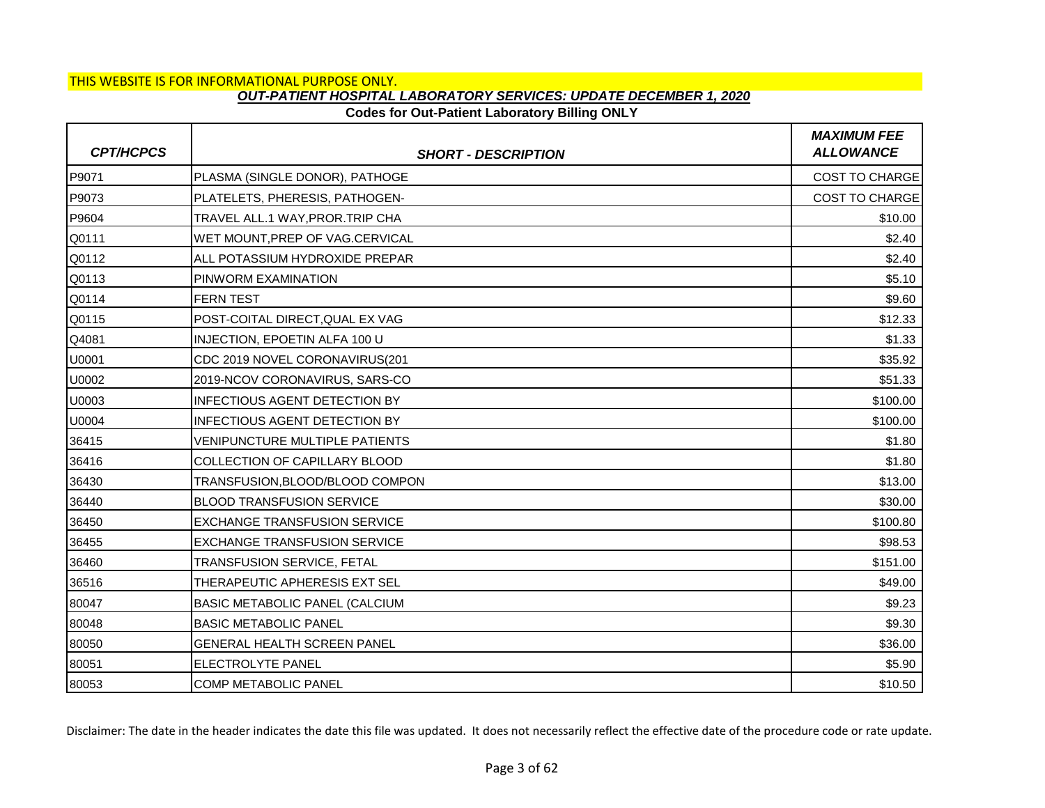# **Codes for Out-Patient Laboratory Billing ONLY**

| <b>CPT/HCPCS</b> | <b>SHORT - DESCRIPTION</b>            | <b>MAXIMUM FEE</b><br><b>ALLOWANCE</b> |
|------------------|---------------------------------------|----------------------------------------|
| P9071            | PLASMA (SINGLE DONOR), PATHOGE        | <b>COST TO CHARGE</b>                  |
| P9073            | PLATELETS, PHERESIS, PATHOGEN-        | <b>COST TO CHARGE</b>                  |
| P9604            | TRAVEL ALL.1 WAY, PROR. TRIP CHA      | \$10.00                                |
| Q0111            | WET MOUNT, PREP OF VAG.CERVICAL       | \$2.40                                 |
| Q0112            | ALL POTASSIUM HYDROXIDE PREPAR        | \$2.40                                 |
| Q0113            | PINWORM EXAMINATION                   | \$5.10                                 |
| Q0114            | <b>FERN TEST</b>                      | \$9.60                                 |
| Q0115            | POST-COITAL DIRECT, QUAL EX VAG       | \$12.33                                |
| Q4081            | INJECTION, EPOETIN ALFA 100 U         | \$1.33                                 |
| U0001            | CDC 2019 NOVEL CORONAVIRUS(201        | \$35.92                                |
| U0002            | 2019-NCOV CORONAVIRUS, SARS-CO        | \$51.33                                |
| U0003            | <b>INFECTIOUS AGENT DETECTION BY</b>  | \$100.00                               |
| U0004            | <b>INFECTIOUS AGENT DETECTION BY</b>  | \$100.00                               |
| 36415            | <b>VENIPUNCTURE MULTIPLE PATIENTS</b> | \$1.80                                 |
| 36416            | COLLECTION OF CAPILLARY BLOOD         | \$1.80                                 |
| 36430            | TRANSFUSION,BLOOD/BLOOD COMPON        | \$13.00                                |
| 36440            | <b>BLOOD TRANSFUSION SERVICE</b>      | \$30.00                                |
| 36450            | <b>EXCHANGE TRANSFUSION SERVICE</b>   | \$100.80                               |
| 36455            | <b>EXCHANGE TRANSFUSION SERVICE</b>   | \$98.53                                |
| 36460            | TRANSFUSION SERVICE, FETAL            | \$151.00                               |
| 36516            | THERAPEUTIC APHERESIS EXT SEL         | \$49.00                                |
| 80047            | BASIC METABOLIC PANEL (CALCIUM        | \$9.23                                 |
| 80048            | <b>BASIC METABOLIC PANEL</b>          | \$9.30                                 |
| 80050            | <b>GENERAL HEALTH SCREEN PANEL</b>    | \$36.00                                |
| 80051            | ELECTROLYTE PANEL                     | \$5.90                                 |
| 80053            | <b>COMP METABOLIC PANEL</b>           | \$10.50                                |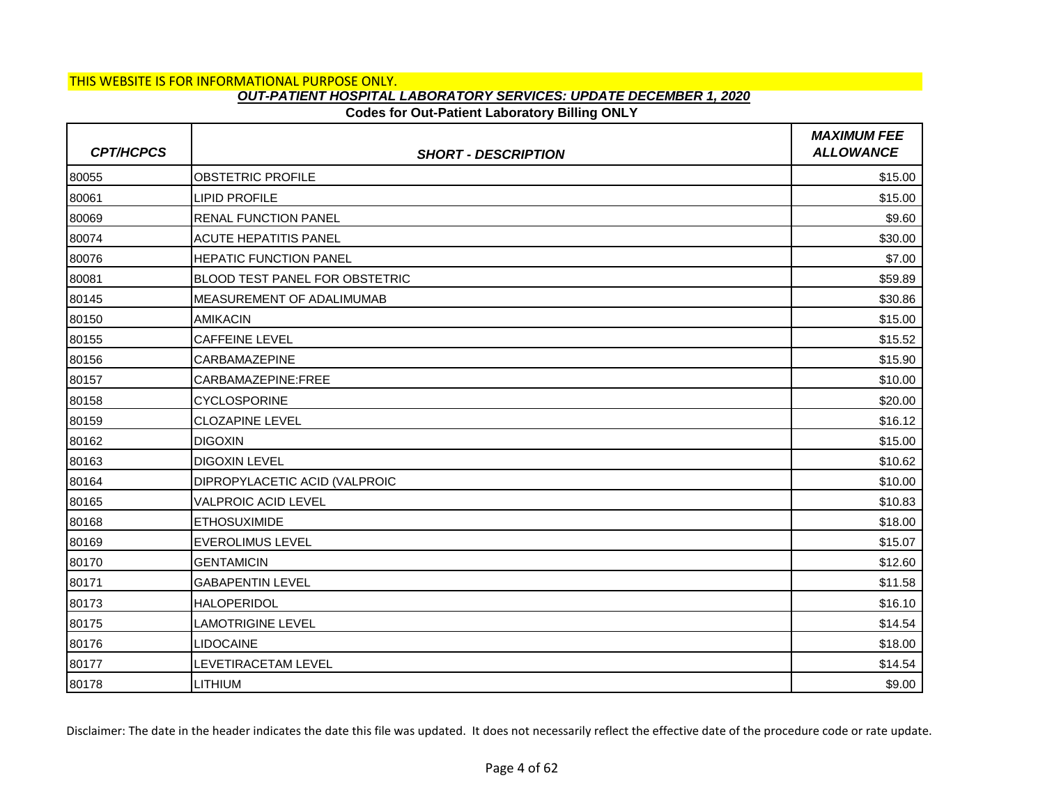# **Codes for Out-Patient Laboratory Billing ONLY**

| <b>CPT/HCPCS</b> | <b>SHORT - DESCRIPTION</b>            | <b>MAXIMUM FEE</b><br><b>ALLOWANCE</b> |
|------------------|---------------------------------------|----------------------------------------|
| 80055            | <b>OBSTETRIC PROFILE</b>              | \$15.00                                |
| 80061            | <b>LIPID PROFILE</b>                  | \$15.00                                |
| 80069            | <b>RENAL FUNCTION PANEL</b>           | \$9.60                                 |
| 80074            | <b>ACUTE HEPATITIS PANEL</b>          | \$30.00                                |
| 80076            | <b>HEPATIC FUNCTION PANEL</b>         | \$7.00                                 |
| 80081            | <b>BLOOD TEST PANEL FOR OBSTETRIC</b> | \$59.89                                |
| 80145            | MEASUREMENT OF ADALIMUMAB             | \$30.86                                |
| 80150            | <b>AMIKACIN</b>                       | \$15.00                                |
| 80155            | <b>CAFFEINE LEVEL</b>                 | \$15.52                                |
| 80156            | CARBAMAZEPINE                         | \$15.90                                |
| 80157            | CARBAMAZEPINE:FREE                    | \$10.00                                |
| 80158            | <b>CYCLOSPORINE</b>                   | \$20.00                                |
| 80159            | <b>CLOZAPINE LEVEL</b>                | \$16.12                                |
| 80162            | <b>DIGOXIN</b>                        | \$15.00                                |
| 80163            | <b>DIGOXIN LEVEL</b>                  | \$10.62                                |
| 80164            | DIPROPYLACETIC ACID (VALPROIC         | \$10.00                                |
| 80165            | VALPROIC ACID LEVEL                   | \$10.83                                |
| 80168            | <b>ETHOSUXIMIDE</b>                   | \$18.00                                |
| 80169            | <b>EVEROLIMUS LEVEL</b>               | \$15.07                                |
| 80170            | <b>GENTAMICIN</b>                     | \$12.60                                |
| 80171            | <b>GABAPENTIN LEVEL</b>               | \$11.58                                |
| 80173            | <b>HALOPERIDOL</b>                    | \$16.10                                |
| 80175            | <b>LAMOTRIGINE LEVEL</b>              | \$14.54                                |
| 80176            | <b>LIDOCAINE</b>                      | \$18.00                                |
| 80177            | LEVETIRACETAM LEVEL                   | \$14.54                                |
| 80178            | <b>LITHIUM</b>                        | \$9.00                                 |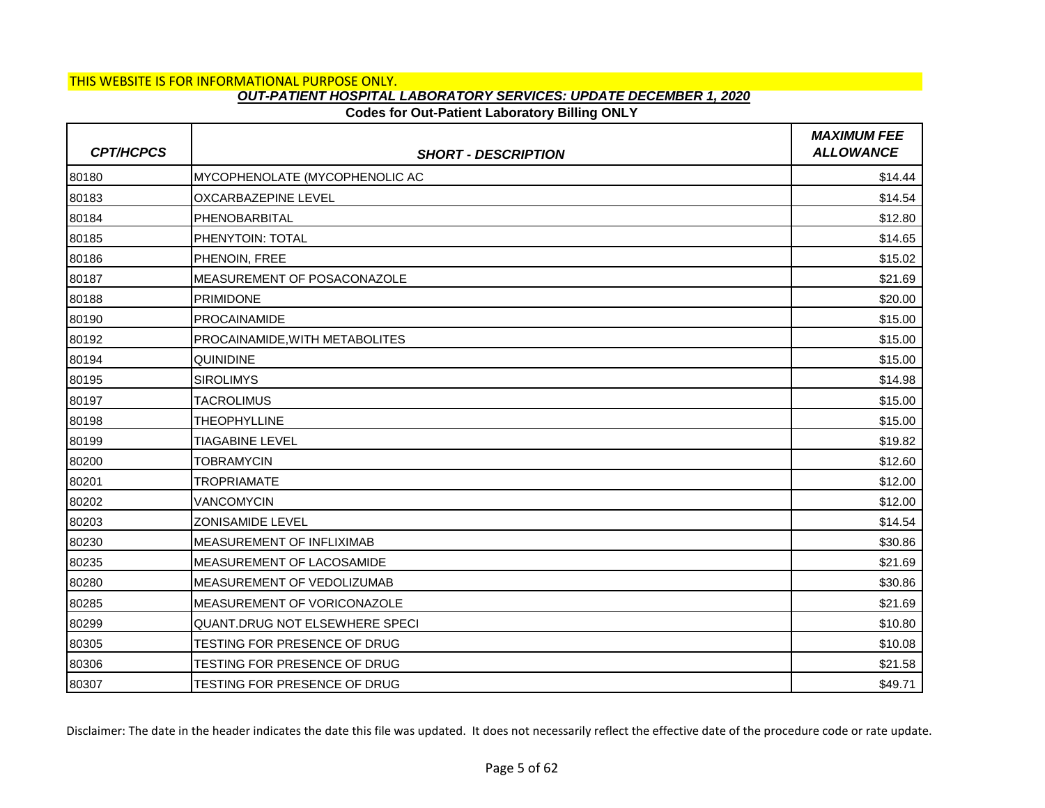## **Codes for Out-Patient Laboratory Billing ONLY**

| <b>CPT/HCPCS</b> | <b>SHORT - DESCRIPTION</b>       | <b>MAXIMUM FEE</b><br><b>ALLOWANCE</b> |
|------------------|----------------------------------|----------------------------------------|
| 80180            | MYCOPHENOLATE (MYCOPHENOLIC AC   | \$14.44                                |
| 80183            | <b>OXCARBAZEPINE LEVEL</b>       | \$14.54                                |
| 80184            | PHENOBARBITAL                    | \$12.80                                |
| 80185            | PHENYTOIN: TOTAL                 | \$14.65                                |
| 80186            | PHENOIN, FREE                    | \$15.02                                |
| 80187            | MEASUREMENT OF POSACONAZOLE      | \$21.69                                |
| 80188            | <b>PRIMIDONE</b>                 | \$20.00                                |
| 80190            | <b>PROCAINAMIDE</b>              | \$15.00                                |
| 80192            | PROCAINAMIDE, WITH METABOLITES   | \$15.00                                |
| 80194            | <b>QUINIDINE</b>                 | \$15.00                                |
| 80195            | <b>SIROLIMYS</b>                 | \$14.98                                |
| 80197            | <b>TACROLIMUS</b>                | \$15.00                                |
| 80198            | <b>THEOPHYLLINE</b>              | \$15.00                                |
| 80199            | <b>TIAGABINE LEVEL</b>           | \$19.82                                |
| 80200            | <b>TOBRAMYCIN</b>                | \$12.60                                |
| 80201            | <b>TROPRIAMATE</b>               | \$12.00                                |
| 80202            | <b>VANCOMYCIN</b>                | \$12.00                                |
| 80203            | <b>ZONISAMIDE LEVEL</b>          | \$14.54                                |
| 80230            | MEASUREMENT OF INFLIXIMAB        | \$30.86                                |
| 80235            | <b>MEASUREMENT OF LACOSAMIDE</b> | \$21.69                                |
| 80280            | MEASUREMENT OF VEDOLIZUMAB       | \$30.86                                |
| 80285            | MEASUREMENT OF VORICONAZOLE      | \$21.69                                |
| 80299            | QUANT.DRUG NOT ELSEWHERE SPECI   | \$10.80                                |
| 80305            | TESTING FOR PRESENCE OF DRUG     | \$10.08                                |
| 80306            | TESTING FOR PRESENCE OF DRUG     | \$21.58                                |
| 80307            | TESTING FOR PRESENCE OF DRUG     | \$49.71                                |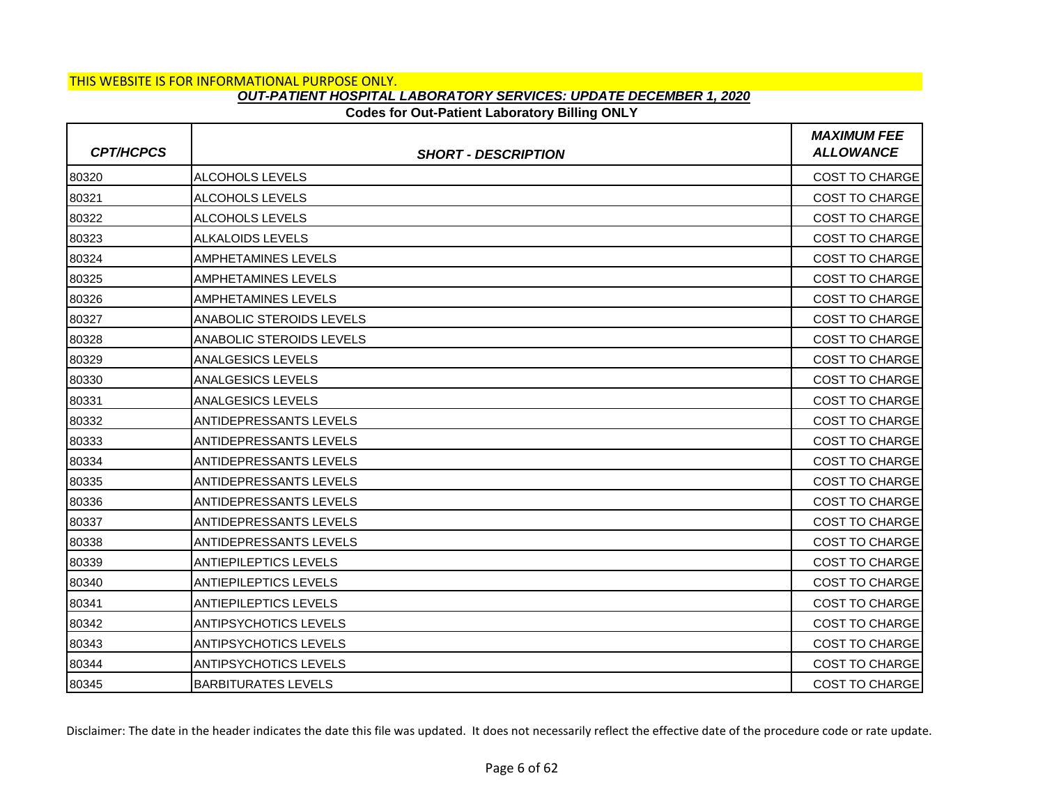### **Codes for Out-Patient Laboratory Billing ONLY**

| <b>CPT/HCPCS</b> | <b>SHORT - DESCRIPTION</b>    | <b>MAXIMUM FEE</b><br><b>ALLOWANCE</b> |
|------------------|-------------------------------|----------------------------------------|
| 80320            | ALCOHOLS LEVELS               | COST TO CHARGE                         |
| 80321            | ALCOHOLS LEVELS               | <b>COST TO CHARGE</b>                  |
| 80322            | ALCOHOLS LEVELS               | <b>COST TO CHARGE</b>                  |
| 80323            | <b>ALKALOIDS LEVELS</b>       | <b>COST TO CHARGE</b>                  |
| 80324            | AMPHETAMINES LEVELS           | <b>COST TO CHARGE</b>                  |
| 80325            | AMPHETAMINES LEVELS           | <b>COST TO CHARGE</b>                  |
| 80326            | <b>AMPHETAMINES LEVELS</b>    | <b>COST TO CHARGE</b>                  |
| 80327            | ANABOLIC STEROIDS LEVELS      | <b>COST TO CHARGE</b>                  |
| 80328            | ANABOLIC STEROIDS LEVELS      | <b>COST TO CHARGE</b>                  |
| 80329            | <b>ANALGESICS LEVELS</b>      | <b>COST TO CHARGE</b>                  |
| 80330            | <b>ANALGESICS LEVELS</b>      | COST TO CHARGE                         |
| 80331            | <b>ANALGESICS LEVELS</b>      | <b>COST TO CHARGE</b>                  |
| 80332            | ANTIDEPRESSANTS LEVELS        | <b>COST TO CHARGE</b>                  |
| 80333            | ANTIDEPRESSANTS LEVELS        | COST TO CHARGE                         |
| 80334            | <b>ANTIDEPRESSANTS LEVELS</b> | <b>COST TO CHARGE</b>                  |
| 80335            | <b>ANTIDEPRESSANTS LEVELS</b> | <b>COST TO CHARGE</b>                  |
| 80336            | ANTIDEPRESSANTS LEVELS        | COST TO CHARGE                         |
| 80337            | <b>ANTIDEPRESSANTS LEVELS</b> | <b>COST TO CHARGE</b>                  |
| 80338            | ANTIDEPRESSANTS LEVELS        | <b>COST TO CHARGE</b>                  |
| 80339            | <b>ANTIEPILEPTICS LEVELS</b>  | <b>COST TO CHARGE</b>                  |
| 80340            | <b>ANTIEPILEPTICS LEVELS</b>  | <b>COST TO CHARGE</b>                  |
| 80341            | <b>ANTIEPILEPTICS LEVELS</b>  | <b>COST TO CHARGE</b>                  |
| 80342            | <b>ANTIPSYCHOTICS LEVELS</b>  | <b>COST TO CHARGE</b>                  |
| 80343            | <b>ANTIPSYCHOTICS LEVELS</b>  | <b>COST TO CHARGE</b>                  |
| 80344            | <b>ANTIPSYCHOTICS LEVELS</b>  | COST TO CHARGE                         |
| 80345            | <b>BARBITURATES LEVELS</b>    | <b>COST TO CHARGE</b>                  |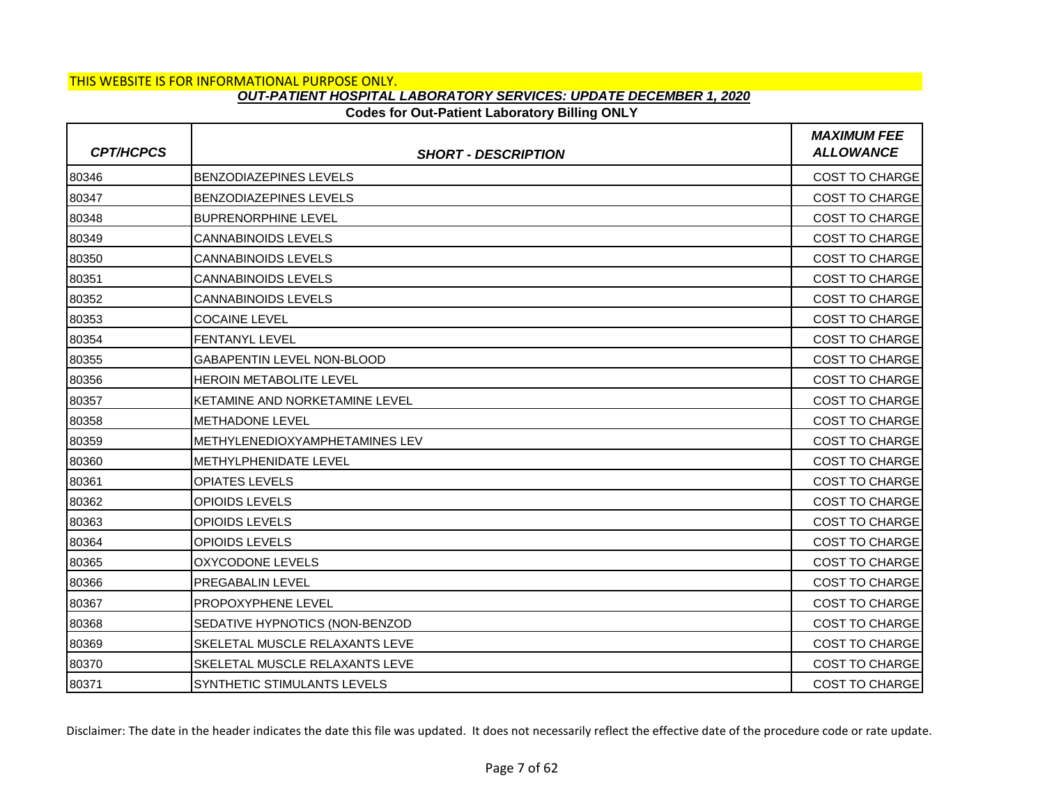### **Codes for Out-Patient Laboratory Billing ONLY**

| <b>CPT/HCPCS</b> | <b>SHORT - DESCRIPTION</b>     | <b>MAXIMUM FEE</b><br><b>ALLOWANCE</b> |
|------------------|--------------------------------|----------------------------------------|
| 80346            | BENZODIAZEPINES LEVELS         | COST TO CHARGE                         |
| 80347            | BENZODIAZEPINES LEVELS         | <b>COST TO CHARGE</b>                  |
| 80348            | <b>BUPRENORPHINE LEVEL</b>     | <b>COST TO CHARGE</b>                  |
| 80349            | <b>CANNABINOIDS LEVELS</b>     | <b>COST TO CHARGE</b>                  |
| 80350            | <b>CANNABINOIDS LEVELS</b>     | <b>COST TO CHARGE</b>                  |
| 80351            | <b>CANNABINOIDS LEVELS</b>     | <b>COST TO CHARGE</b>                  |
| 80352            | <b>CANNABINOIDS LEVELS</b>     | <b>COST TO CHARGE</b>                  |
| 80353            | <b>COCAINE LEVEL</b>           | <b>COST TO CHARGE</b>                  |
| 80354            | FENTANYL LEVEL                 | <b>COST TO CHARGE</b>                  |
| 80355            | GABAPENTIN LEVEL NON-BLOOD     | <b>COST TO CHARGE</b>                  |
| 80356            | HEROIN METABOLITE LEVEL        | COST TO CHARGE                         |
| 80357            | KETAMINE AND NORKETAMINE LEVEL | <b>COST TO CHARGE</b>                  |
| 80358            | METHADONE LEVEL                | <b>COST TO CHARGE</b>                  |
| 80359            | METHYLENEDIOXYAMPHETAMINES LEV | COST TO CHARGE                         |
| 80360            | <b>METHYLPHENIDATE LEVEL</b>   | <b>COST TO CHARGE</b>                  |
| 80361            | <b>OPIATES LEVELS</b>          | <b>COST TO CHARGE</b>                  |
| 80362            | OPIOIDS LEVELS                 | COST TO CHARGE                         |
| 80363            | OPIOIDS LEVELS                 | <b>COST TO CHARGE</b>                  |
| 80364            | OPIOIDS LEVELS                 | <b>COST TO CHARGE</b>                  |
| 80365            | <b>OXYCODONE LEVELS</b>        | COST TO CHARGE                         |
| 80366            | PREGABALIN LEVEL               | <b>COST TO CHARGE</b>                  |
| 80367            | PROPOXYPHENE LEVEL             | <b>COST TO CHARGE</b>                  |
| 80368            | SEDATIVE HYPNOTICS (NON-BENZOD | <b>COST TO CHARGE</b>                  |
| 80369            | SKELETAL MUSCLE RELAXANTS LEVE | <b>COST TO CHARGE</b>                  |
| 80370            | SKELETAL MUSCLE RELAXANTS LEVE | COST TO CHARGE                         |
| 80371            | SYNTHETIC STIMULANTS LEVELS    | <b>COST TO CHARGE</b>                  |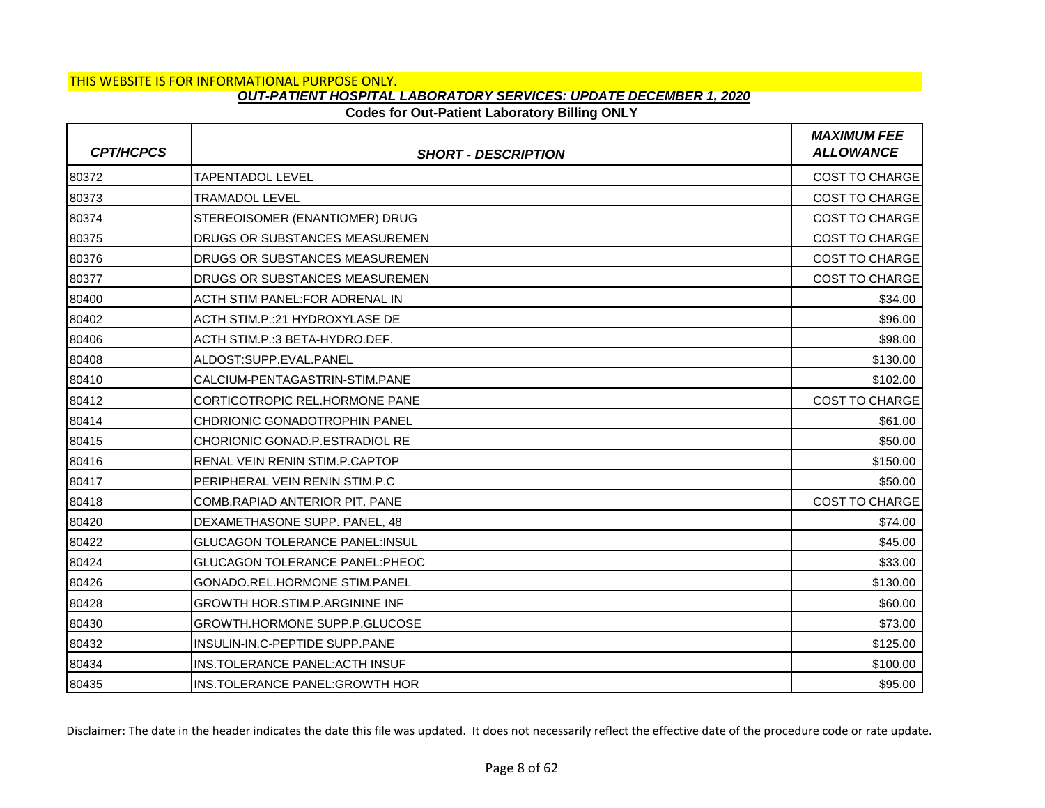## **Codes for Out-Patient Laboratory Billing ONLY**

| <b>CPT/HCPCS</b> | <b>SHORT - DESCRIPTION</b>            | <b>MAXIMUM FEE</b><br><b>ALLOWANCE</b> |
|------------------|---------------------------------------|----------------------------------------|
| 80372            | TAPENTADOL LEVEL                      | <b>COST TO CHARGE</b>                  |
| 80373            | TRAMADOL LEVEL                        | <b>COST TO CHARGE</b>                  |
| 80374            | STEREOISOMER (ENANTIOMER) DRUG        | <b>COST TO CHARGE</b>                  |
| 80375            | DRUGS OR SUBSTANCES MEASUREMEN        | <b>COST TO CHARGE</b>                  |
| 80376            | DRUGS OR SUBSTANCES MEASUREMEN        | <b>COST TO CHARGE</b>                  |
| 80377            | DRUGS OR SUBSTANCES MEASUREMEN        | <b>COST TO CHARGE</b>                  |
| 80400            | ACTH STIM PANEL:FOR ADRENAL IN        | \$34.00                                |
| 80402            | ACTH STIM.P.: 21 HYDROXYLASE DE       | \$96.00                                |
| 80406            | ACTH STIM.P.: 3 BETA-HYDRO.DEF.       | \$98.00                                |
| 80408            | ALDOST:SUPP.EVAL.PANEL                | \$130.00                               |
| 80410            | CALCIUM-PENTAGASTRIN-STIM.PANE        | \$102.00                               |
| 80412            | CORTICOTROPIC REL.HORMONE PANE        | <b>COST TO CHARGE</b>                  |
| 80414            | CHDRIONIC GONADOTROPHIN PANEL         | \$61.00                                |
| 80415            | CHORIONIC GONAD.P.ESTRADIOL RE        | \$50.00                                |
| 80416            | RENAL VEIN RENIN STIM.P.CAPTOP        | \$150.00                               |
| 80417            | PERIPHERAL VEIN RENIN STIM.P.C        | \$50.00                                |
| 80418            | COMB.RAPIAD ANTERIOR PIT. PANE        | COST TO CHARGE                         |
| 80420            | DEXAMETHASONE SUPP. PANEL, 48         | \$74.00                                |
| 80422            | <b>GLUCAGON TOLERANCE PANEL:INSUL</b> | \$45.00                                |
| 80424            | GLUCAGON TOLERANCE PANEL: PHEOC       | \$33.00                                |
| 80426            | GONADO.REL.HORMONE STIM.PANEL         | \$130.00                               |
| 80428            | <b>GROWTH HOR.STIM.P.ARGININE INF</b> | \$60.00                                |
| 80430            | GROWTH.HORMONE SUPP.P.GLUCOSE         | \$73.00                                |
| 80432            | INSULIN-IN.C-PEPTIDE SUPP.PANE        | \$125.00                               |
| 80434            | INS.TOLERANCE PANEL: ACTH INSUF       | \$100.00                               |
| 80435            | INS.TOLERANCE PANEL: GROWTH HOR       | \$95.00                                |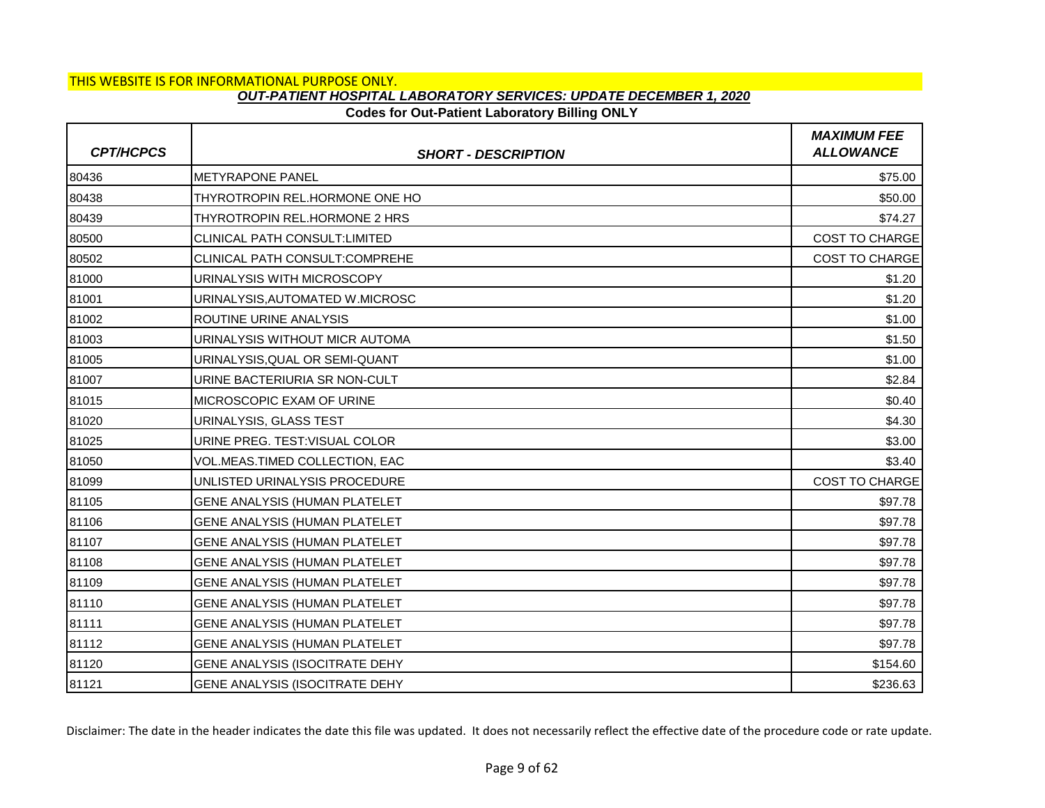## **Codes for Out-Patient Laboratory Billing ONLY**

| <b>CPT/HCPCS</b> | <b>SHORT - DESCRIPTION</b>           | <b>MAXIMUM FEE</b><br><b>ALLOWANCE</b> |
|------------------|--------------------------------------|----------------------------------------|
| 80436            | <b>METYRAPONE PANEL</b>              | \$75.00                                |
| 80438            | THYROTROPIN REL.HORMONE ONE HO       | \$50.00                                |
| 80439            | THYROTROPIN REL.HORMONE 2 HRS        | \$74.27                                |
| 80500            | <b>CLINICAL PATH CONSULT:LIMITED</b> | <b>COST TO CHARGE</b>                  |
| 80502            | CLINICAL PATH CONSULT:COMPREHE       | <b>COST TO CHARGE</b>                  |
| 81000            | URINALYSIS WITH MICROSCOPY           | \$1.20                                 |
| 81001            | URINALYSIS, AUTOMATED W.MICROSC      | \$1.20                                 |
| 81002            | <b>ROUTINE URINE ANALYSIS</b>        | \$1.00                                 |
| 81003            | URINALYSIS WITHOUT MICR AUTOMA       | \$1.50                                 |
| 81005            | URINALYSIS, QUAL OR SEMI-QUANT       | \$1.00                                 |
| 81007            | URINE BACTERIURIA SR NON-CULT        | \$2.84                                 |
| 81015            | <b>IMICROSCOPIC EXAM OF URINE</b>    | \$0.40                                 |
| 81020            | URINALYSIS, GLASS TEST               | \$4.30                                 |
| 81025            | URINE PREG. TEST: VISUAL COLOR       | \$3.00                                 |
| 81050            | VOL.MEAS.TIMED COLLECTION, EAC       | \$3.40                                 |
| 81099            | UNLISTED URINALYSIS PROCEDURE        | <b>COST TO CHARGE</b>                  |
| 81105            | GENE ANALYSIS (HUMAN PLATELET        | \$97.78                                |
| 81106            | <b>GENE ANALYSIS (HUMAN PLATELET</b> | \$97.78                                |
| 81107            | <b>GENE ANALYSIS (HUMAN PLATELET</b> | \$97.78                                |
| 81108            | GENE ANALYSIS (HUMAN PLATELET        | \$97.78                                |
| 81109            | GENE ANALYSIS (HUMAN PLATELET        | \$97.78                                |
| 81110            | <b>GENE ANALYSIS (HUMAN PLATELET</b> | \$97.78                                |
| 81111            | GENE ANALYSIS (HUMAN PLATELET        | \$97.78                                |
| 81112            | GENE ANALYSIS (HUMAN PLATELET        | \$97.78                                |
| 81120            | GENE ANALYSIS (ISOCITRATE DEHY       | \$154.60                               |
| 81121            | GENE ANALYSIS (ISOCITRATE DEHY       | \$236.63                               |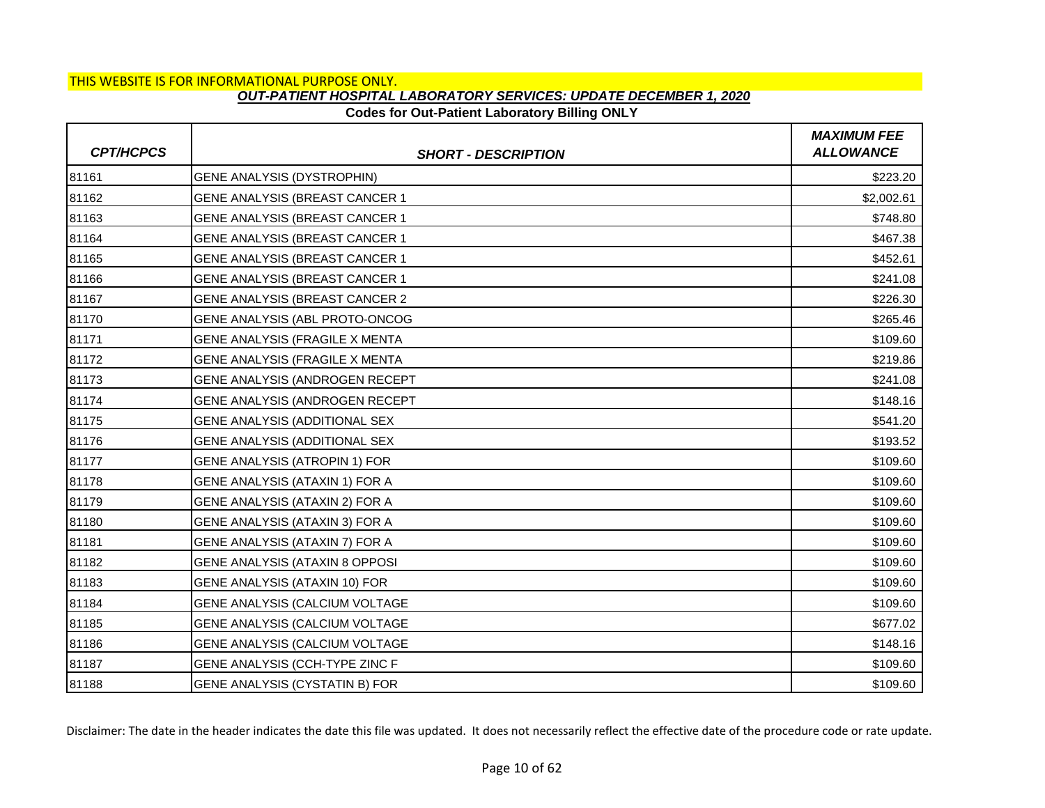## **Codes for Out-Patient Laboratory Billing ONLY**

| <b>CPT/HCPCS</b> | <b>SHORT - DESCRIPTION</b>            | <b>MAXIMUM FEE</b><br><b>ALLOWANCE</b> |
|------------------|---------------------------------------|----------------------------------------|
| 81161            | GENE ANALYSIS (DYSTROPHIN)            | \$223.20                               |
| 81162            | GENE ANALYSIS (BREAST CANCER 1        | \$2,002.61                             |
| 81163            | GENE ANALYSIS (BREAST CANCER 1        | \$748.80                               |
| 81164            | GENE ANALYSIS (BREAST CANCER 1        | \$467.38                               |
| 81165            | GENE ANALYSIS (BREAST CANCER 1        | \$452.61                               |
| 81166            | <b>GENE ANALYSIS (BREAST CANCER 1</b> | \$241.08                               |
| 81167            | GENE ANALYSIS (BREAST CANCER 2        | \$226.30                               |
| 81170            | GENE ANALYSIS (ABL PROTO-ONCOG        | \$265.46                               |
| 81171            | GENE ANALYSIS (FRAGILE X MENTA        | \$109.60                               |
| 81172            | GENE ANALYSIS (FRAGILE X MENTA        | \$219.86                               |
| 81173            | GENE ANALYSIS (ANDROGEN RECEPT        | \$241.08                               |
| 81174            | GENE ANALYSIS (ANDROGEN RECEPT        | \$148.16                               |
| 81175            | GENE ANALYSIS (ADDITIONAL SEX         | \$541.20                               |
| 81176            | GENE ANALYSIS (ADDITIONAL SEX         | \$193.52                               |
| 81177            | GENE ANALYSIS (ATROPIN 1) FOR         | \$109.60                               |
| 81178            | GENE ANALYSIS (ATAXIN 1) FOR A        | \$109.60                               |
| 81179            | GENE ANALYSIS (ATAXIN 2) FOR A        | \$109.60                               |
| 81180            | GENE ANALYSIS (ATAXIN 3) FOR A        | \$109.60                               |
| 81181            | GENE ANALYSIS (ATAXIN 7) FOR A        | \$109.60                               |
| 81182            | GENE ANALYSIS (ATAXIN 8 OPPOSI        | \$109.60                               |
| 81183            | GENE ANALYSIS (ATAXIN 10) FOR         | \$109.60                               |
| 81184            | GENE ANALYSIS (CALCIUM VOLTAGE        | \$109.60                               |
| 81185            | GENE ANALYSIS (CALCIUM VOLTAGE        | \$677.02                               |
| 81186            | GENE ANALYSIS (CALCIUM VOLTAGE        | \$148.16                               |
| 81187            | GENE ANALYSIS (CCH-TYPE ZINC F        | \$109.60                               |
| 81188            | GENE ANALYSIS (CYSTATIN B) FOR        | \$109.60                               |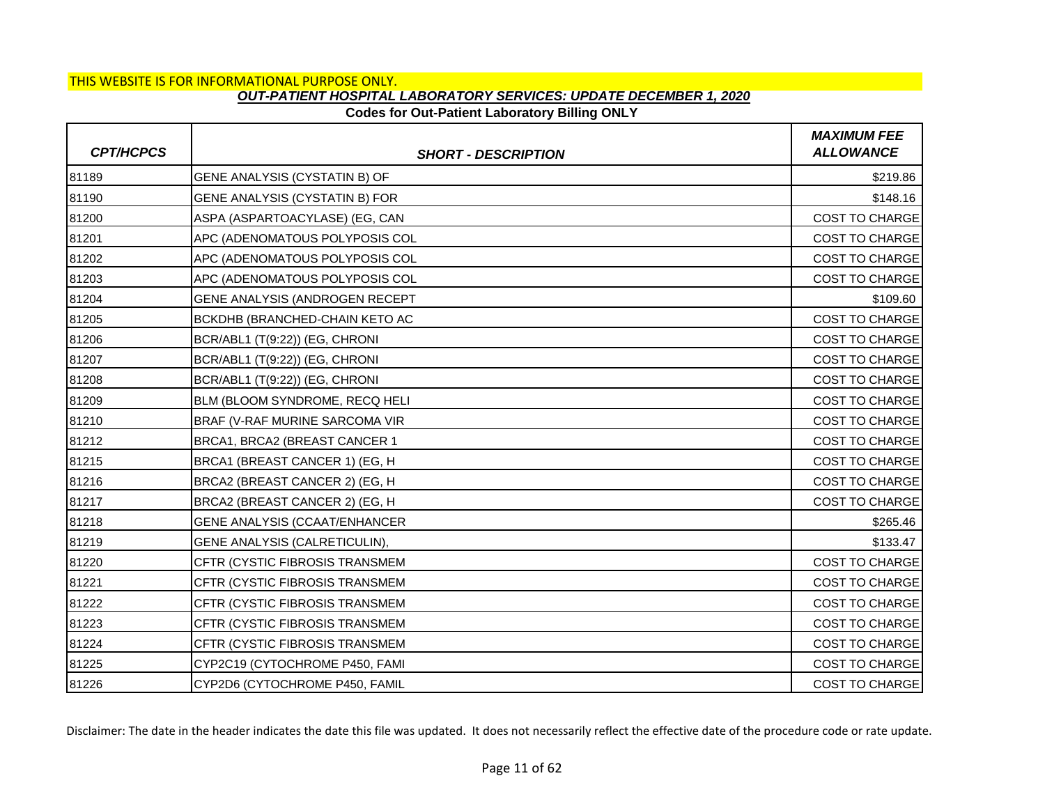### **Codes for Out-Patient Laboratory Billing ONLY**

| <b>CPT/HCPCS</b> | <b>SHORT - DESCRIPTION</b>            | <b>MAXIMUM FEE</b><br><b>ALLOWANCE</b> |
|------------------|---------------------------------------|----------------------------------------|
| 81189            | GENE ANALYSIS (CYSTATIN B) OF         | \$219.86                               |
| 81190            | GENE ANALYSIS (CYSTATIN B) FOR        | \$148.16                               |
| 81200            | ASPA (ASPARTOACYLASE) (EG, CAN        | <b>COST TO CHARGE</b>                  |
| 81201            | APC (ADENOMATOUS POLYPOSIS COL        | <b>COST TO CHARGE</b>                  |
| 81202            | APC (ADENOMATOUS POLYPOSIS COL        | <b>COST TO CHARGE</b>                  |
| 81203            | APC (ADENOMATOUS POLYPOSIS COL        | <b>COST TO CHARGE</b>                  |
| 81204            | GENE ANALYSIS (ANDROGEN RECEPT        | \$109.60                               |
| 81205            | <b>BCKDHB (BRANCHED-CHAIN KETO AC</b> | <b>COST TO CHARGE</b>                  |
| 81206            | BCR/ABL1 (T(9:22)) (EG, CHRONI        | <b>COST TO CHARGE</b>                  |
| 81207            | BCR/ABL1 (T(9:22)) (EG, CHRONI        | <b>COST TO CHARGE</b>                  |
| 81208            | BCR/ABL1 (T(9:22)) (EG, CHRONI        | <b>COST TO CHARGE</b>                  |
| 81209            | BLM (BLOOM SYNDROME, RECQ HELI        | <b>COST TO CHARGE</b>                  |
| 81210            | BRAF (V-RAF MURINE SARCOMA VIR        | COST TO CHARGE                         |
| 81212            | BRCA1, BRCA2 (BREAST CANCER 1         | <b>COST TO CHARGE</b>                  |
| 81215            | BRCA1 (BREAST CANCER 1) (EG, H        | <b>COST TO CHARGE</b>                  |
| 81216            | BRCA2 (BREAST CANCER 2) (EG, H        | COST TO CHARGE                         |
| 81217            | BRCA2 (BREAST CANCER 2) (EG, H        | <b>COST TO CHARGE</b>                  |
| 81218            | <b>GENE ANALYSIS (CCAAT/ENHANCER</b>  | \$265.46                               |
| 81219            | GENE ANALYSIS (CALRETICULIN),         | \$133.47                               |
| 81220            | CFTR (CYSTIC FIBROSIS TRANSMEM        | COST TO CHARGE                         |
| 81221            | CFTR (CYSTIC FIBROSIS TRANSMEM        | <b>COST TO CHARGE</b>                  |
| 81222            | CFTR (CYSTIC FIBROSIS TRANSMEM        | <b>COST TO CHARGE</b>                  |
| 81223            | CFTR (CYSTIC FIBROSIS TRANSMEM        | <b>COST TO CHARGE</b>                  |
| 81224            | CFTR (CYSTIC FIBROSIS TRANSMEM        | <b>COST TO CHARGE</b>                  |
| 81225            | CYP2C19 (CYTOCHROME P450, FAMI        | <b>COST TO CHARGE</b>                  |
| 81226            | CYP2D6 (CYTOCHROME P450, FAMIL        | <b>COST TO CHARGE</b>                  |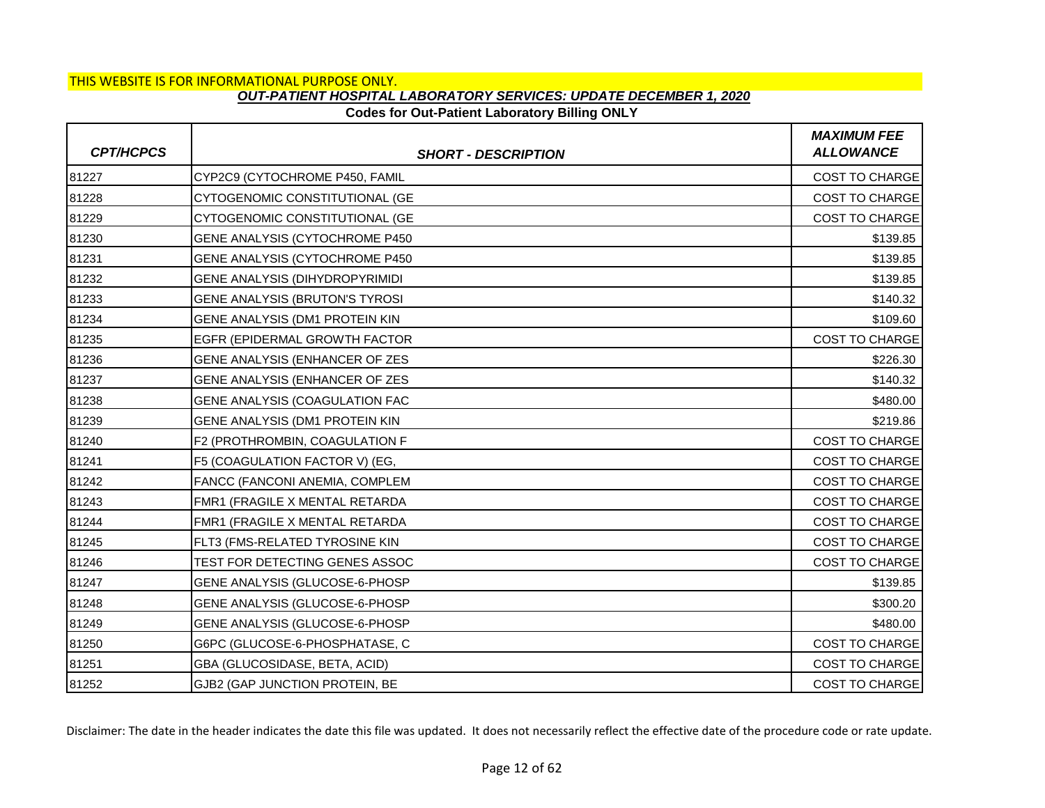## **Codes for Out-Patient Laboratory Billing ONLY**

| <b>CPT/HCPCS</b> | <b>SHORT - DESCRIPTION</b>     | <b>MAXIMUM FEE</b><br><b>ALLOWANCE</b> |
|------------------|--------------------------------|----------------------------------------|
| 81227            | CYP2C9 (CYTOCHROME P450, FAMIL | COST TO CHARGE                         |
| 81228            | CYTOGENOMIC CONSTITUTIONAL (GE | COST TO CHARGE                         |
| 81229            | CYTOGENOMIC CONSTITUTIONAL (GE | COST TO CHARGE                         |
| 81230            | GENE ANALYSIS (CYTOCHROME P450 | \$139.85                               |
| 81231            | GENE ANALYSIS (CYTOCHROME P450 | \$139.85                               |
| 81232            | GENE ANALYSIS (DIHYDROPYRIMIDI | \$139.85                               |
| 81233            | GENE ANALYSIS (BRUTON'S TYROSI | \$140.32                               |
| 81234            | GENE ANALYSIS (DM1 PROTEIN KIN | \$109.60                               |
| 81235            | EGFR (EPIDERMAL GROWTH FACTOR  | <b>COST TO CHARGE</b>                  |
| 81236            | GENE ANALYSIS (ENHANCER OF ZES | \$226.30                               |
| 81237            | GENE ANALYSIS (ENHANCER OF ZES | \$140.32                               |
| 81238            | GENE ANALYSIS (COAGULATION FAC | \$480.00                               |
| 81239            | GENE ANALYSIS (DM1 PROTEIN KIN | \$219.86                               |
| 81240            | F2 (PROTHROMBIN, COAGULATION F | COST TO CHARGE                         |
| 81241            | F5 (COAGULATION FACTOR V) (EG, | <b>COST TO CHARGE</b>                  |
| 81242            | FANCC (FANCONI ANEMIA, COMPLEM | <b>COST TO CHARGE</b>                  |
| 81243            | FMR1 (FRAGILE X MENTAL RETARDA | COST TO CHARGE                         |
| 81244            | FMR1 (FRAGILE X MENTAL RETARDA | <b>COST TO CHARGE</b>                  |
| 81245            | FLT3 (FMS-RELATED TYROSINE KIN | <b>COST TO CHARGE</b>                  |
| 81246            | TEST FOR DETECTING GENES ASSOC | COST TO CHARGE                         |
| 81247            | GENE ANALYSIS (GLUCOSE-6-PHOSP | \$139.85                               |
| 81248            | GENE ANALYSIS (GLUCOSE-6-PHOSP | \$300.20                               |
| 81249            | GENE ANALYSIS (GLUCOSE-6-PHOSP | \$480.00                               |
| 81250            | G6PC (GLUCOSE-6-PHOSPHATASE, C | <b>COST TO CHARGE</b>                  |
| 81251            | GBA (GLUCOSIDASE, BETA, ACID)  | COST TO CHARGE                         |
| 81252            | GJB2 (GAP JUNCTION PROTEIN, BE | <b>COST TO CHARGE</b>                  |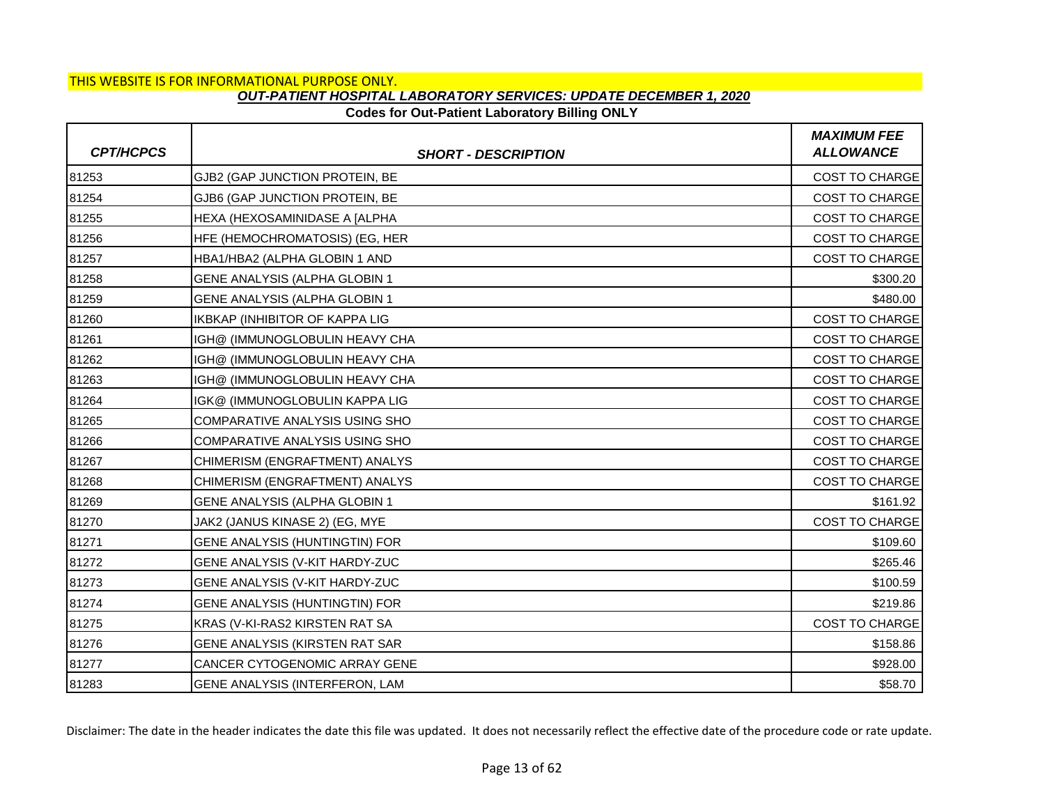## **Codes for Out-Patient Laboratory Billing ONLY**

| <b>CPT/HCPCS</b> | <b>SHORT - DESCRIPTION</b>            | <b>MAXIMUM FEE</b><br><b>ALLOWANCE</b> |
|------------------|---------------------------------------|----------------------------------------|
| 81253            | GJB2 (GAP JUNCTION PROTEIN, BE        | COST TO CHARGE                         |
| 81254            | GJB6 (GAP JUNCTION PROTEIN, BE        | COST TO CHARGE                         |
| 81255            | HEXA (HEXOSAMINIDASE A JALPHA         | <b>COST TO CHARGE</b>                  |
| 81256            | HFE (HEMOCHROMATOSIS) (EG, HER        | COST TO CHARGE                         |
| 81257            | HBA1/HBA2 (ALPHA GLOBIN 1 AND         | COST TO CHARGE                         |
| 81258            | GENE ANALYSIS (ALPHA GLOBIN 1         | \$300.20                               |
| 81259            | GENE ANALYSIS (ALPHA GLOBIN 1         | \$480.00                               |
| 81260            | <b>IKBKAP (INHIBITOR OF KAPPA LIG</b> | COST TO CHARGE                         |
| 81261            | IGH@ (IMMUNOGLOBULIN HEAVY CHA        | <b>COST TO CHARGE</b>                  |
| 81262            | IGH@ (IMMUNOGLOBULIN HEAVY CHA        | <b>COST TO CHARGE</b>                  |
| 81263            | IGH@ (IMMUNOGLOBULIN HEAVY CHA        | COST TO CHARGE                         |
| 81264            | IGK@ (IMMUNOGLOBULIN KAPPA LIG        | <b>COST TO CHARGE</b>                  |
| 81265            | <b>COMPARATIVE ANALYSIS USING SHO</b> | <b>COST TO CHARGE</b>                  |
| 81266            | COMPARATIVE ANALYSIS USING SHO        | COST TO CHARGE                         |
| 81267            | CHIMERISM (ENGRAFTMENT) ANALYS        | <b>COST TO CHARGE</b>                  |
| 81268            | CHIMERISM (ENGRAFTMENT) ANALYS        | <b>COST TO CHARGE</b>                  |
| 81269            | GENE ANALYSIS (ALPHA GLOBIN 1         | \$161.92                               |
| 81270            | JAK2 (JANUS KINASE 2) (EG, MYE        | <b>COST TO CHARGE</b>                  |
| 81271            | GENE ANALYSIS (HUNTINGTIN) FOR        | \$109.60                               |
| 81272            | GENE ANALYSIS (V-KIT HARDY-ZUC        | \$265.46                               |
| 81273            | GENE ANALYSIS (V-KIT HARDY-ZUC        | \$100.59                               |
| 81274            | GENE ANALYSIS (HUNTINGTIN) FOR        | \$219.86                               |
| 81275            | KRAS (V-KI-RAS2 KIRSTEN RAT SA        | <b>COST TO CHARGE</b>                  |
| 81276            | GENE ANALYSIS (KIRSTEN RAT SAR        | \$158.86                               |
| 81277            | CANCER CYTOGENOMIC ARRAY GENE         | \$928.00                               |
| 81283            | GENE ANALYSIS (INTERFERON, LAM        | \$58.70                                |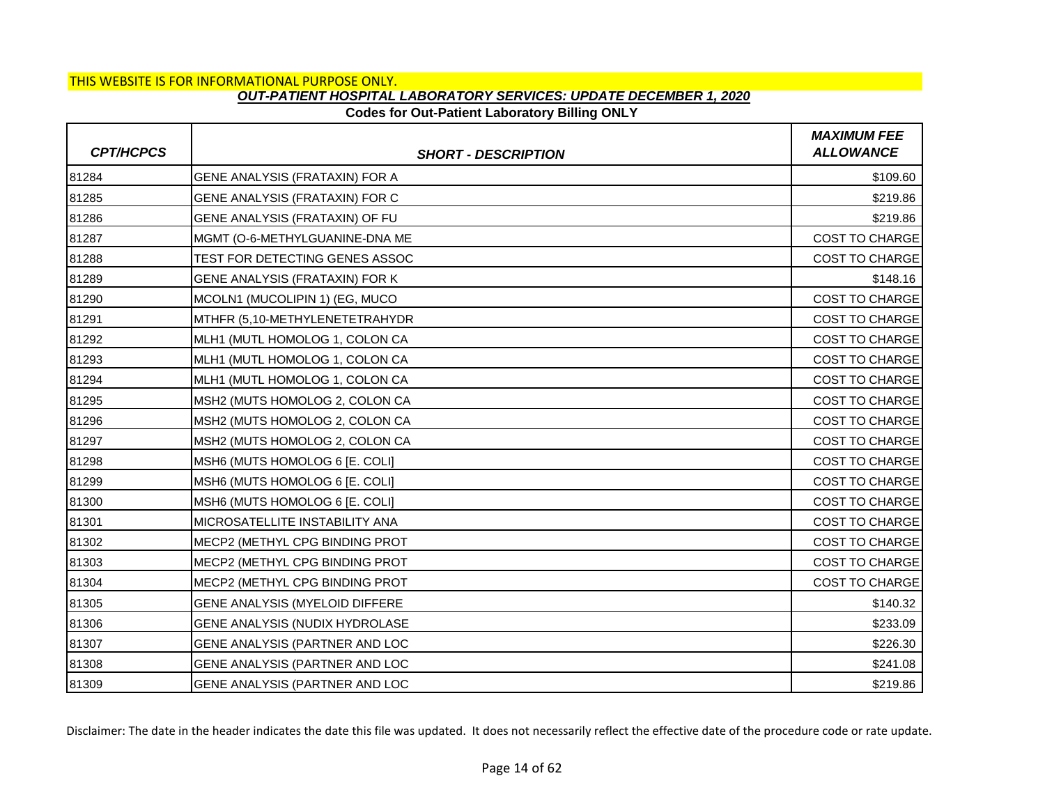### **Codes for Out-Patient Laboratory Billing ONLY**

| <b>CPT/HCPCS</b> | <b>SHORT - DESCRIPTION</b>     | <b>MAXIMUM FEE</b><br><b>ALLOWANCE</b> |
|------------------|--------------------------------|----------------------------------------|
| 81284            | GENE ANALYSIS (FRATAXIN) FOR A | \$109.60                               |
| 81285            | GENE ANALYSIS (FRATAXIN) FOR C | \$219.86                               |
| 81286            | GENE ANALYSIS (FRATAXIN) OF FU | \$219.86                               |
| 81287            | MGMT (O-6-METHYLGUANINE-DNA ME | COST TO CHARGE                         |
| 81288            | TEST FOR DETECTING GENES ASSOC | <b>COST TO CHARGE</b>                  |
| 81289            | GENE ANALYSIS (FRATAXIN) FOR K | \$148.16                               |
| 81290            | MCOLN1 (MUCOLIPIN 1) (EG, MUCO | <b>COST TO CHARGE</b>                  |
| 81291            | MTHFR (5,10-METHYLENETETRAHYDR | COST TO CHARGE                         |
| 81292            | MLH1 (MUTL HOMOLOG 1, COLON CA | <b>COST TO CHARGE</b>                  |
| 81293            | MLH1 (MUTL HOMOLOG 1, COLON CA | <b>COST TO CHARGE</b>                  |
| 81294            | MLH1 (MUTL HOMOLOG 1, COLON CA | <b>COST TO CHARGE</b>                  |
| 81295            | MSH2 (MUTS HOMOLOG 2, COLON CA | <b>COST TO CHARGE</b>                  |
| 81296            | MSH2 (MUTS HOMOLOG 2, COLON CA | <b>COST TO CHARGE</b>                  |
| 81297            | MSH2 (MUTS HOMOLOG 2, COLON CA | COST TO CHARGE                         |
| 81298            | MSH6 (MUTS HOMOLOG 6 [E. COLI] | <b>COST TO CHARGE</b>                  |
| 81299            | MSH6 (MUTS HOMOLOG 6 [E. COLI] | <b>COST TO CHARGE</b>                  |
| 81300            | MSH6 (MUTS HOMOLOG 6 [E. COLI] | <b>COST TO CHARGE</b>                  |
| 81301            | MICROSATELLITE INSTABILITY ANA | <b>COST TO CHARGE</b>                  |
| 81302            | MECP2 (METHYL CPG BINDING PROT | COST TO CHARGE                         |
| 81303            | MECP2 (METHYL CPG BINDING PROT | COST TO CHARGE                         |
| 81304            | MECP2 (METHYL CPG BINDING PROT | <b>COST TO CHARGE</b>                  |
| 81305            | GENE ANALYSIS (MYELOID DIFFERE | \$140.32                               |
| 81306            | GENE ANALYSIS (NUDIX HYDROLASE | \$233.09                               |
| 81307            | GENE ANALYSIS (PARTNER AND LOC | \$226.30                               |
| 81308            | GENE ANALYSIS (PARTNER AND LOC | \$241.08                               |
| 81309            | GENE ANALYSIS (PARTNER AND LOC | \$219.86                               |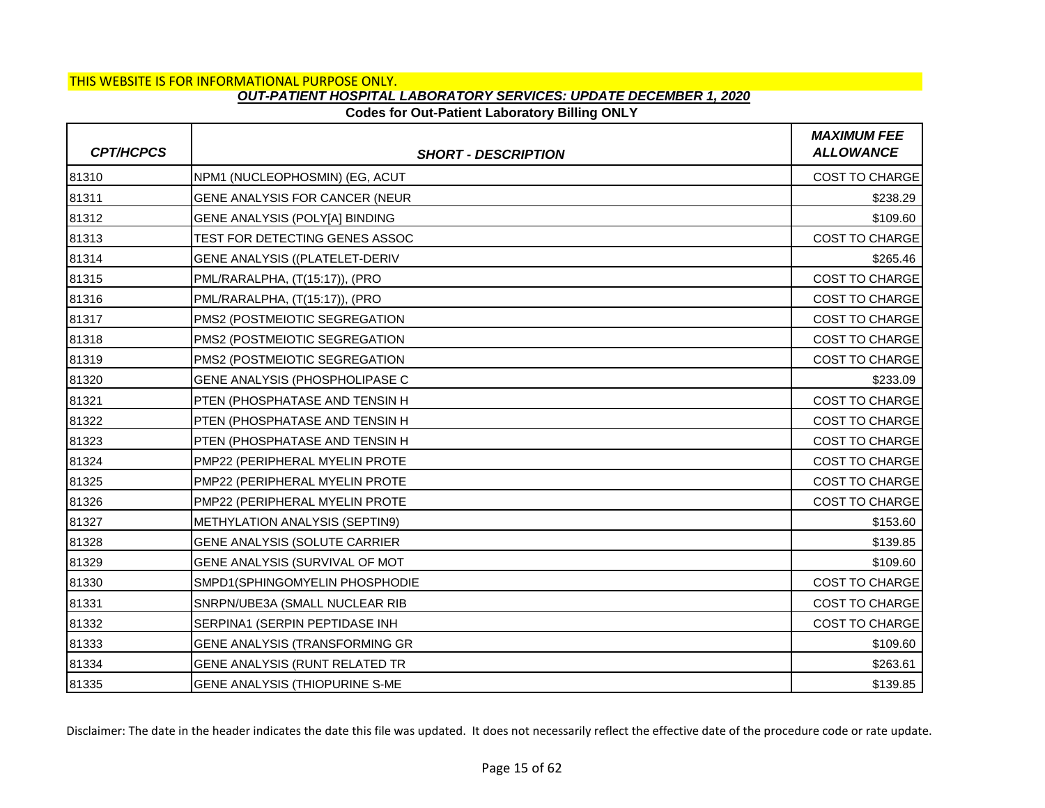# **Codes for Out-Patient Laboratory Billing ONLY**

| <b>CPT/HCPCS</b> | <b>SHORT - DESCRIPTION</b>     | <b>MAXIMUM FEE</b><br><b>ALLOWANCE</b> |
|------------------|--------------------------------|----------------------------------------|
| 81310            | NPM1 (NUCLEOPHOSMIN) (EG, ACUT | <b>COST TO CHARGE</b>                  |
| 81311            | GENE ANALYSIS FOR CANCER (NEUR | \$238.29                               |
| 81312            | GENE ANALYSIS (POLY[A] BINDING | \$109.60                               |
| 81313            | TEST FOR DETECTING GENES ASSOC | COST TO CHARGE                         |
| 81314            | GENE ANALYSIS ((PLATELET-DERIV | \$265.46                               |
| 81315            | PML/RARALPHA, (T(15:17)), (PRO | <b>COST TO CHARGE</b>                  |
| 81316            | PML/RARALPHA, (T(15:17)), (PRO | <b>COST TO CHARGE</b>                  |
| 81317            | PMS2 (POSTMEIOTIC SEGREGATION  | <b>COST TO CHARGE</b>                  |
| 81318            | PMS2 (POSTMEIOTIC SEGREGATION  | <b>COST TO CHARGE</b>                  |
| 81319            | PMS2 (POSTMEIOTIC SEGREGATION  | <b>COST TO CHARGE</b>                  |
| 81320            | GENE ANALYSIS (PHOSPHOLIPASE C | \$233.09                               |
| 81321            | PTEN (PHOSPHATASE AND TENSIN H | <b>COST TO CHARGE</b>                  |
| 81322            | PTEN (PHOSPHATASE AND TENSIN H | <b>COST TO CHARGE</b>                  |
| 81323            | PTEN (PHOSPHATASE AND TENSIN H | COST TO CHARGE                         |
| 81324            | PMP22 (PERIPHERAL MYELIN PROTE | <b>COST TO CHARGE</b>                  |
| 81325            | PMP22 (PERIPHERAL MYELIN PROTE | <b>COST TO CHARGE</b>                  |
| 81326            | PMP22 (PERIPHERAL MYELIN PROTE | <b>COST TO CHARGE</b>                  |
| 81327            | METHYLATION ANALYSIS (SEPTIN9) | \$153.60                               |
| 81328            | GENE ANALYSIS (SOLUTE CARRIER  | \$139.85                               |
| 81329            | GENE ANALYSIS (SURVIVAL OF MOT | \$109.60                               |
| 81330            | SMPD1(SPHINGOMYELIN PHOSPHODIE | <b>COST TO CHARGE</b>                  |
| 81331            | SNRPN/UBE3A (SMALL NUCLEAR RIB | <b>COST TO CHARGE</b>                  |
| 81332            | SERPINA1 (SERPIN PEPTIDASE INH | <b>COST TO CHARGE</b>                  |
| 81333            | GENE ANALYSIS (TRANSFORMING GR | \$109.60                               |
| 81334            | GENE ANALYSIS (RUNT RELATED TR | \$263.61                               |
| 81335            | GENE ANALYSIS (THIOPURINE S-ME | \$139.85                               |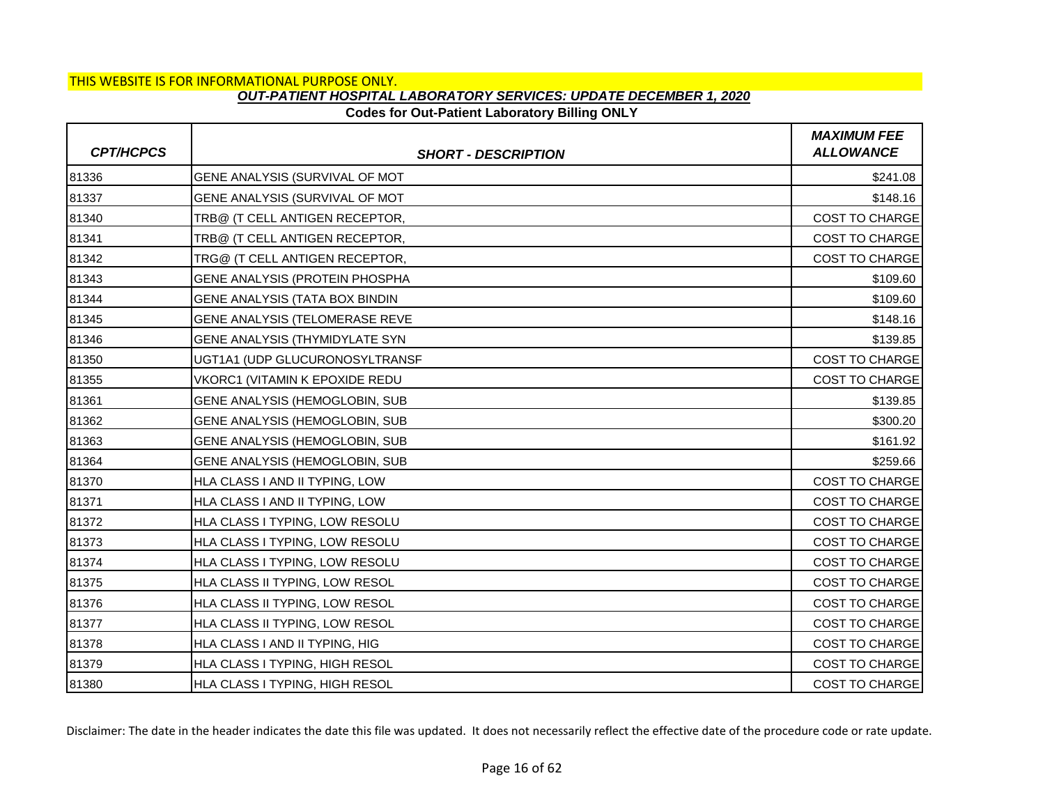## **Codes for Out-Patient Laboratory Billing ONLY**

| <b>CPT/HCPCS</b> | <b>SHORT - DESCRIPTION</b>     | <b>MAXIMUM FEE</b><br><b>ALLOWANCE</b> |
|------------------|--------------------------------|----------------------------------------|
| 81336            | GENE ANALYSIS (SURVIVAL OF MOT | \$241.08                               |
| 81337            | GENE ANALYSIS (SURVIVAL OF MOT | \$148.16                               |
| 81340            | TRB@ (T CELL ANTIGEN RECEPTOR, | <b>COST TO CHARGE</b>                  |
| 81341            | TRB@ (T CELL ANTIGEN RECEPTOR, | <b>COST TO CHARGE</b>                  |
| 81342            | TRG@ (T CELL ANTIGEN RECEPTOR, | COST TO CHARGE                         |
| 81343            | GENE ANALYSIS (PROTEIN PHOSPHA | \$109.60                               |
| 81344            | GENE ANALYSIS (TATA BOX BINDIN | \$109.60                               |
| 81345            | GENE ANALYSIS (TELOMERASE REVE | \$148.16                               |
| 81346            | GENE ANALYSIS (THYMIDYLATE SYN | \$139.85                               |
| 81350            | UGT1A1 (UDP GLUCURONOSYLTRANSF | COST TO CHARGE                         |
| 81355            | VKORC1 (VITAMIN K EPOXIDE REDU | COST TO CHARGE                         |
| 81361            | GENE ANALYSIS (HEMOGLOBIN, SUB | \$139.85                               |
| 81362            | GENE ANALYSIS (HEMOGLOBIN, SUB | \$300.20                               |
| 81363            | GENE ANALYSIS (HEMOGLOBIN, SUB | \$161.92                               |
| 81364            | GENE ANALYSIS (HEMOGLOBIN, SUB | \$259.66                               |
| 81370            | HLA CLASS I AND II TYPING, LOW | COST TO CHARGE                         |
| 81371            | HLA CLASS I AND II TYPING, LOW | COST TO CHARGE                         |
| 81372            | HLA CLASS I TYPING, LOW RESOLU | <b>COST TO CHARGE</b>                  |
| 81373            | HLA CLASS I TYPING, LOW RESOLU | <b>COST TO CHARGE</b>                  |
| 81374            | HLA CLASS I TYPING, LOW RESOLU | COST TO CHARGE                         |
| 81375            | HLA CLASS II TYPING, LOW RESOL | <b>COST TO CHARGE</b>                  |
| 81376            | HLA CLASS II TYPING, LOW RESOL | <b>COST TO CHARGE</b>                  |
| 81377            | HLA CLASS II TYPING, LOW RESOL | COST TO CHARGE                         |
| 81378            | HLA CLASS I AND II TYPING, HIG | <b>COST TO CHARGE</b>                  |
| 81379            | HLA CLASS I TYPING, HIGH RESOL | <b>COST TO CHARGE</b>                  |
| 81380            | HLA CLASS I TYPING, HIGH RESOL | <b>COST TO CHARGE</b>                  |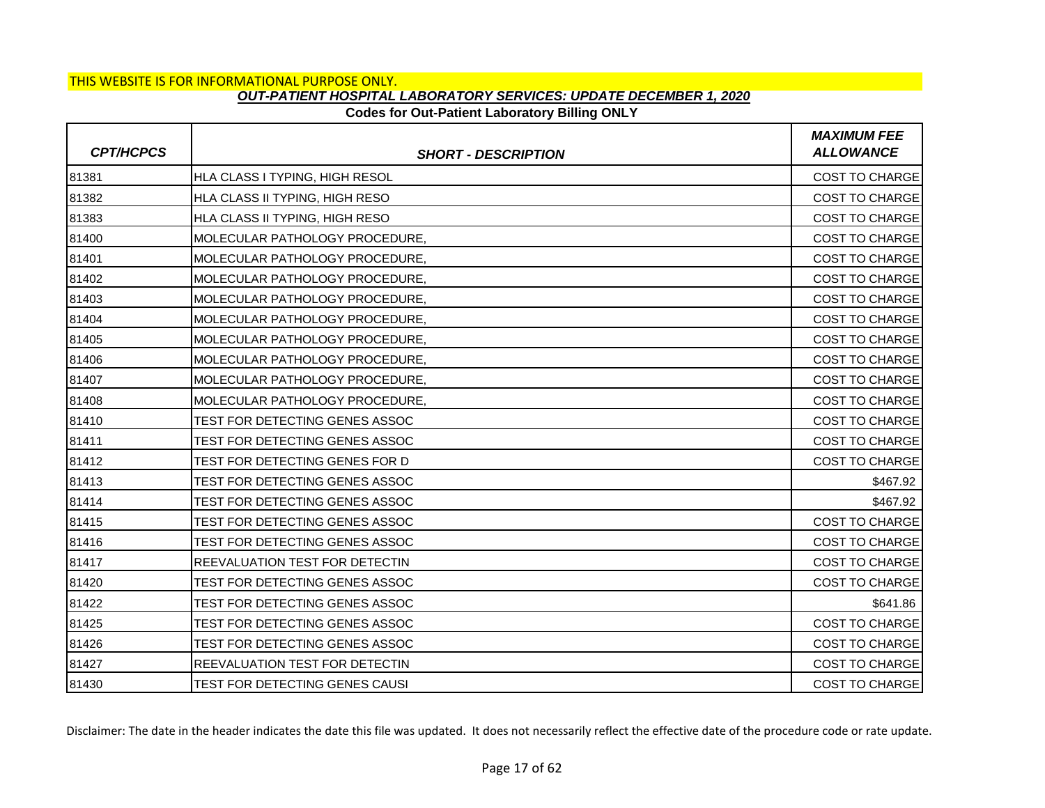### **Codes for Out-Patient Laboratory Billing ONLY**

| <b>CPT/HCPCS</b> | <b>SHORT - DESCRIPTION</b>     | <b>MAXIMUM FEE</b><br><b>ALLOWANCE</b> |
|------------------|--------------------------------|----------------------------------------|
| 81381            | HLA CLASS I TYPING, HIGH RESOL | COST TO CHARGE                         |
| 81382            | HLA CLASS II TYPING, HIGH RESO | <b>COST TO CHARGE</b>                  |
| 81383            | HLA CLASS II TYPING, HIGH RESO | <b>COST TO CHARGE</b>                  |
| 81400            | MOLECULAR PATHOLOGY PROCEDURE. | <b>COST TO CHARGE</b>                  |
| 81401            | MOLECULAR PATHOLOGY PROCEDURE, | <b>COST TO CHARGE</b>                  |
| 81402            | MOLECULAR PATHOLOGY PROCEDURE, | <b>COST TO CHARGE</b>                  |
| 81403            | MOLECULAR PATHOLOGY PROCEDURE. | <b>COST TO CHARGE</b>                  |
| 81404            | MOLECULAR PATHOLOGY PROCEDURE, | <b>COST TO CHARGE</b>                  |
| 81405            | MOLECULAR PATHOLOGY PROCEDURE, | <b>COST TO CHARGE</b>                  |
| 81406            | MOLECULAR PATHOLOGY PROCEDURE, | <b>COST TO CHARGE</b>                  |
| 81407            | MOLECULAR PATHOLOGY PROCEDURE, | COST TO CHARGE                         |
| 81408            | MOLECULAR PATHOLOGY PROCEDURE. | COST TO CHARGE                         |
| 81410            | TEST FOR DETECTING GENES ASSOC | <b>COST TO CHARGE</b>                  |
| 81411            | TEST FOR DETECTING GENES ASSOC | COST TO CHARGE                         |
| 81412            | TEST FOR DETECTING GENES FOR D | <b>COST TO CHARGE</b>                  |
| 81413            | TEST FOR DETECTING GENES ASSOC | \$467.92                               |
| 81414            | TEST FOR DETECTING GENES ASSOC | \$467.92                               |
| 81415            | TEST FOR DETECTING GENES ASSOC | <b>COST TO CHARGE</b>                  |
| 81416            | TEST FOR DETECTING GENES ASSOC | <b>COST TO CHARGE</b>                  |
| 81417            | REEVALUATION TEST FOR DETECTIN | <b>COST TO CHARGE</b>                  |
| 81420            | TEST FOR DETECTING GENES ASSOC | COST TO CHARGE                         |
| 81422            | TEST FOR DETECTING GENES ASSOC | \$641.86                               |
| 81425            | TEST FOR DETECTING GENES ASSOC | <b>COST TO CHARGE</b>                  |
| 81426            | TEST FOR DETECTING GENES ASSOC | <b>COST TO CHARGE</b>                  |
| 81427            | REEVALUATION TEST FOR DETECTIN | COST TO CHARGE                         |
| 81430            | TEST FOR DETECTING GENES CAUSI | <b>COST TO CHARGE</b>                  |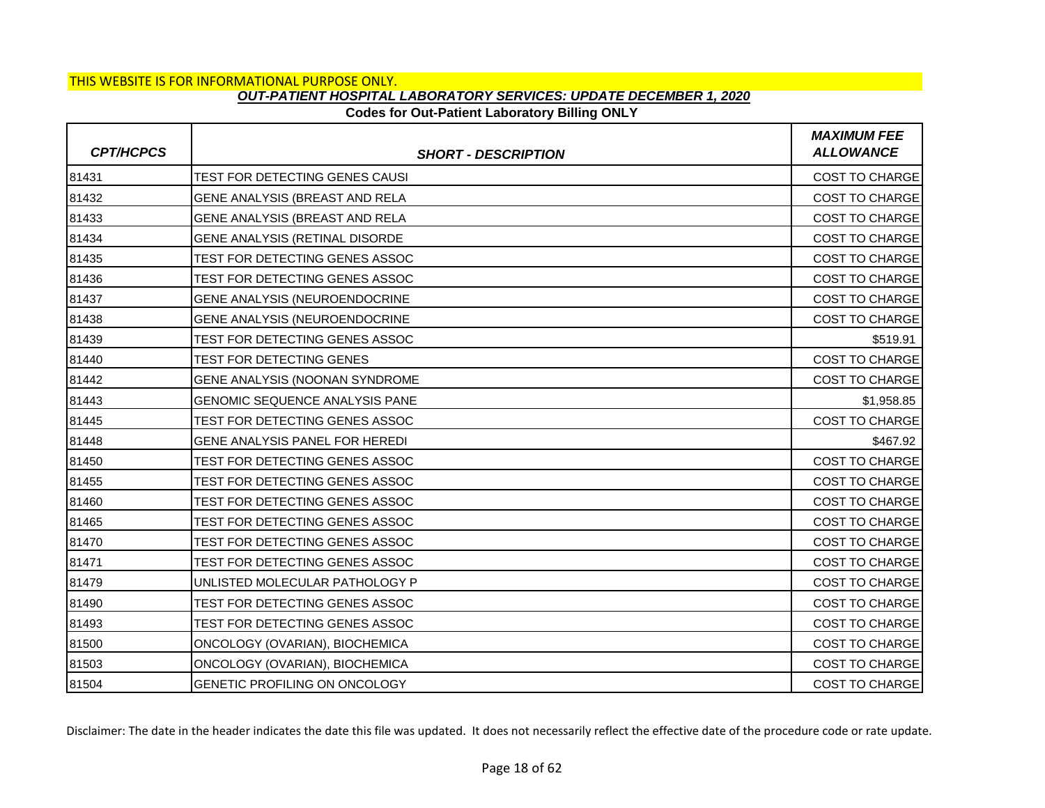### **Codes for Out-Patient Laboratory Billing ONLY**

| <b>CPT/HCPCS</b> | <b>SHORT - DESCRIPTION</b>            | <b>MAXIMUM FEE</b><br><b>ALLOWANCE</b> |
|------------------|---------------------------------------|----------------------------------------|
| 81431            | TEST FOR DETECTING GENES CAUSI        | COST TO CHARGE                         |
| 81432            | GENE ANALYSIS (BREAST AND RELA        | COST TO CHARGE                         |
| 81433            | GENE ANALYSIS (BREAST AND RELA        | <b>COST TO CHARGE</b>                  |
| 81434            | GENE ANALYSIS (RETINAL DISORDE        | <b>COST TO CHARGE</b>                  |
| 81435            | TEST FOR DETECTING GENES ASSOC        | <b>COST TO CHARGE</b>                  |
| 81436            | TEST FOR DETECTING GENES ASSOC        | <b>COST TO CHARGE</b>                  |
| 81437            | GENE ANALYSIS (NEUROENDOCRINE         | <b>COST TO CHARGE</b>                  |
| 81438            | GENE ANALYSIS (NEUROENDOCRINE         | <b>COST TO CHARGE</b>                  |
| 81439            | TEST FOR DETECTING GENES ASSOC        | \$519.91                               |
| 81440            | TEST FOR DETECTING GENES              | COST TO CHARGE                         |
| 81442            | GENE ANALYSIS (NOONAN SYNDROME        | COST TO CHARGE                         |
| 81443            | <b>GENOMIC SEQUENCE ANALYSIS PANE</b> | \$1,958.85                             |
| 81445            | TEST FOR DETECTING GENES ASSOC        | <b>COST TO CHARGE</b>                  |
| 81448            | GENE ANALYSIS PANEL FOR HEREDI        | \$467.92                               |
| 81450            | TEST FOR DETECTING GENES ASSOC        | <b>COST TO CHARGE</b>                  |
| 81455            | TEST FOR DETECTING GENES ASSOC        | <b>COST TO CHARGE</b>                  |
| 81460            | TEST FOR DETECTING GENES ASSOC        | COST TO CHARGE                         |
| 81465            | TEST FOR DETECTING GENES ASSOC        | <b>COST TO CHARGE</b>                  |
| 81470            | TEST FOR DETECTING GENES ASSOC        | <b>COST TO CHARGE</b>                  |
| 81471            | TEST FOR DETECTING GENES ASSOC        | COST TO CHARGE                         |
| 81479            | UNLISTED MOLECULAR PATHOLOGY P        | COST TO CHARGE                         |
| 81490            | TEST FOR DETECTING GENES ASSOC        | <b>COST TO CHARGE</b>                  |
| 81493            | TEST FOR DETECTING GENES ASSOC        | COST TO CHARGE                         |
| 81500            | ONCOLOGY (OVARIAN), BIOCHEMICA        | <b>COST TO CHARGE</b>                  |
| 81503            | ONCOLOGY (OVARIAN), BIOCHEMICA        | <b>COST TO CHARGE</b>                  |
| 81504            | GENETIC PROFILING ON ONCOLOGY         | <b>COST TO CHARGE</b>                  |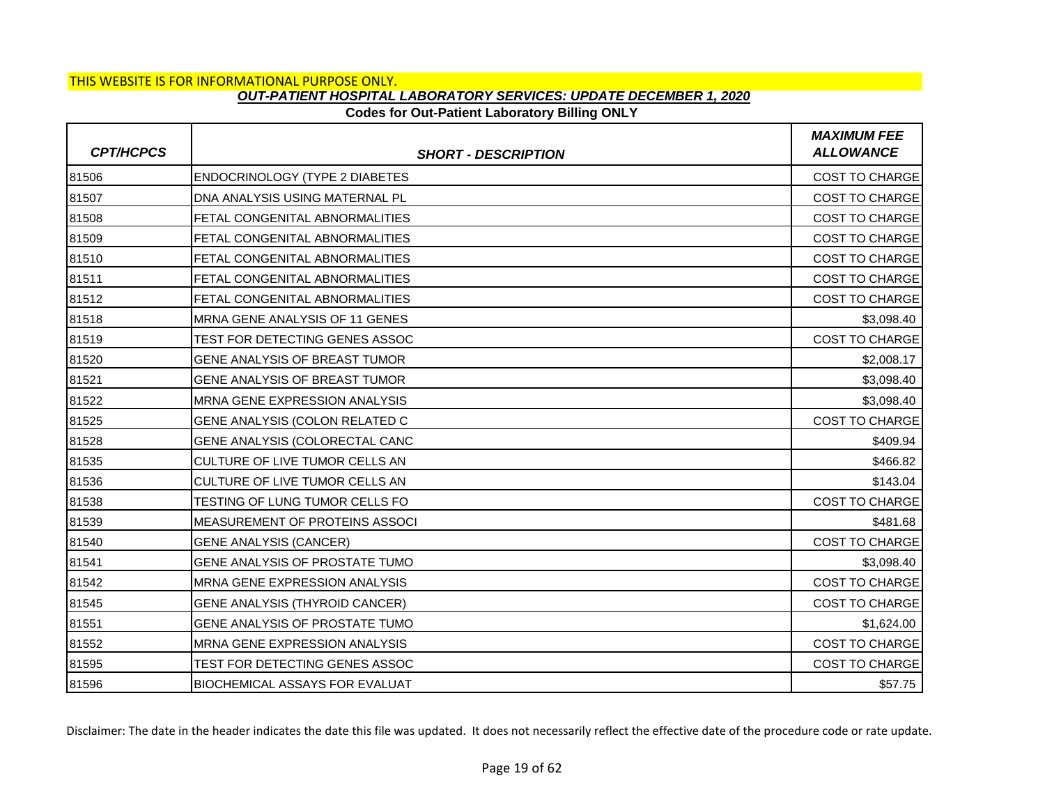### **Codes for Out-Patient Laboratory Billing ONLY**

| <b>CPT/HCPCS</b> | <b>SHORT - DESCRIPTION</b>            | <b>MAXIMUM FEE</b><br><b>ALLOWANCE</b> |
|------------------|---------------------------------------|----------------------------------------|
| 81506            | <b>ENDOCRINOLOGY (TYPE 2 DIABETES</b> | COST TO CHARGE                         |
| 81507            | DNA ANALYSIS USING MATERNAL PL        | <b>COST TO CHARGE</b>                  |
| 81508            | FETAL CONGENITAL ABNORMALITIES        | <b>COST TO CHARGE</b>                  |
| 81509            | FETAL CONGENITAL ABNORMALITIES        | <b>COST TO CHARGE</b>                  |
| 81510            | FETAL CONGENITAL ABNORMALITIES        | <b>COST TO CHARGE</b>                  |
| 81511            | FETAL CONGENITAL ABNORMALITIES        | <b>COST TO CHARGE</b>                  |
| 81512            | <b>FETAL CONGENITAL ABNORMALITIES</b> | <b>COST TO CHARGE</b>                  |
| 81518            | MRNA GENE ANALYSIS OF 11 GENES        | \$3,098.40                             |
| 81519            | TEST FOR DETECTING GENES ASSOC        | COST TO CHARGE                         |
| 81520            | <b>GENE ANALYSIS OF BREAST TUMOR</b>  | \$2,008.17                             |
| 81521            | GENE ANALYSIS OF BREAST TUMOR         | \$3,098.40                             |
| 81522            | MRNA GENE EXPRESSION ANALYSIS         | \$3,098.40                             |
| 81525            | GENE ANALYSIS (COLON RELATED C        | <b>COST TO CHARGE</b>                  |
| 81528            | GENE ANALYSIS (COLORECTAL CANC        | \$409.94                               |
| 81535            | CULTURE OF LIVE TUMOR CELLS AN        | \$466.82                               |
| 81536            | CULTURE OF LIVE TUMOR CELLS AN        | \$143.04                               |
| 81538            | TESTING OF LUNG TUMOR CELLS FO        | COST TO CHARGE                         |
| 81539            | IMEASUREMENT OF PROTEINS ASSOCI       | \$481.68                               |
| 81540            | <b>GENE ANALYSIS (CANCER)</b>         | <b>COST TO CHARGE</b>                  |
| 81541            | GENE ANALYSIS OF PROSTATE TUMO        | \$3,098.40                             |
| 81542            | MRNA GENE EXPRESSION ANALYSIS         | COST TO CHARGE                         |
| 81545            | <b>GENE ANALYSIS (THYROID CANCER)</b> | <b>COST TO CHARGE</b>                  |
| 81551            | GENE ANALYSIS OF PROSTATE TUMO        | \$1,624.00                             |
| 81552            | MRNA GENE EXPRESSION ANALYSIS         | <b>COST TO CHARGE</b>                  |
| 81595            | TEST FOR DETECTING GENES ASSOC        | <b>COST TO CHARGE</b>                  |
| 81596            | <b>BIOCHEMICAL ASSAYS FOR EVALUAT</b> | \$57.75                                |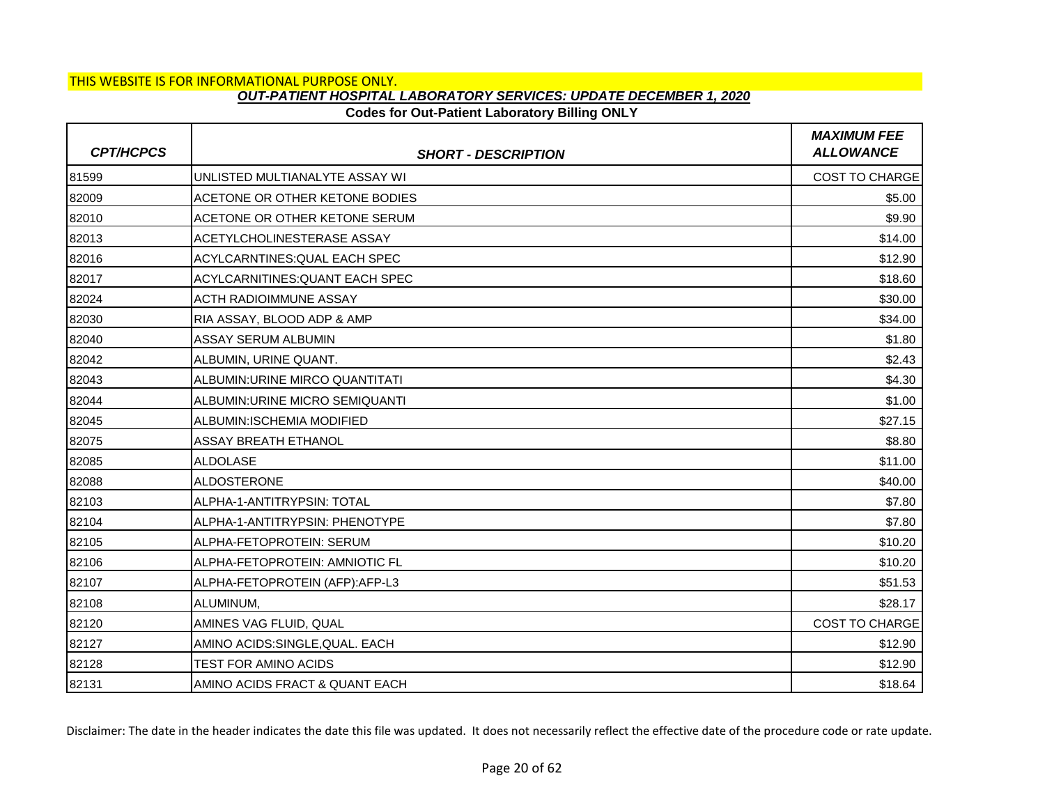## **Codes for Out-Patient Laboratory Billing ONLY**

| <b>CPT/HCPCS</b> | <b>SHORT - DESCRIPTION</b>      | <b>MAXIMUM FEE</b><br><b>ALLOWANCE</b> |
|------------------|---------------------------------|----------------------------------------|
| 81599            | UNLISTED MULTIANALYTE ASSAY WI  | <b>COST TO CHARGE</b>                  |
| 82009            | ACETONE OR OTHER KETONE BODIES  | \$5.00                                 |
| 82010            | ACETONE OR OTHER KETONE SERUM   | \$9.90                                 |
| 82013            | ACETYLCHOLINESTERASE ASSAY      | \$14.00                                |
| 82016            | ACYLCARNTINES: QUAL EACH SPEC   | \$12.90                                |
| 82017            | ACYLCARNITINES: QUANT EACH SPEC | \$18.60                                |
| 82024            | <b>ACTH RADIOIMMUNE ASSAY</b>   | \$30.00                                |
| 82030            | RIA ASSAY, BLOOD ADP & AMP      | \$34.00                                |
| 82040            | <b>ASSAY SERUM ALBUMIN</b>      | \$1.80                                 |
| 82042            | ALBUMIN, URINE QUANT.           | \$2.43                                 |
| 82043            | ALBUMIN: URINE MIRCO QUANTITATI | \$4.30                                 |
| 82044            | ALBUMIN: URINE MICRO SEMIQUANTI | \$1.00                                 |
| 82045            | ALBUMIN: ISCHEMIA MODIFIED      | \$27.15                                |
| 82075            | <b>ASSAY BREATH ETHANOL</b>     | \$8.80                                 |
| 82085            | <b>ALDOLASE</b>                 | \$11.00                                |
| 82088            | <b>ALDOSTERONE</b>              | \$40.00                                |
| 82103            | ALPHA-1-ANTITRYPSIN: TOTAL      | \$7.80                                 |
| 82104            | ALPHA-1-ANTITRYPSIN: PHENOTYPE  | \$7.80                                 |
| 82105            | ALPHA-FETOPROTEIN: SERUM        | \$10.20                                |
| 82106            | ALPHA-FETOPROTEIN: AMNIOTIC FL  | \$10.20                                |
| 82107            | ALPHA-FETOPROTEIN (AFP):AFP-L3  | \$51.53                                |
| 82108            | ALUMINUM,                       | \$28.17                                |
| 82120            | AMINES VAG FLUID, QUAL          | <b>COST TO CHARGE</b>                  |
| 82127            | AMINO ACIDS: SINGLE, QUAL. EACH | \$12.90                                |
| 82128            | TEST FOR AMINO ACIDS            | \$12.90                                |
| 82131            | AMINO ACIDS FRACT & QUANT EACH  | \$18.64                                |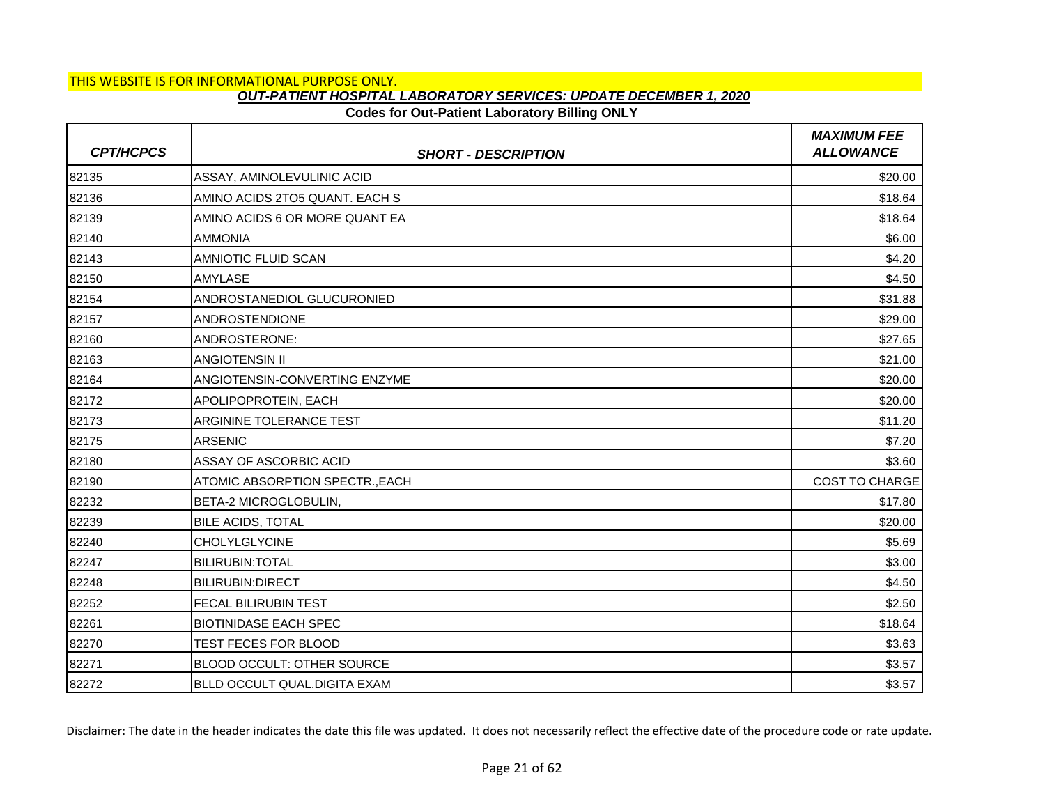## **Codes for Out-Patient Laboratory Billing ONLY**

| <b>CPT/HCPCS</b> | <b>SHORT - DESCRIPTION</b>          | <b>MAXIMUM FEE</b><br><b>ALLOWANCE</b> |
|------------------|-------------------------------------|----------------------------------------|
| 82135            | ASSAY, AMINOLEVULINIC ACID          | \$20.00                                |
| 82136            | AMINO ACIDS 2TO5 QUANT. EACH S      | \$18.64                                |
| 82139            | AMINO ACIDS 6 OR MORE QUANT EA      | \$18.64                                |
| 82140            | <b>AMMONIA</b>                      | \$6.00                                 |
| 82143            | <b>AMNIOTIC FLUID SCAN</b>          | \$4.20                                 |
| 82150            | <b>AMYLASE</b>                      | \$4.50                                 |
| 82154            | ANDROSTANEDIOL GLUCURONIED          | \$31.88                                |
| 82157            | <b>ANDROSTENDIONE</b>               | \$29.00                                |
| 82160            | ANDROSTERONE:                       | \$27.65                                |
| 82163            | <b>ANGIOTENSIN II</b>               | \$21.00                                |
| 82164            | ANGIOTENSIN-CONVERTING ENZYME       | \$20.00                                |
| 82172            | APOLIPOPROTEIN, EACH                | \$20.00                                |
| 82173            | ARGININE TOLERANCE TEST             | \$11.20                                |
| 82175            | <b>ARSENIC</b>                      | \$7.20                                 |
| 82180            | ASSAY OF ASCORBIC ACID              | \$3.60                                 |
| 82190            | ATOMIC ABSORPTION SPECTR., EACH     | COST TO CHARGE                         |
| 82232            | BETA-2 MICROGLOBULIN,               | \$17.80                                |
| 82239            | <b>BILE ACIDS, TOTAL</b>            | \$20.00                                |
| 82240            | <b>CHOLYLGLYCINE</b>                | \$5.69                                 |
| 82247            | <b>BILIRUBIN: TOTAL</b>             | \$3.00                                 |
| 82248            | <b>BILIRUBIN:DIRECT</b>             | \$4.50                                 |
| 82252            | <b>FECAL BILIRUBIN TEST</b>         | \$2.50                                 |
| 82261            | <b>BIOTINIDASE EACH SPEC</b>        | \$18.64                                |
| 82270            | TEST FECES FOR BLOOD                | \$3.63                                 |
| 82271            | BLOOD OCCULT: OTHER SOURCE          | \$3.57                                 |
| 82272            | <b>BLLD OCCULT QUAL DIGITA EXAM</b> | \$3.57                                 |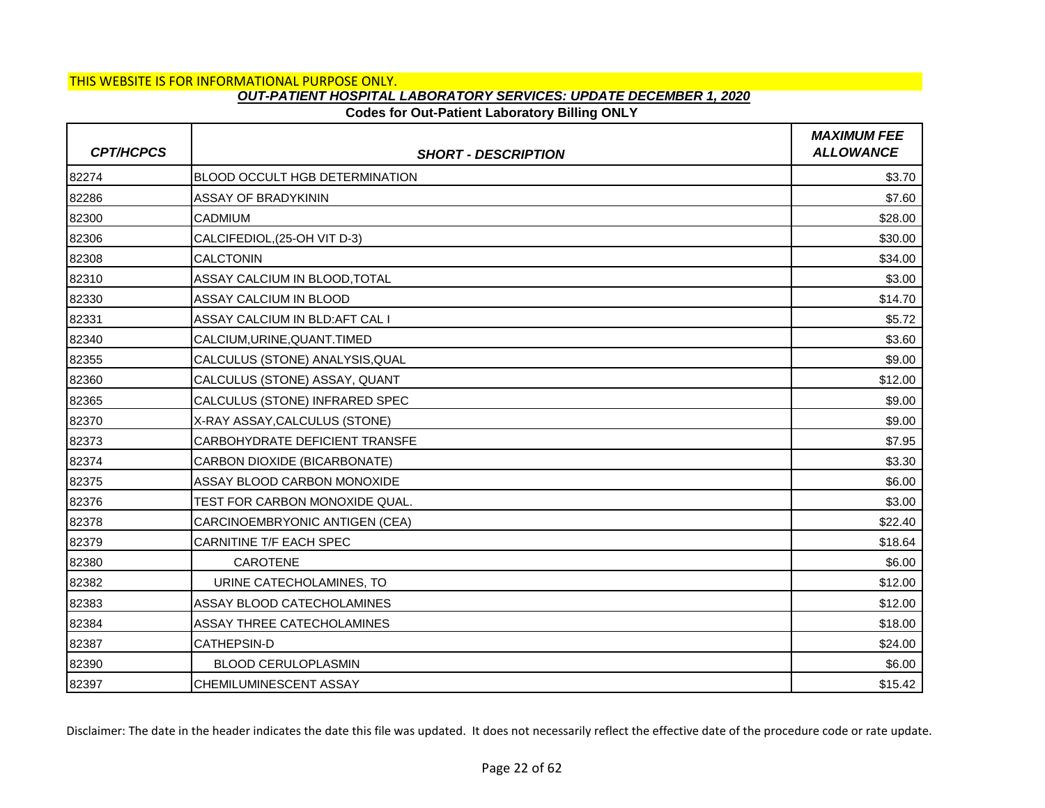# **Codes for Out-Patient Laboratory Billing ONLY**

| <b>CPT/HCPCS</b> | <b>SHORT - DESCRIPTION</b>            | <b>MAXIMUM FEE</b><br><b>ALLOWANCE</b> |
|------------------|---------------------------------------|----------------------------------------|
| 82274            | <b>BLOOD OCCULT HGB DETERMINATION</b> | \$3.70                                 |
| 82286            | <b>ASSAY OF BRADYKININ</b>            | \$7.60                                 |
| 82300            | <b>CADMIUM</b>                        | \$28.00                                |
| 82306            | CALCIFEDIOL, (25-OH VIT D-3)          | \$30.00                                |
| 82308            | <b>CALCTONIN</b>                      | \$34.00                                |
| 82310            | ASSAY CALCIUM IN BLOOD, TOTAL         | \$3.00                                 |
| 82330            | ASSAY CALCIUM IN BLOOD                | \$14.70                                |
| 82331            | ASSAY CALCIUM IN BLD: AFT CAL I       | \$5.72                                 |
| 82340            | CALCIUM, URINE, QUANT. TIMED          | \$3.60                                 |
| 82355            | CALCULUS (STONE) ANALYSIS, QUAL       | \$9.00                                 |
| 82360            | CALCULUS (STONE) ASSAY, QUANT         | \$12.00                                |
| 82365            | CALCULUS (STONE) INFRARED SPEC        | \$9.00                                 |
| 82370            | X-RAY ASSAY, CALCULUS (STONE)         | \$9.00                                 |
| 82373            | CARBOHYDRATE DEFICIENT TRANSFE        | \$7.95                                 |
| 82374            | CARBON DIOXIDE (BICARBONATE)          | \$3.30                                 |
| 82375            | ASSAY BLOOD CARBON MONOXIDE           | \$6.00                                 |
| 82376            | TEST FOR CARBON MONOXIDE QUAL.        | \$3.00                                 |
| 82378            | CARCINOEMBRYONIC ANTIGEN (CEA)        | \$22.40                                |
| 82379            | CARNITINE T/F EACH SPEC               | \$18.64                                |
| 82380            | <b>CAROTENE</b>                       | \$6.00                                 |
| 82382            | URINE CATECHOLAMINES, TO              | \$12.00                                |
| 82383            | ASSAY BLOOD CATECHOLAMINES            | \$12.00                                |
| 82384            | ASSAY THREE CATECHOLAMINES            | \$18.00                                |
| 82387            | <b>CATHEPSIN-D</b>                    | \$24.00                                |
| 82390            | <b>BLOOD CERULOPLASMIN</b>            | \$6.00                                 |
| 82397            | <b>CHEMILUMINESCENT ASSAY</b>         | \$15.42                                |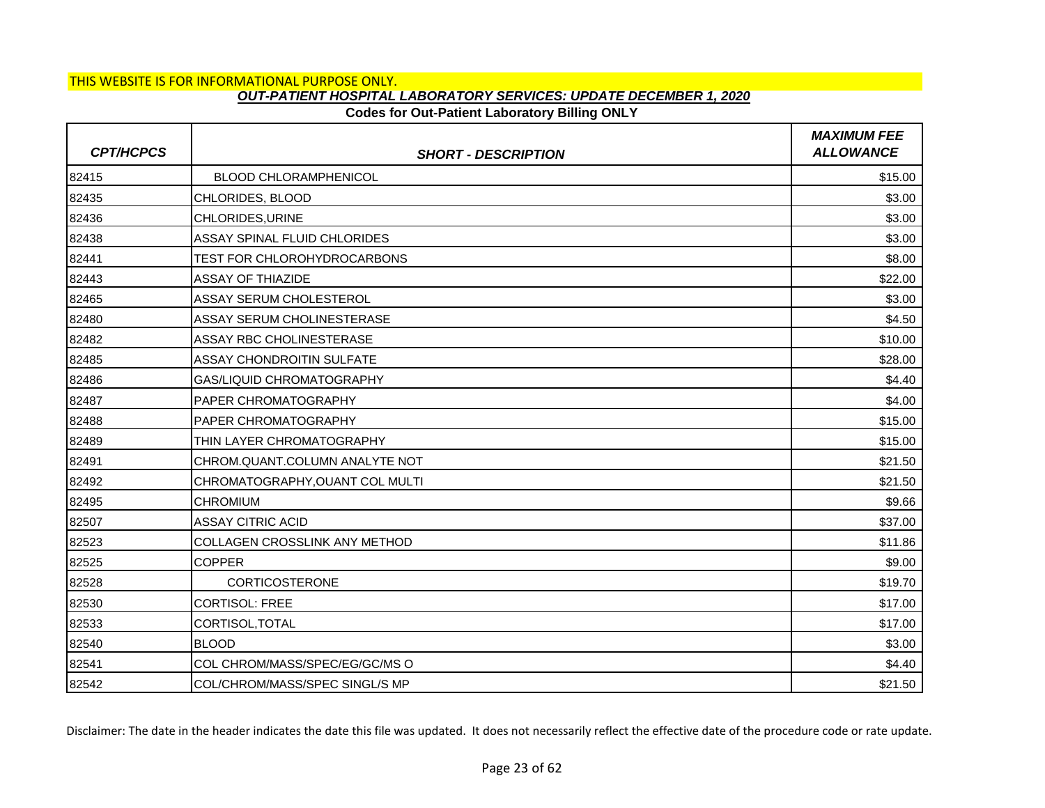## **Codes for Out-Patient Laboratory Billing ONLY**

| <b>CPT/HCPCS</b> | <b>SHORT - DESCRIPTION</b>       | <b>MAXIMUM FEE</b><br><b>ALLOWANCE</b> |
|------------------|----------------------------------|----------------------------------------|
| 82415            | <b>BLOOD CHLORAMPHENICOL</b>     | \$15.00                                |
| 82435            | CHLORIDES, BLOOD                 | \$3.00                                 |
| 82436            | CHLORIDES, URINE                 | \$3.00                                 |
| 82438            | ASSAY SPINAL FLUID CHLORIDES     | \$3.00                                 |
| 82441            | TEST FOR CHLOROHYDROCARBONS      | \$8.00                                 |
| 82443            | <b>ASSAY OF THIAZIDE</b>         | \$22.00                                |
| 82465            | ASSAY SERUM CHOLESTEROL          | \$3.00                                 |
| 82480            | ASSAY SERUM CHOLINESTERASE       | \$4.50                                 |
| 82482            | ASSAY RBC CHOLINESTERASE         | \$10.00                                |
| 82485            | <b>ASSAY CHONDROITIN SULFATE</b> | \$28.00                                |
| 82486            | GAS/LIQUID CHROMATOGRAPHY        | \$4.40                                 |
| 82487            | <b>PAPER CHROMATOGRAPHY</b>      | \$4.00                                 |
| 82488            | <b>PAPER CHROMATOGRAPHY</b>      | \$15.00                                |
| 82489            | THIN LAYER CHROMATOGRAPHY        | \$15.00                                |
| 82491            | CHROM.QUANT.COLUMN ANALYTE NOT   | \$21.50                                |
| 82492            | CHROMATOGRAPHY, OUANT COL MULTI  | \$21.50                                |
| 82495            | <b>CHROMIUM</b>                  | \$9.66                                 |
| 82507            | <b>ASSAY CITRIC ACID</b>         | \$37.00                                |
| 82523            | COLLAGEN CROSSLINK ANY METHOD    | \$11.86                                |
| 82525            | <b>COPPER</b>                    | \$9.00                                 |
| 82528            | <b>CORTICOSTERONE</b>            | \$19.70                                |
| 82530            | <b>CORTISOL: FREE</b>            | \$17.00                                |
| 82533            | CORTISOL, TOTAL                  | \$17.00                                |
| 82540            | <b>BLOOD</b>                     | \$3.00                                 |
| 82541            | COL CHROM/MASS/SPEC/EG/GC/MS O   | \$4.40                                 |
| 82542            | COL/CHROM/MASS/SPEC SINGL/S MP   | \$21.50                                |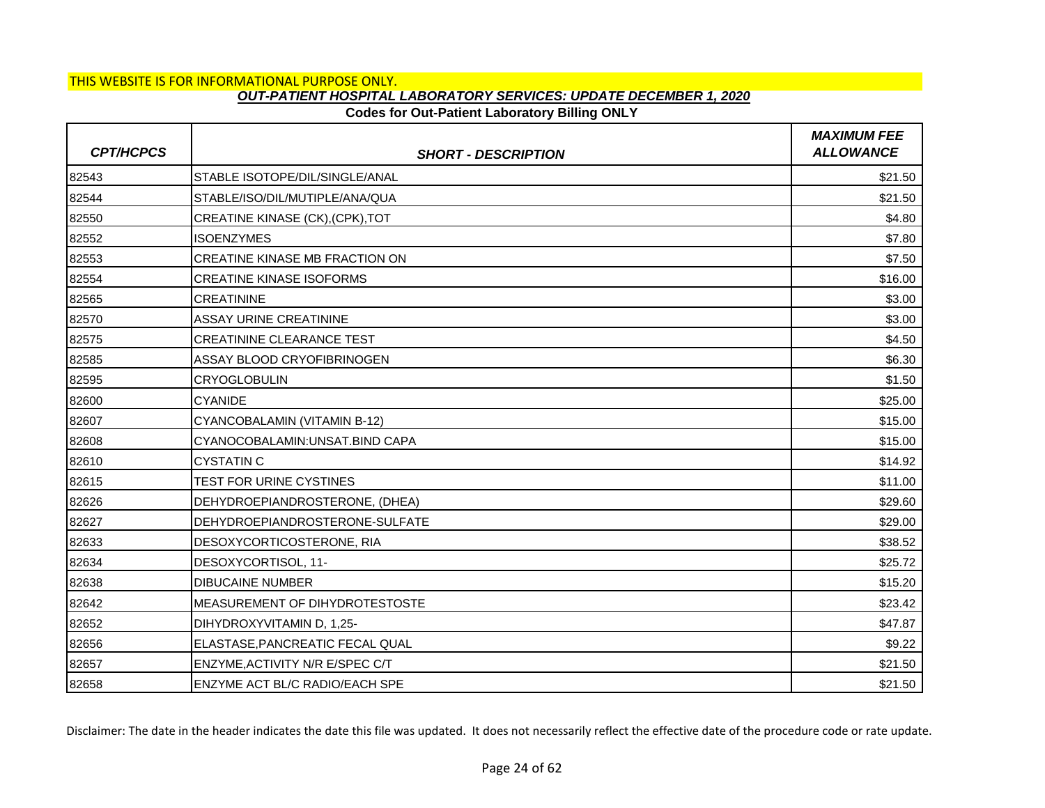# **Codes for Out-Patient Laboratory Billing ONLY**

| <b>CPT/HCPCS</b> | <b>SHORT - DESCRIPTION</b>            | <b>MAXIMUM FEE</b><br><b>ALLOWANCE</b> |
|------------------|---------------------------------------|----------------------------------------|
| 82543            | STABLE ISOTOPE/DIL/SINGLE/ANAL        | \$21.50                                |
| 82544            | STABLE/ISO/DIL/MUTIPLE/ANA/QUA        | \$21.50                                |
| 82550            | CREATINE KINASE (CK), (CPK), TOT      | \$4.80                                 |
| 82552            | <b>ISOENZYMES</b>                     | \$7.80                                 |
| 82553            | CREATINE KINASE MB FRACTION ON        | \$7.50                                 |
| 82554            | <b>CREATINE KINASE ISOFORMS</b>       | \$16.00                                |
| 82565            | <b>CREATININE</b>                     | \$3.00                                 |
| 82570            | <b>ASSAY URINE CREATININE</b>         | \$3.00                                 |
| 82575            | <b>CREATININE CLEARANCE TEST</b>      | \$4.50                                 |
| 82585            | ASSAY BLOOD CRYOFIBRINOGEN            | \$6.30                                 |
| 82595            | <b>CRYOGLOBULIN</b>                   | \$1.50                                 |
| 82600            | <b>CYANIDE</b>                        | \$25.00                                |
| 82607            | CYANCOBALAMIN (VITAMIN B-12)          | \$15.00                                |
| 82608            | CYANOCOBALAMIN: UNSAT. BIND CAPA      | \$15.00                                |
| 82610            | <b>CYSTATIN C</b>                     | \$14.92                                |
| 82615            | TEST FOR URINE CYSTINES               | \$11.00                                |
| 82626            | DEHYDROEPIANDROSTERONE, (DHEA)        | \$29.60                                |
| 82627            | DEHYDROEPIANDROSTERONE-SULFATE        | \$29.00                                |
| 82633            | DESOXYCORTICOSTERONE, RIA             | \$38.52                                |
| 82634            | DESOXYCORTISOL, 11-                   | \$25.72                                |
| 82638            | <b>DIBUCAINE NUMBER</b>               | \$15.20                                |
| 82642            | MEASUREMENT OF DIHYDROTESTOSTE        | \$23.42                                |
| 82652            | DIHYDROXYVITAMIN D, 1,25-             | \$47.87                                |
| 82656            | ELASTASE, PANCREATIC FECAL QUAL       | \$9.22                                 |
| 82657            | ENZYME, ACTIVITY N/R E/SPEC C/T       | \$21.50                                |
| 82658            | <b>ENZYME ACT BL/C RADIO/EACH SPE</b> | \$21.50                                |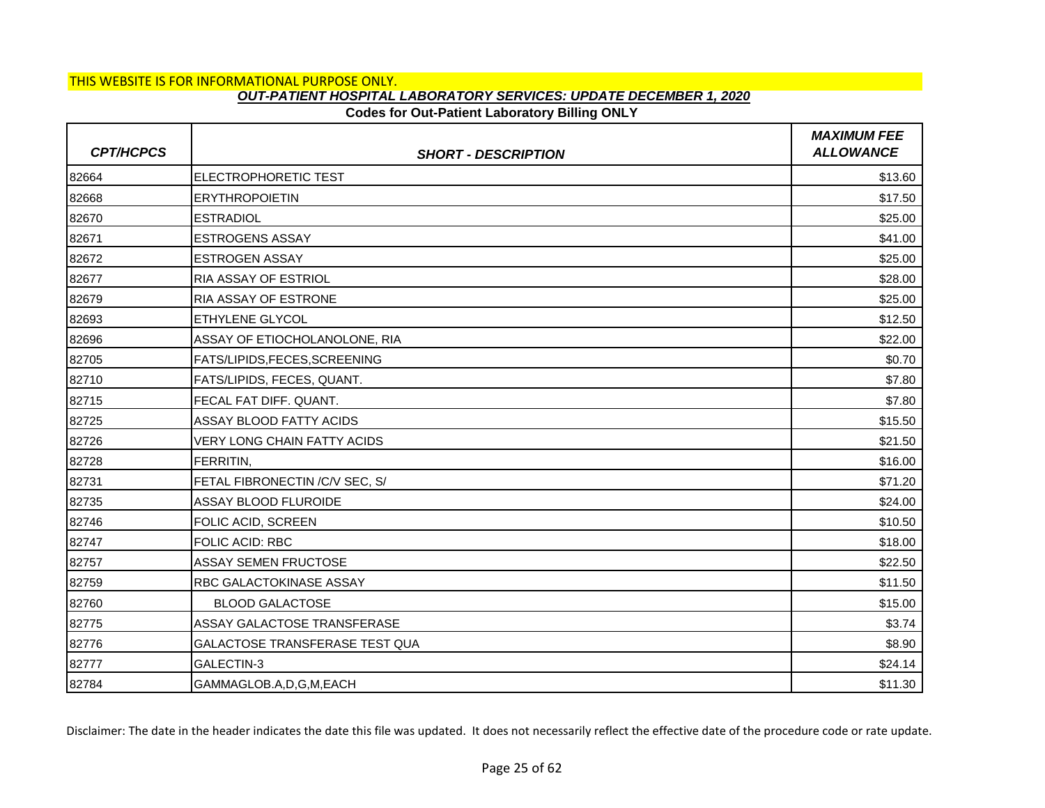### **Codes for Out-Patient Laboratory Billing ONLY**

| <b>CPT/HCPCS</b> | <b>SHORT - DESCRIPTION</b>         | <b>MAXIMUM FEE</b><br><b>ALLOWANCE</b> |
|------------------|------------------------------------|----------------------------------------|
| 82664            | <b>ELECTROPHORETIC TEST</b>        | \$13.60                                |
| 82668            | <b>ERYTHROPOIETIN</b>              | \$17.50                                |
| 82670            | <b>ESTRADIOL</b>                   | \$25.00                                |
| 82671            | <b>ESTROGENS ASSAY</b>             | \$41.00                                |
| 82672            | <b>ESTROGEN ASSAY</b>              | \$25.00                                |
| 82677            | <b>RIA ASSAY OF ESTRIOL</b>        | \$28.00                                |
| 82679            | <b>RIA ASSAY OF ESTRONE</b>        | \$25.00                                |
| 82693            | <b>ETHYLENE GLYCOL</b>             | \$12.50                                |
| 82696            | ASSAY OF ETIOCHOLANOLONE, RIA      | \$22.00                                |
| 82705            | FATS/LIPIDS,FECES,SCREENING        | \$0.70                                 |
| 82710            | FATS/LIPIDS, FECES, QUANT.         | \$7.80                                 |
| 82715            | FECAL FAT DIFF, QUANT.             | \$7.80                                 |
| 82725            | ASSAY BLOOD FATTY ACIDS            | \$15.50                                |
| 82726            | <b>VERY LONG CHAIN FATTY ACIDS</b> | \$21.50                                |
| 82728            | FERRITIN,                          | \$16.00                                |
| 82731            | FETAL FIBRONECTIN / C/V SEC, S/    | \$71.20                                |
| 82735            | ASSAY BLOOD FLUROIDE               | \$24.00                                |
| 82746            | <b>FOLIC ACID, SCREEN</b>          | \$10.50                                |
| 82747            | <b>FOLIC ACID: RBC</b>             | \$18.00                                |
| 82757            | <b>ASSAY SEMEN FRUCTOSE</b>        | \$22.50                                |
| 82759            | <b>RBC GALACTOKINASE ASSAY</b>     | \$11.50                                |
| 82760            | <b>BLOOD GALACTOSE</b>             | \$15.00                                |
| 82775            | ASSAY GALACTOSE TRANSFERASE        | \$3.74                                 |
| 82776            | GALACTOSE TRANSFERASE TEST QUA     | \$8.90                                 |
| 82777            | GALECTIN-3                         | \$24.14                                |
| 82784            | GAMMAGLOB.A,D,G,M,EACH             | \$11.30                                |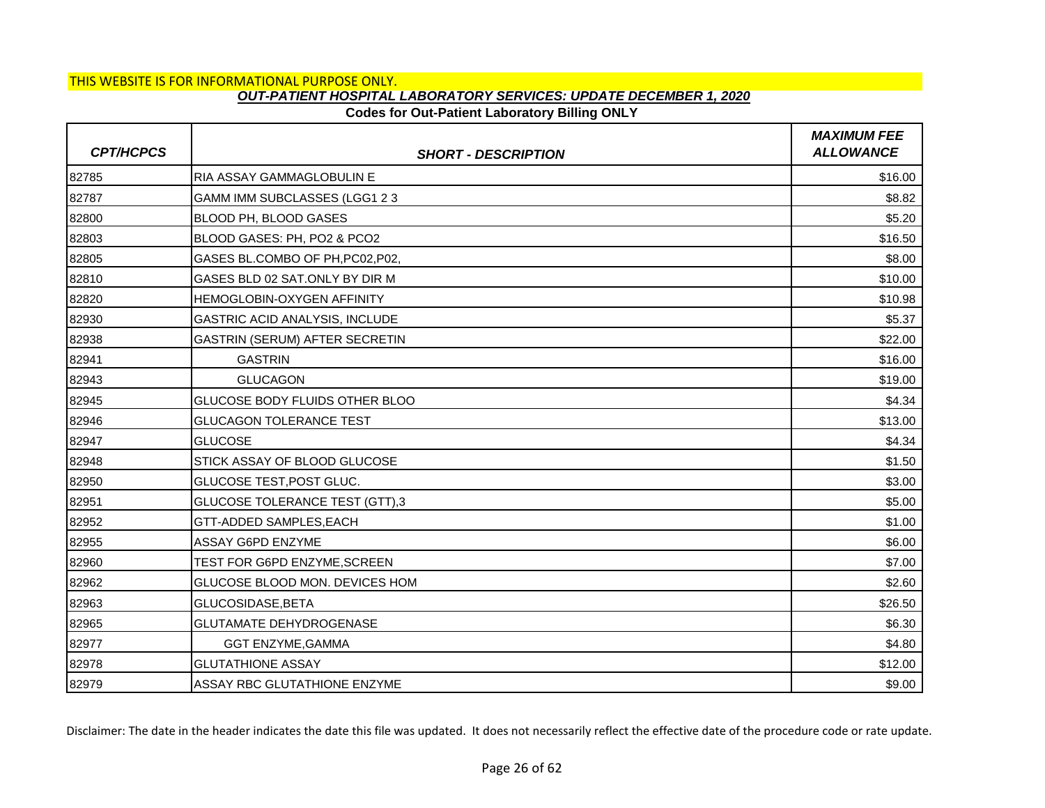# **Codes for Out-Patient Laboratory Billing ONLY**

| <b>CPT/HCPCS</b> | <b>SHORT - DESCRIPTION</b>       | <b>MAXIMUM FEE</b><br><b>ALLOWANCE</b> |
|------------------|----------------------------------|----------------------------------------|
| 82785            | RIA ASSAY GAMMAGLOBULIN E        | \$16.00                                |
| 82787            | GAMM IMM SUBCLASSES (LGG1 2 3    | \$8.82                                 |
| 82800            | BLOOD PH, BLOOD GASES            | \$5.20                                 |
| 82803            | BLOOD GASES: PH, PO2 & PCO2      | \$16.50                                |
| 82805            | GASES BL.COMBO OF PH, PC02, P02, | \$8.00                                 |
| 82810            | GASES BLD 02 SAT.ONLY BY DIR M   | \$10.00                                |
| 82820            | HEMOGLOBIN-OXYGEN AFFINITY       | \$10.98                                |
| 82930            | GASTRIC ACID ANALYSIS, INCLUDE   | \$5.37                                 |
| 82938            | GASTRIN (SERUM) AFTER SECRETIN   | \$22.00                                |
| 82941            | <b>GASTRIN</b>                   | \$16.00                                |
| 82943            | <b>GLUCAGON</b>                  | \$19.00                                |
| 82945            | GLUCOSE BODY FLUIDS OTHER BLOO   | \$4.34                                 |
| 82946            | <b>GLUCAGON TOLERANCE TEST</b>   | \$13.00                                |
| 82947            | <b>GLUCOSE</b>                   | \$4.34                                 |
| 82948            | STICK ASSAY OF BLOOD GLUCOSE     | \$1.50                                 |
| 82950            | GLUCOSE TEST, POST GLUC.         | \$3.00                                 |
| 82951            | GLUCOSE TOLERANCE TEST (GTT),3   | \$5.00                                 |
| 82952            | GTT-ADDED SAMPLES, EACH          | \$1.00                                 |
| 82955            | ASSAY G6PD ENZYME                | \$6.00                                 |
| 82960            | TEST FOR G6PD ENZYME, SCREEN     | \$7.00                                 |
| 82962            | GLUCOSE BLOOD MON. DEVICES HOM   | \$2.60                                 |
| 82963            | GLUCOSIDASE, BETA                | \$26.50                                |
| 82965            | <b>GLUTAMATE DEHYDROGENASE</b>   | \$6.30                                 |
| 82977            | <b>GGT ENZYME, GAMMA</b>         | \$4.80                                 |
| 82978            | <b>GLUTATHIONE ASSAY</b>         | \$12.00                                |
| 82979            | ASSAY RBC GLUTATHIONE ENZYME     | \$9.00                                 |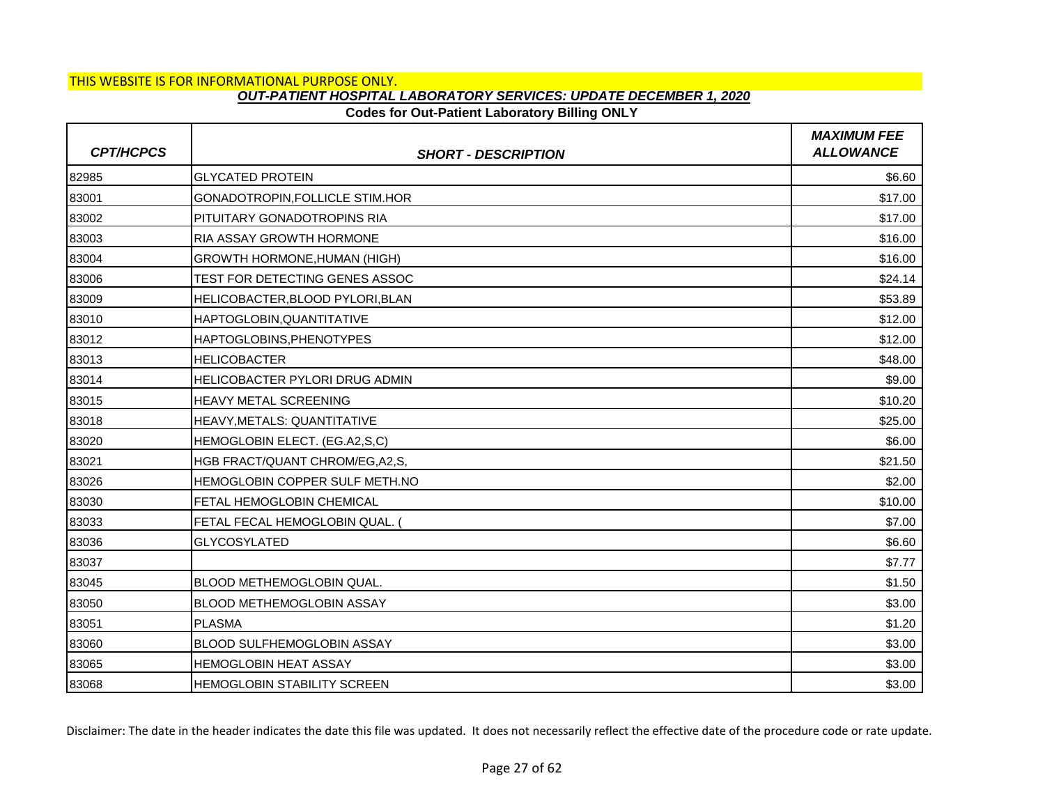# **Codes for Out-Patient Laboratory Billing ONLY**

| <b>CPT/HCPCS</b> | <b>SHORT - DESCRIPTION</b>          | <b>MAXIMUM FEE</b><br><b>ALLOWANCE</b> |
|------------------|-------------------------------------|----------------------------------------|
| 82985            | <b>GLYCATED PROTEIN</b>             | \$6.60                                 |
| 83001            | GONADOTROPIN, FOLLICLE STIM.HOR     | \$17.00                                |
| 83002            | PITUITARY GONADOTROPINS RIA         | \$17.00                                |
| 83003            | <b>RIA ASSAY GROWTH HORMONE</b>     | \$16.00                                |
| 83004            | <b>GROWTH HORMONE, HUMAN (HIGH)</b> | \$16.00                                |
| 83006            | TEST FOR DETECTING GENES ASSOC      | \$24.14                                |
| 83009            | HELICOBACTER, BLOOD PYLORI, BLAN    | \$53.89                                |
| 83010            | HAPTOGLOBIN, QUANTITATIVE           | \$12.00                                |
| 83012            | HAPTOGLOBINS, PHENOTYPES            | \$12.00                                |
| 83013            | <b>HELICOBACTER</b>                 | \$48.00                                |
| 83014            | HELICOBACTER PYLORI DRUG ADMIN      | \$9.00                                 |
| 83015            | <b>HEAVY METAL SCREENING</b>        | \$10.20                                |
| 83018            | HEAVY, METALS: QUANTITATIVE         | \$25.00                                |
| 83020            | HEMOGLOBIN ELECT. (EG.A2,S,C)       | \$6.00                                 |
| 83021            | HGB FRACT/QUANT CHROM/EG, A2, S,    | \$21.50                                |
| 83026            | HEMOGLOBIN COPPER SULF METH.NO      | \$2.00                                 |
| 83030            | FETAL HEMOGLOBIN CHEMICAL           | \$10.00                                |
| 83033            | <b>FETAL FECAL HEMOGLOBIN QUAL.</b> | \$7.00                                 |
| 83036            | <b>GLYCOSYLATED</b>                 | \$6.60                                 |
| 83037            |                                     | \$7.77                                 |
| 83045            | <b>BLOOD METHEMOGLOBIN QUAL.</b>    | \$1.50                                 |
| 83050            | <b>BLOOD METHEMOGLOBIN ASSAY</b>    | \$3.00                                 |
| 83051            | <b>PLASMA</b>                       | \$1.20                                 |
| 83060            | <b>BLOOD SULFHEMOGLOBIN ASSAY</b>   | \$3.00                                 |
| 83065            | <b>HEMOGLOBIN HEAT ASSAY</b>        | \$3.00                                 |
| 83068            | HEMOGLOBIN STABILITY SCREEN         | \$3.00                                 |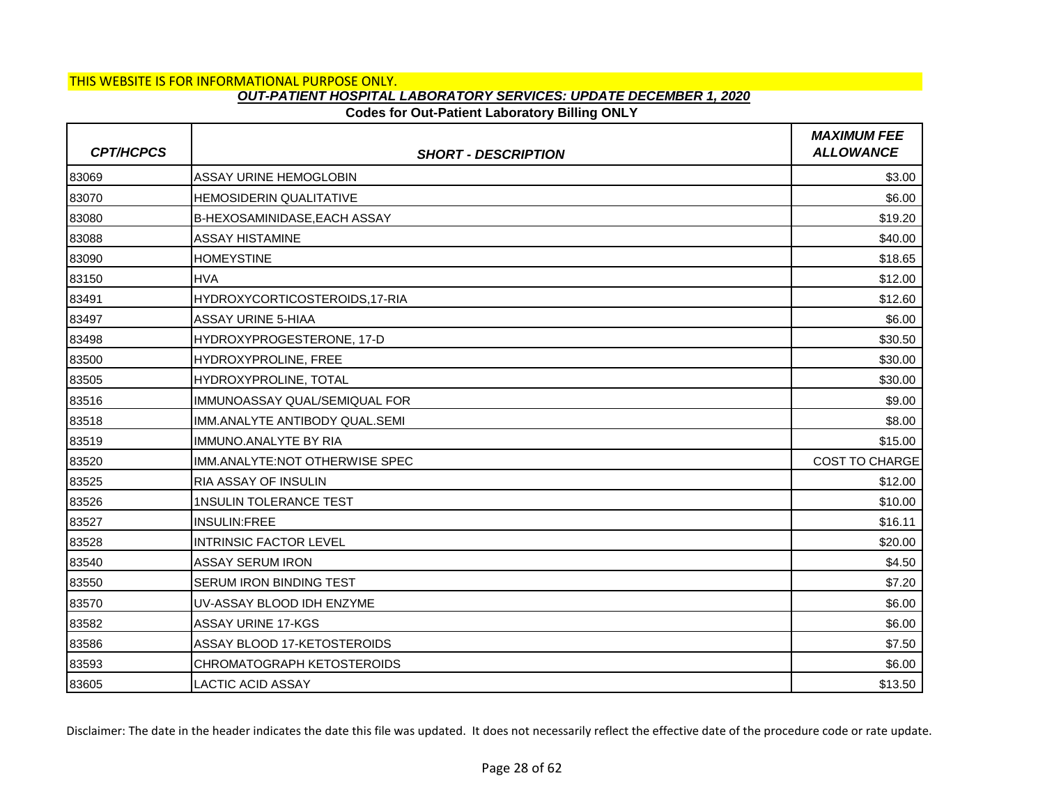# **Codes for Out-Patient Laboratory Billing ONLY**

| <b>CPT/HCPCS</b> | <b>SHORT - DESCRIPTION</b>          | <b>MAXIMUM FEE</b><br><b>ALLOWANCE</b> |
|------------------|-------------------------------------|----------------------------------------|
| 83069            | <b>ASSAY URINE HEMOGLOBIN</b>       | \$3.00                                 |
| 83070            | <b>HEMOSIDERIN QUALITATIVE</b>      | \$6.00                                 |
| 83080            | <b>B-HEXOSAMINIDASE, EACH ASSAY</b> | \$19.20                                |
| 83088            | <b>ASSAY HISTAMINE</b>              | \$40.00                                |
| 83090            | <b>HOMEYSTINE</b>                   | \$18.65                                |
| 83150            | <b>HVA</b>                          | \$12.00                                |
| 83491            | HYDROXYCORTICOSTEROIDS,17-RIA       | \$12.60                                |
| 83497            | <b>ASSAY URINE 5-HIAA</b>           | \$6.00                                 |
| 83498            | HYDROXYPROGESTERONE, 17-D           | \$30.50                                |
| 83500            | HYDROXYPROLINE, FREE                | \$30.00                                |
| 83505            | HYDROXYPROLINE, TOTAL               | \$30.00                                |
| 83516            | IMMUNOASSAY QUAL/SEMIQUAL FOR       | \$9.00                                 |
| 83518            | IMM.ANALYTE ANTIBODY QUAL.SEMI      | \$8.00                                 |
| 83519            | IMMUNO.ANALYTE BY RIA               | \$15.00                                |
| 83520            | IMM.ANALYTE:NOT OTHERWISE SPEC      | <b>COST TO CHARGE</b>                  |
| 83525            | RIA ASSAY OF INSULIN                | \$12.00                                |
| 83526            | <b>1NSULIN TOLERANCE TEST</b>       | \$10.00                                |
| 83527            | <b>INSULIN:FREE</b>                 | \$16.11                                |
| 83528            | <b>INTRINSIC FACTOR LEVEL</b>       | \$20.00                                |
| 83540            | <b>ASSAY SERUM IRON</b>             | \$4.50                                 |
| 83550            | <b>SERUM IRON BINDING TEST</b>      | \$7.20                                 |
| 83570            | UV-ASSAY BLOOD IDH ENZYME           | \$6.00                                 |
| 83582            | <b>ASSAY URINE 17-KGS</b>           | \$6.00                                 |
| 83586            | ASSAY BLOOD 17-KETOSTEROIDS         | \$7.50                                 |
| 83593            | CHROMATOGRAPH KETOSTEROIDS          | \$6.00                                 |
| 83605            | <b>LACTIC ACID ASSAY</b>            | \$13.50                                |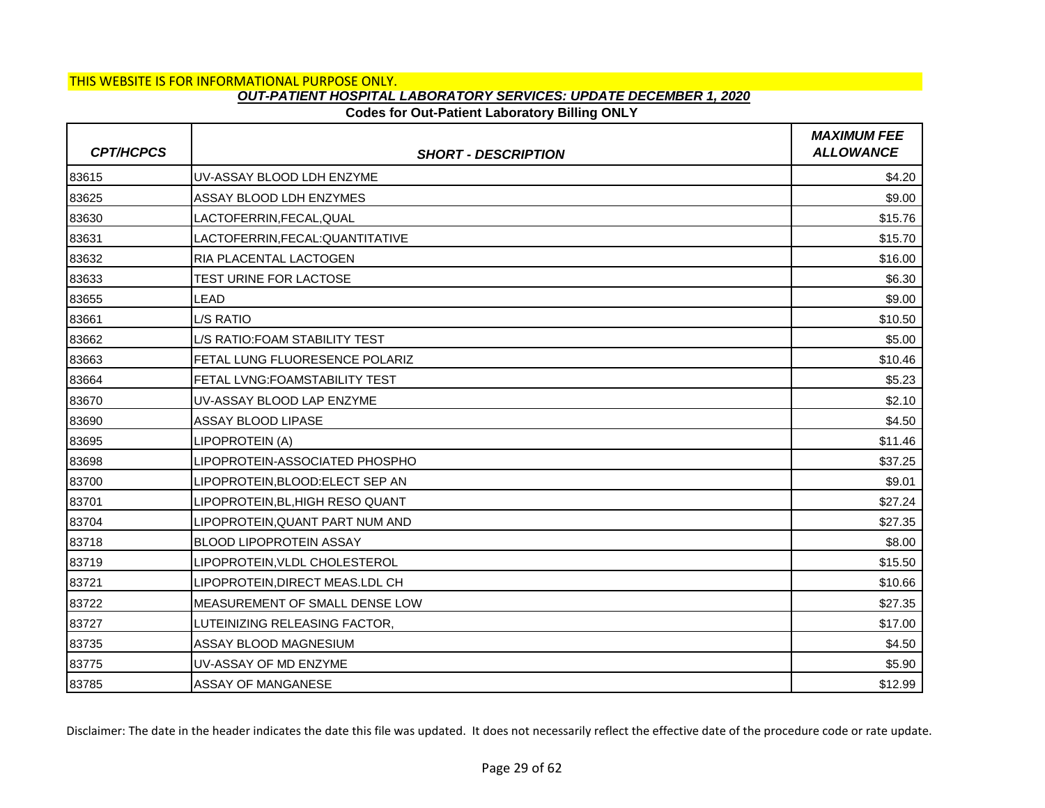## **Codes for Out-Patient Laboratory Billing ONLY**

| <b>CPT/HCPCS</b> | <b>SHORT - DESCRIPTION</b>            | <b>MAXIMUM FEE</b><br><b>ALLOWANCE</b> |
|------------------|---------------------------------------|----------------------------------------|
| 83615            | UV-ASSAY BLOOD LDH ENZYME             | \$4.20                                 |
| 83625            | ASSAY BLOOD LDH ENZYMES               | \$9.00                                 |
| 83630            | LACTOFERRIN, FECAL, QUAL              | \$15.76                                |
| 83631            | LACTOFERRIN, FECAL: QUANTITATIVE      | \$15.70                                |
| 83632            | <b>RIA PLACENTAL LACTOGEN</b>         | \$16.00                                |
| 83633            | <b>TEST URINE FOR LACTOSE</b>         | \$6.30                                 |
| 83655            | <b>LEAD</b>                           | \$9.00                                 |
| 83661            | L/S RATIO                             | \$10.50                                |
| 83662            | L/S RATIO: FOAM STABILITY TEST        | \$5.00                                 |
| 83663            | <b>FETAL LUNG FLUORESENCE POLARIZ</b> | \$10.46                                |
| 83664            | FETAL LVNG:FOAMSTABILITY TEST         | \$5.23                                 |
| 83670            | UV-ASSAY BLOOD LAP ENZYME             | \$2.10                                 |
| 83690            | ASSAY BLOOD LIPASE                    | \$4.50                                 |
| 83695            | LIPOPROTEIN (A)                       | \$11.46                                |
| 83698            | LIPOPROTEIN-ASSOCIATED PHOSPHO        | \$37.25                                |
| 83700            | LIPOPROTEIN, BLOOD: ELECT SEP AN      | \$9.01                                 |
| 83701            | LIPOPROTEIN, BL, HIGH RESO QUANT      | \$27.24                                |
| 83704            | LIPOPROTEIN, QUANT PART NUM AND       | \$27.35                                |
| 83718            | <b>BLOOD LIPOPROTEIN ASSAY</b>        | \$8.00                                 |
| 83719            | LIPOPROTEIN, VLDL CHOLESTEROL         | \$15.50                                |
| 83721            | LIPOPROTEIN, DIRECT MEAS.LDL CH       | \$10.66                                |
| 83722            | MEASUREMENT OF SMALL DENSE LOW        | \$27.35                                |
| 83727            | LUTEINIZING RELEASING FACTOR,         | \$17.00                                |
| 83735            | ASSAY BLOOD MAGNESIUM                 | \$4.50                                 |
| 83775            | UV-ASSAY OF MD ENZYME                 | \$5.90                                 |
| 83785            | <b>ASSAY OF MANGANESE</b>             | \$12.99                                |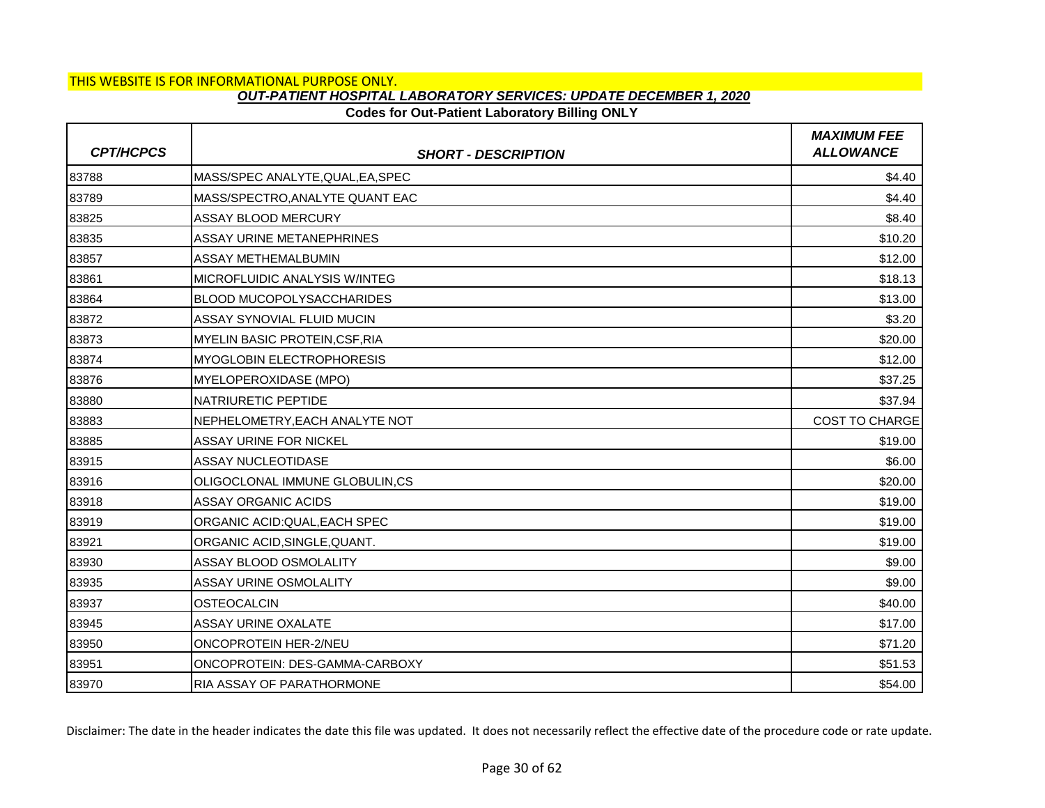## **Codes for Out-Patient Laboratory Billing ONLY**

| <b>CPT/HCPCS</b> | <b>SHORT - DESCRIPTION</b>            | <b>MAXIMUM FEE</b><br><b>ALLOWANCE</b> |
|------------------|---------------------------------------|----------------------------------------|
| 83788            | MASS/SPEC ANALYTE, QUAL, EA, SPEC     | \$4.40                                 |
| 83789            | MASS/SPECTRO, ANALYTE QUANT EAC       | \$4.40                                 |
| 83825            | <b>ASSAY BLOOD MERCURY</b>            | \$8.40                                 |
| 83835            | ASSAY URINE METANEPHRINES             | \$10.20                                |
| 83857            | <b>ASSAY METHEMALBUMIN</b>            | \$12.00                                |
| 83861            | MICROFLUIDIC ANALYSIS W/INTEG         | \$18.13                                |
| 83864            | <b>BLOOD MUCOPOLYSACCHARIDES</b>      | \$13.00                                |
| 83872            | <b>ASSAY SYNOVIAL FLUID MUCIN</b>     | \$3.20                                 |
| 83873            | <b>MYELIN BASIC PROTEIN, CSF, RIA</b> | \$20.00                                |
| 83874            | <b>MYOGLOBIN ELECTROPHORESIS</b>      | \$12.00                                |
| 83876            | MYELOPEROXIDASE (MPO)                 | \$37.25                                |
| 83880            | <b>NATRIURETIC PEPTIDE</b>            | \$37.94                                |
| 83883            | NEPHELOMETRY, EACH ANALYTE NOT        | <b>COST TO CHARGE</b>                  |
| 83885            | <b>ASSAY URINE FOR NICKEL</b>         | \$19.00                                |
| 83915            | <b>ASSAY NUCLEOTIDASE</b>             | \$6.00                                 |
| 83916            | OLIGOCLONAL IMMUNE GLOBULIN,CS        | \$20.00                                |
| 83918            | <b>ASSAY ORGANIC ACIDS</b>            | \$19.00                                |
| 83919            | ORGANIC ACID:QUAL, EACH SPEC          | \$19.00                                |
| 83921            | ORGANIC ACID, SINGLE, QUANT.          | \$19.00                                |
| 83930            | ASSAY BLOOD OSMOLALITY                | \$9.00                                 |
| 83935            | <b>ASSAY URINE OSMOLALITY</b>         | \$9.00                                 |
| 83937            | <b>OSTEOCALCIN</b>                    | \$40.00                                |
| 83945            | <b>ASSAY URINE OXALATE</b>            | \$17.00                                |
| 83950            | <b>ONCOPROTEIN HER-2/NEU</b>          | \$71.20                                |
| 83951            | ONCOPROTEIN: DES-GAMMA-CARBOXY        | \$51.53                                |
| 83970            | <b>RIA ASSAY OF PARATHORMONE</b>      | \$54.00                                |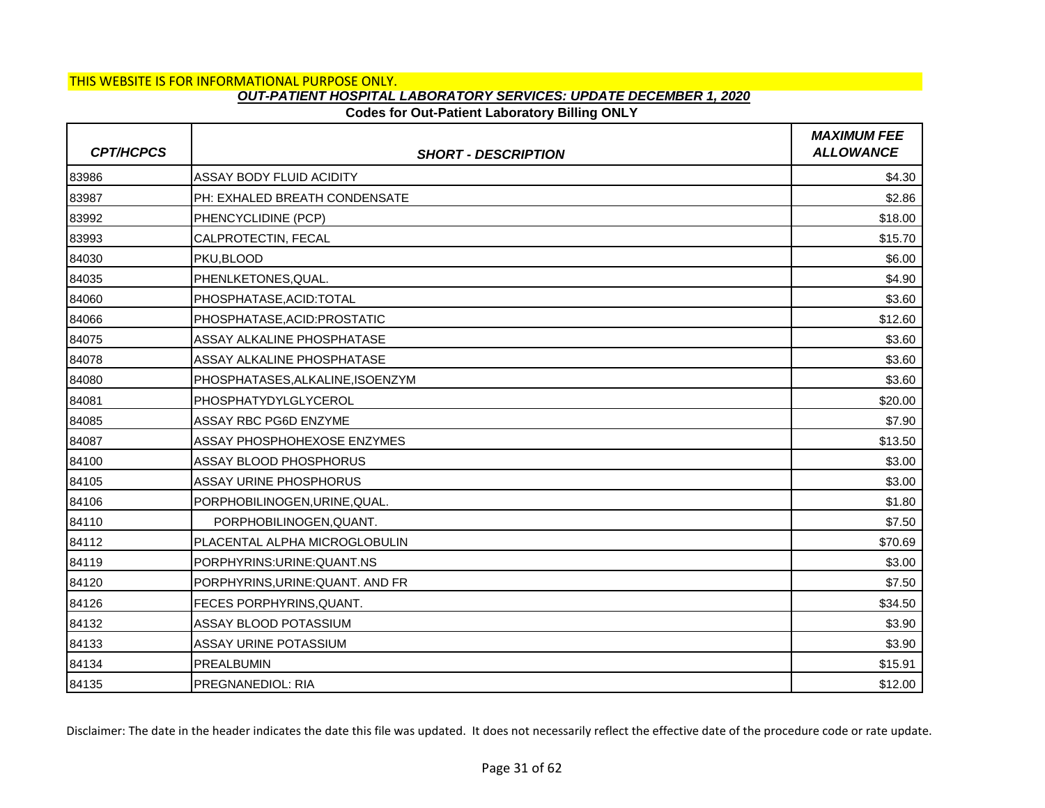### **Codes for Out-Patient Laboratory Billing ONLY**

| <b>CPT/HCPCS</b> | <b>SHORT - DESCRIPTION</b>       | <b>MAXIMUM FEE</b><br><b>ALLOWANCE</b> |
|------------------|----------------------------------|----------------------------------------|
| 83986            | <b>ASSAY BODY FLUID ACIDITY</b>  | \$4.30                                 |
| 83987            | PH: EXHALED BREATH CONDENSATE    | \$2.86                                 |
| 83992            | PHENCYCLIDINE (PCP)              | \$18.00                                |
| 83993            | CALPROTECTIN, FECAL              | \$15.70                                |
| 84030            | PKU, BLOOD                       | \$6.00                                 |
| 84035            | PHENLKETONES, QUAL.              | \$4.90                                 |
| 84060            | PHOSPHATASE, ACID: TOTAL         | \$3.60                                 |
| 84066            | PHOSPHATASE, ACID: PROSTATIC     | \$12.60                                |
| 84075            | ASSAY ALKALINE PHOSPHATASE       | \$3.60                                 |
| 84078            | ASSAY ALKALINE PHOSPHATASE       | \$3.60                                 |
| 84080            | PHOSPHATASES, ALKALINE, ISOENZYM | \$3.60                                 |
| 84081            | <b>PHOSPHATYDYLGLYCEROL</b>      | \$20.00                                |
| 84085            | ASSAY RBC PG6D ENZYME            | \$7.90                                 |
| 84087            | ASSAY PHOSPHOHEXOSE ENZYMES      | \$13.50                                |
| 84100            | <b>ASSAY BLOOD PHOSPHORUS</b>    | \$3.00                                 |
| 84105            | <b>ASSAY URINE PHOSPHORUS</b>    | \$3.00                                 |
| 84106            | PORPHOBILINOGEN, URINE, QUAL.    | \$1.80                                 |
| 84110            | PORPHOBILINOGEN, QUANT.          | \$7.50                                 |
| 84112            | PLACENTAL ALPHA MICROGLOBULIN    | \$70.69                                |
| 84119            | PORPHYRINS:URINE:QUANT.NS        | \$3.00                                 |
| 84120            | PORPHYRINS, URINE: QUANT. AND FR | \$7.50                                 |
| 84126            | FECES PORPHYRINS, QUANT.         | \$34.50                                |
| 84132            | ASSAY BLOOD POTASSIUM            | \$3.90                                 |
| 84133            | ASSAY URINE POTASSIUM            | \$3.90                                 |
| 84134            | <b>PREALBUMIN</b>                | \$15.91                                |
| 84135            | <b>PREGNANEDIOL: RIA</b>         | \$12.00                                |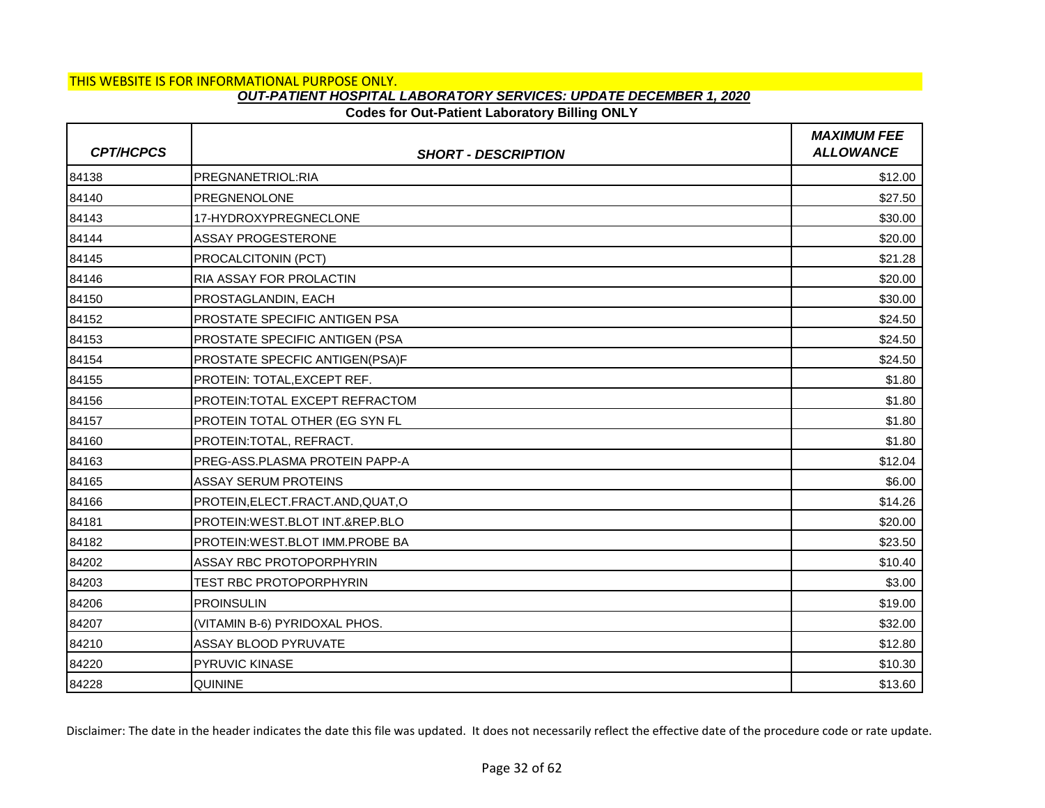# **Codes for Out-Patient Laboratory Billing ONLY**

| <b>CPT/HCPCS</b> | <b>SHORT - DESCRIPTION</b>          | <b>MAXIMUM FEE</b><br><b>ALLOWANCE</b> |
|------------------|-------------------------------------|----------------------------------------|
| 84138            | PREGNANETRIOL:RIA                   | \$12.00                                |
| 84140            | <b>PREGNENOLONE</b>                 | \$27.50                                |
| 84143            | 17-HYDROXYPREGNECLONE               | \$30.00                                |
| 84144            | <b>ASSAY PROGESTERONE</b>           | \$20.00                                |
| 84145            | PROCALCITONIN (PCT)                 | \$21.28                                |
| 84146            | <b>RIA ASSAY FOR PROLACTIN</b>      | \$20.00                                |
| 84150            | PROSTAGLANDIN, EACH                 | \$30.00                                |
| 84152            | PROSTATE SPECIFIC ANTIGEN PSA       | \$24.50                                |
| 84153            | PROSTATE SPECIFIC ANTIGEN (PSA      | \$24.50                                |
| 84154            | PROSTATE SPECFIC ANTIGEN(PSA)F      | \$24.50                                |
| 84155            | PROTEIN: TOTAL, EXCEPT REF.         | \$1.80                                 |
| 84156            | PROTEIN: TOTAL EXCEPT REFRACTOM     | \$1.80                                 |
| 84157            | PROTEIN TOTAL OTHER (EG SYN FL      | \$1.80                                 |
| 84160            | PROTEIN: TOTAL, REFRACT.            | \$1.80                                 |
| 84163            | PREG-ASS.PLASMA PROTEIN PAPP-A      | \$12.04                                |
| 84165            | <b>ASSAY SERUM PROTEINS</b>         | \$6.00                                 |
| 84166            | PROTEIN, ELECT. FRACT. AND, QUAT, O | \$14.26                                |
| 84181            | PROTEIN: WEST.BLOT INT.&REP.BLO     | \$20.00                                |
| 84182            | PROTEIN: WEST. BLOT IMM. PROBE BA   | \$23.50                                |
| 84202            | ASSAY RBC PROTOPORPHYRIN            | \$10.40                                |
| 84203            | TEST RBC PROTOPORPHYRIN             | \$3.00                                 |
| 84206            | <b>PROINSULIN</b>                   | \$19.00                                |
| 84207            | (VITAMIN B-6) PYRIDOXAL PHOS.       | \$32.00                                |
| 84210            | ASSAY BLOOD PYRUVATE                | \$12.80                                |
| 84220            | PYRUVIC KINASE                      | \$10.30                                |
| 84228            | <b>QUININE</b>                      | \$13.60                                |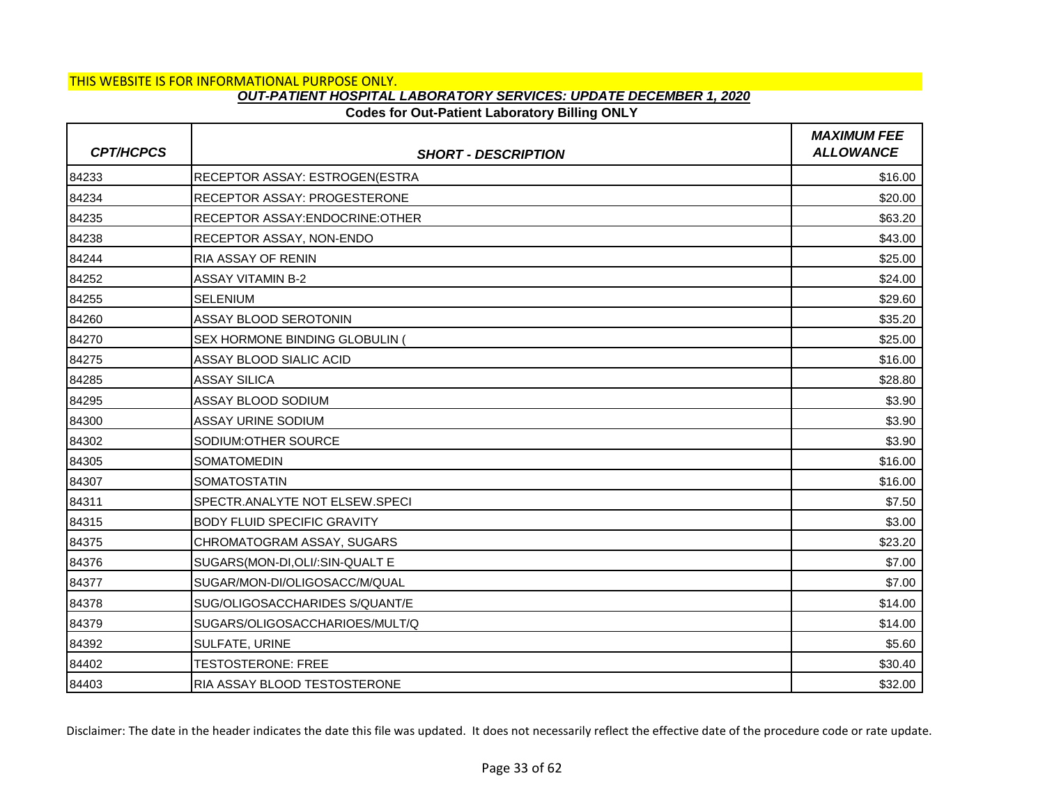# **Codes for Out-Patient Laboratory Billing ONLY**

| <b>CPT/HCPCS</b> | <b>SHORT - DESCRIPTION</b>            | <b>MAXIMUM FEE</b><br><b>ALLOWANCE</b> |
|------------------|---------------------------------------|----------------------------------------|
| 84233            | <b>RECEPTOR ASSAY: ESTROGEN(ESTRA</b> | \$16.00                                |
| 84234            | <b>RECEPTOR ASSAY: PROGESTERONE</b>   | \$20.00                                |
| 84235            | RECEPTOR ASSAY: ENDOCRINE: OTHER      | \$63.20                                |
| 84238            | RECEPTOR ASSAY, NON-ENDO              | \$43.00                                |
| 84244            | RIA ASSAY OF RENIN                    | \$25.00                                |
| 84252            | <b>ASSAY VITAMIN B-2</b>              | \$24.00                                |
| 84255            | <b>SELENIUM</b>                       | \$29.60                                |
| 84260            | ASSAY BLOOD SEROTONIN                 | \$35.20                                |
| 84270            | <b>SEX HORMONE BINDING GLOBULIN (</b> | \$25.00                                |
| 84275            | ASSAY BLOOD SIALIC ACID               | \$16.00                                |
| 84285            | <b>ASSAY SILICA</b>                   | \$28.80                                |
| 84295            | ASSAY BLOOD SODIUM                    | \$3.90                                 |
| 84300            | <b>ASSAY URINE SODIUM</b>             | \$3.90                                 |
| 84302            | SODIUM: OTHER SOURCE                  | \$3.90                                 |
| 84305            | <b>SOMATOMEDIN</b>                    | \$16.00                                |
| 84307            | <b>SOMATOSTATIN</b>                   | \$16.00                                |
| 84311            | SPECTR.ANALYTE NOT ELSEW.SPECI        | \$7.50                                 |
| 84315            | <b>BODY FLUID SPECIFIC GRAVITY</b>    | \$3.00                                 |
| 84375            | CHROMATOGRAM ASSAY, SUGARS            | \$23.20                                |
| 84376            | SUGARS(MON-DI, OLI/: SIN-QUALT E      | \$7.00                                 |
| 84377            | SUGAR/MON-DI/OLIGOSACC/M/QUAL         | \$7.00                                 |
| 84378            | SUG/OLIGOSACCHARIDES S/QUANT/E        | \$14.00                                |
| 84379            | SUGARS/OLIGOSACCHARIOES/MULT/Q        | \$14.00                                |
| 84392            | SULFATE, URINE                        | \$5.60                                 |
| 84402            | <b>TESTOSTERONE: FREE</b>             | \$30.40                                |
| 84403            | RIA ASSAY BLOOD TESTOSTERONE          | \$32.00                                |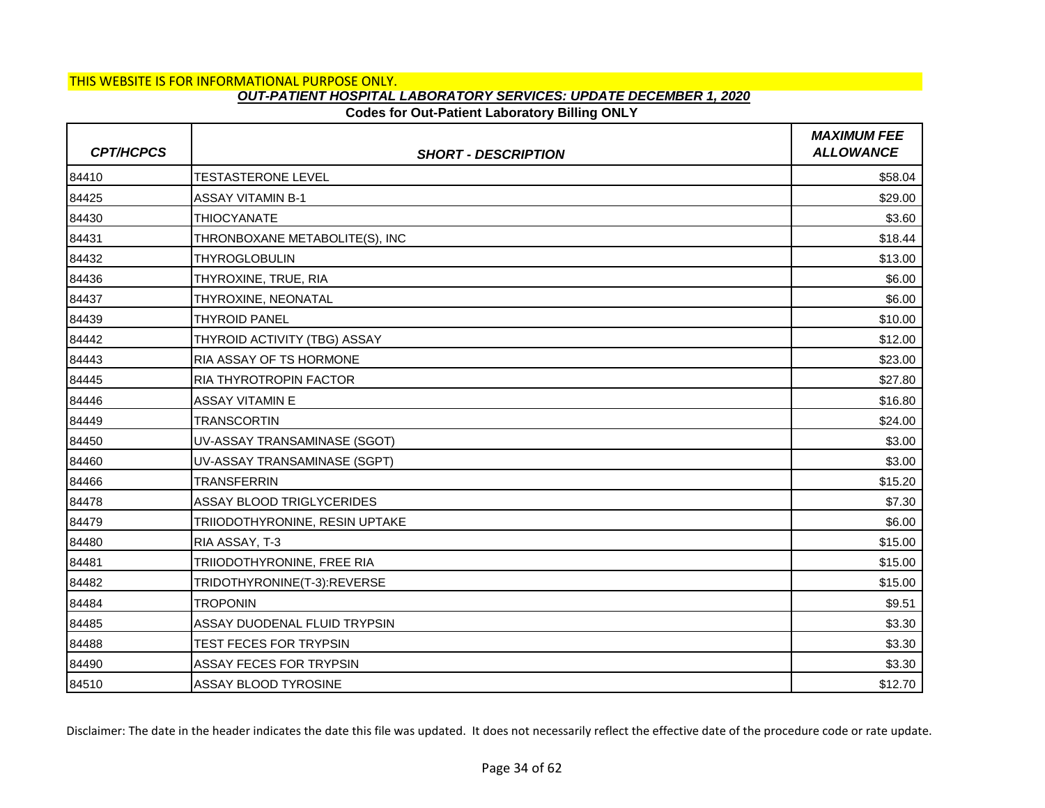# **Codes for Out-Patient Laboratory Billing ONLY**

| <b>CPT/HCPCS</b> | <b>SHORT - DESCRIPTION</b>       | <b>MAXIMUM FEE</b><br><b>ALLOWANCE</b> |
|------------------|----------------------------------|----------------------------------------|
| 84410            | <b>TESTASTERONE LEVEL</b>        | \$58.04                                |
| 84425            | <b>ASSAY VITAMIN B-1</b>         | \$29.00                                |
| 84430            | <b>THIOCYANATE</b>               | \$3.60                                 |
| 84431            | THRONBOXANE METABOLITE(S), INC   | \$18.44                                |
| 84432            | <b>THYROGLOBULIN</b>             | \$13.00                                |
| 84436            | THYROXINE, TRUE, RIA             | \$6.00                                 |
| 84437            | THYROXINE, NEONATAL              | \$6.00                                 |
| 84439            | <b>THYROID PANEL</b>             | \$10.00                                |
| 84442            | THYROID ACTIVITY (TBG) ASSAY     | \$12.00                                |
| 84443            | RIA ASSAY OF TS HORMONE          | \$23.00                                |
| 84445            | RIA THYROTROPIN FACTOR           | \$27.80                                |
| 84446            | <b>ASSAY VITAMIN E</b>           | \$16.80                                |
| 84449            | TRANSCORTIN                      | \$24.00                                |
| 84450            | UV-ASSAY TRANSAMINASE (SGOT)     | \$3.00                                 |
| 84460            | UV-ASSAY TRANSAMINASE (SGPT)     | \$3.00                                 |
| 84466            | <b>TRANSFERRIN</b>               | \$15.20                                |
| 84478            | <b>ASSAY BLOOD TRIGLYCERIDES</b> | \$7.30                                 |
| 84479            | TRIIODOTHYRONINE, RESIN UPTAKE   | \$6.00                                 |
| 84480            | RIA ASSAY, T-3                   | \$15.00                                |
| 84481            | TRIIODOTHYRONINE, FREE RIA       | \$15.00                                |
| 84482            | TRIDOTHYRONINE(T-3):REVERSE      | \$15.00                                |
| 84484            | <b>TROPONIN</b>                  | \$9.51                                 |
| 84485            | ASSAY DUODENAL FLUID TRYPSIN     | \$3.30                                 |
| 84488            | TEST FECES FOR TRYPSIN           | \$3.30                                 |
| 84490            | <b>ASSAY FECES FOR TRYPSIN</b>   | \$3.30                                 |
| 84510            | ASSAY BLOOD TYROSINE             | \$12.70                                |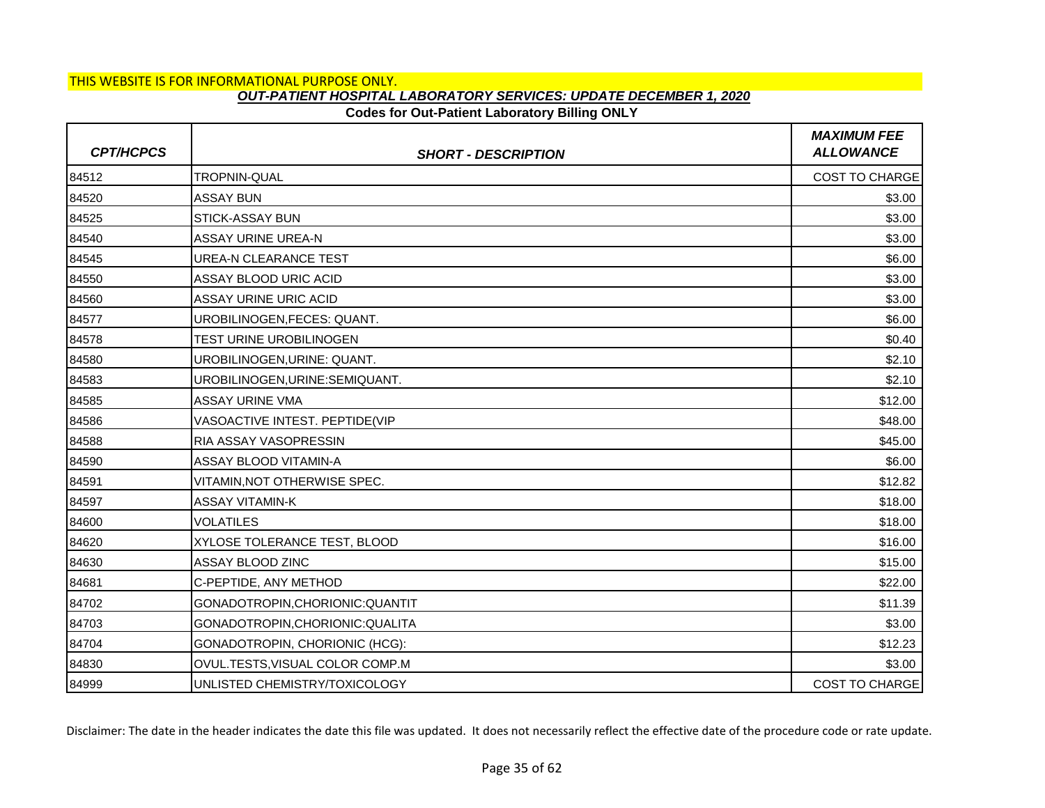# **Codes for Out-Patient Laboratory Billing ONLY**

| <b>CPT/HCPCS</b> | <b>SHORT - DESCRIPTION</b>       | <b>MAXIMUM FEE</b><br><b>ALLOWANCE</b> |
|------------------|----------------------------------|----------------------------------------|
| 84512            | TROPNIN-QUAL                     | COST TO CHARGE                         |
| 84520            | <b>ASSAY BUN</b>                 | \$3.00                                 |
| 84525            | <b>STICK-ASSAY BUN</b>           | \$3.00                                 |
| 84540            | ASSAY URINE UREA-N               | \$3.00                                 |
| 84545            | <b>UREA-N CLEARANCE TEST</b>     | \$6.00                                 |
| 84550            | ASSAY BLOOD URIC ACID            | \$3.00                                 |
| 84560            | ASSAY URINE URIC ACID            | \$3.00                                 |
| 84577            | UROBILINOGEN, FECES: QUANT.      | \$6.00                                 |
| 84578            | TEST URINE UROBILINOGEN          | \$0.40                                 |
| 84580            | UROBILINOGEN, URINE: QUANT.      | \$2.10                                 |
| 84583            | UROBILINOGEN, URINE: SEMIQUANT.  | \$2.10                                 |
| 84585            | <b>ASSAY URINE VMA</b>           | \$12.00                                |
| 84586            | VASOACTIVE INTEST. PEPTIDE(VIP   | \$48.00                                |
| 84588            | RIA ASSAY VASOPRESSIN            | \$45.00                                |
| 84590            | ASSAY BLOOD VITAMIN-A            | \$6.00                                 |
| 84591            | VITAMIN,NOT OTHERWISE SPEC.      | \$12.82                                |
| 84597            | <b>ASSAY VITAMIN-K</b>           | \$18.00                                |
| 84600            | <b>VOLATILES</b>                 | \$18.00                                |
| 84620            | XYLOSE TOLERANCE TEST, BLOOD     | \$16.00                                |
| 84630            | ASSAY BLOOD ZINC                 | \$15.00                                |
| 84681            | C-PEPTIDE, ANY METHOD            | \$22.00                                |
| 84702            | GONADOTROPIN, CHORIONIC: QUANTIT | \$11.39                                |
| 84703            | GONADOTROPIN, CHORIONIC: QUALITA | \$3.00                                 |
| 84704            | GONADOTROPIN, CHORIONIC (HCG):   | \$12.23                                |
| 84830            | OVUL.TESTS, VISUAL COLOR COMP.M  | \$3.00                                 |
| 84999            | UNLISTED CHEMISTRY/TOXICOLOGY    | <b>COST TO CHARGE</b>                  |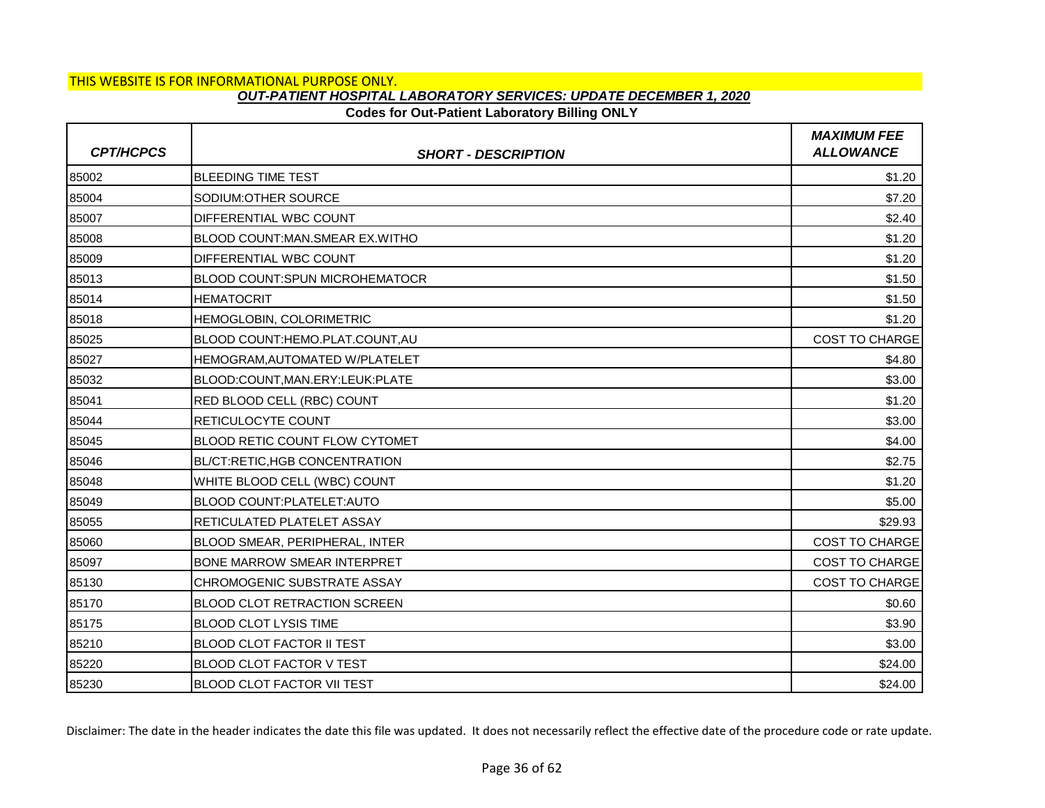### **Codes for Out-Patient Laboratory Billing ONLY**

| <b>CPT/HCPCS</b> | <b>SHORT - DESCRIPTION</b>            | <b>MAXIMUM FEE</b><br><b>ALLOWANCE</b> |
|------------------|---------------------------------------|----------------------------------------|
| 85002            | <b>BLEEDING TIME TEST</b>             | \$1.20                                 |
| 85004            | SODIUM: OTHER SOURCE                  | \$7.20                                 |
| 85007            | DIFFERENTIAL WBC COUNT                | \$2.40                                 |
| 85008            | BLOOD COUNT: MAN. SMEAR EX. WITHO     | \$1.20                                 |
| 85009            | DIFFERENTIAL WBC COUNT                | \$1.20                                 |
| 85013            | <b>BLOOD COUNT:SPUN MICROHEMATOCR</b> | \$1.50                                 |
| 85014            | <b>HEMATOCRIT</b>                     | \$1.50                                 |
| 85018            | HEMOGLOBIN, COLORIMETRIC              | \$1.20                                 |
| 85025            | BLOOD COUNT: HEMO. PLAT. COUNT. AU    | COST TO CHARGE                         |
| 85027            | HEMOGRAM, AUTOMATED W/PLATELET        | \$4.80                                 |
| 85032            | BLOOD:COUNT, MAN.ERY:LEUK: PLATE      | \$3.00                                 |
| 85041            | RED BLOOD CELL (RBC) COUNT            | \$1.20                                 |
| 85044            | RETICULOCYTE COUNT                    | \$3.00                                 |
| 85045            | BLOOD RETIC COUNT FLOW CYTOMET        | \$4.00                                 |
| 85046            | BL/CT:RETIC,HGB CONCENTRATION         | \$2.75                                 |
| 85048            | WHITE BLOOD CELL (WBC) COUNT          | \$1.20                                 |
| 85049            | BLOOD COUNT:PLATELET:AUTO             | \$5.00                                 |
| 85055            | RETICULATED PLATELET ASSAY            | \$29.93                                |
| 85060            | BLOOD SMEAR, PERIPHERAL, INTER        | COST TO CHARGE                         |
| 85097            | <b>BONE MARROW SMEAR INTERPRET</b>    | <b>COST TO CHARGE</b>                  |
| 85130            | CHROMOGENIC SUBSTRATE ASSAY           | <b>COST TO CHARGE</b>                  |
| 85170            | <b>BLOOD CLOT RETRACTION SCREEN</b>   | \$0.60                                 |
| 85175            | <b>BLOOD CLOT LYSIS TIME</b>          | \$3.90                                 |
| 85210            | <b>BLOOD CLOT FACTOR II TEST</b>      | \$3.00                                 |
| 85220            | BLOOD CLOT FACTOR V TEST              | \$24.00                                |
| 85230            | <b>BLOOD CLOT FACTOR VII TEST</b>     | \$24.00                                |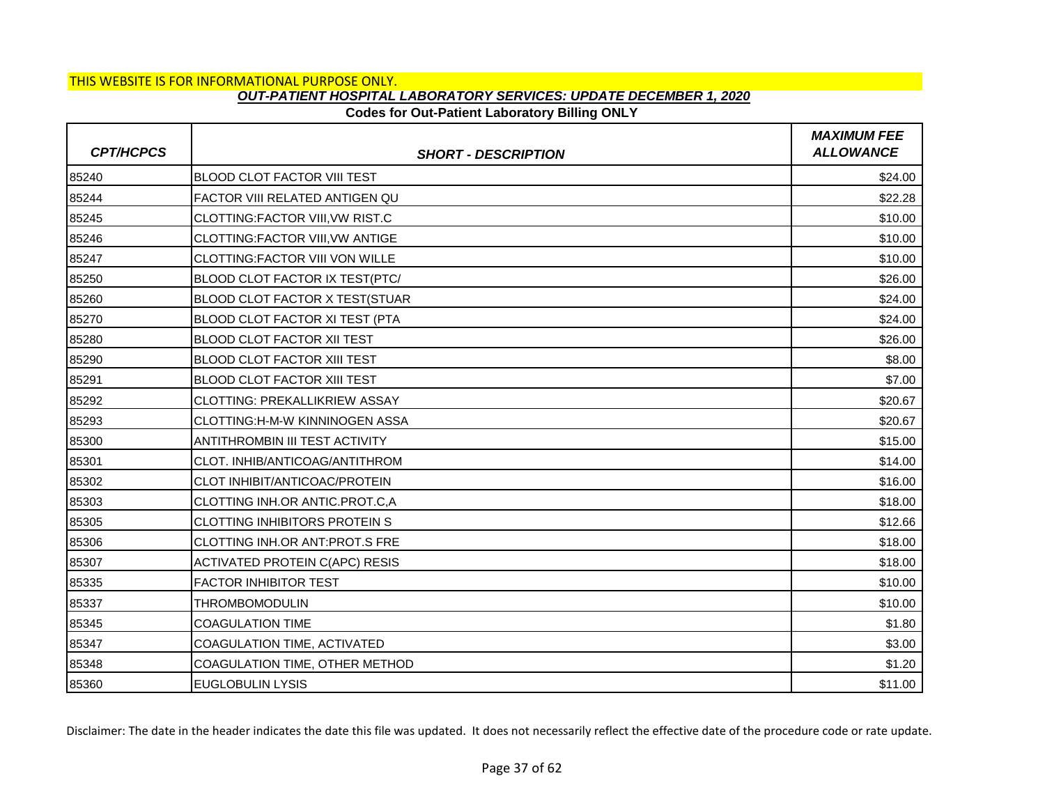## **Codes for Out-Patient Laboratory Billing ONLY**

| <b>CPT/HCPCS</b> | <b>SHORT - DESCRIPTION</b>             | <b>MAXIMUM FEE</b><br><b>ALLOWANCE</b> |
|------------------|----------------------------------------|----------------------------------------|
| 85240            | <b>BLOOD CLOT FACTOR VIII TEST</b>     | \$24.00                                |
| 85244            | FACTOR VIII RELATED ANTIGEN QU         | \$22.28                                |
| 85245            | CLOTTING:FACTOR VIII, VW RIST.C        | \$10.00                                |
| 85246            | <b>CLOTTING:FACTOR VIII, VW ANTIGE</b> | \$10.00                                |
| 85247            | CLOTTING: FACTOR VIII VON WILLE        | \$10.00                                |
| 85250            | BLOOD CLOT FACTOR IX TEST(PTC/         | \$26.00                                |
| 85260            | BLOOD CLOT FACTOR X TEST(STUAR         | \$24.00                                |
| 85270            | BLOOD CLOT FACTOR XI TEST (PTA         | \$24.00                                |
| 85280            | <b>BLOOD CLOT FACTOR XII TEST</b>      | \$26.00                                |
| 85290            | <b>BLOOD CLOT FACTOR XIII TEST</b>     | \$8.00                                 |
| 85291            | <b>BLOOD CLOT FACTOR XIII TEST</b>     | \$7.00                                 |
| 85292            | CLOTTING: PREKALLIKRIEW ASSAY          | \$20.67                                |
| 85293            | CLOTTING:H-M-W KINNINOGEN ASSA         | \$20.67                                |
| 85300            | <b>ANTITHROMBIN III TEST ACTIVITY</b>  | \$15.00                                |
| 85301            | CLOT. INHIB/ANTICOAG/ANTITHROM         | \$14.00                                |
| 85302            | CLOT INHIBIT/ANTICOAC/PROTEIN          | \$16.00                                |
| 85303            | CLOTTING INH.OR ANTIC.PROT.C,A         | \$18.00                                |
| 85305            | <b>CLOTTING INHIBITORS PROTEIN S</b>   | \$12.66                                |
| 85306            | CLOTTING INH.OR ANT:PROT.S FRE         | \$18.00                                |
| 85307            | <b>ACTIVATED PROTEIN C(APC) RESIS</b>  | \$18.00                                |
| 85335            | <b>FACTOR INHIBITOR TEST</b>           | \$10.00                                |
| 85337            | <b>THROMBOMODULIN</b>                  | \$10.00                                |
| 85345            | <b>COAGULATION TIME</b>                | \$1.80                                 |
| 85347            | <b>COAGULATION TIME, ACTIVATED</b>     | \$3.00                                 |
| 85348            | COAGULATION TIME, OTHER METHOD         | \$1.20                                 |
| 85360            | <b>EUGLOBULIN LYSIS</b>                | \$11.00                                |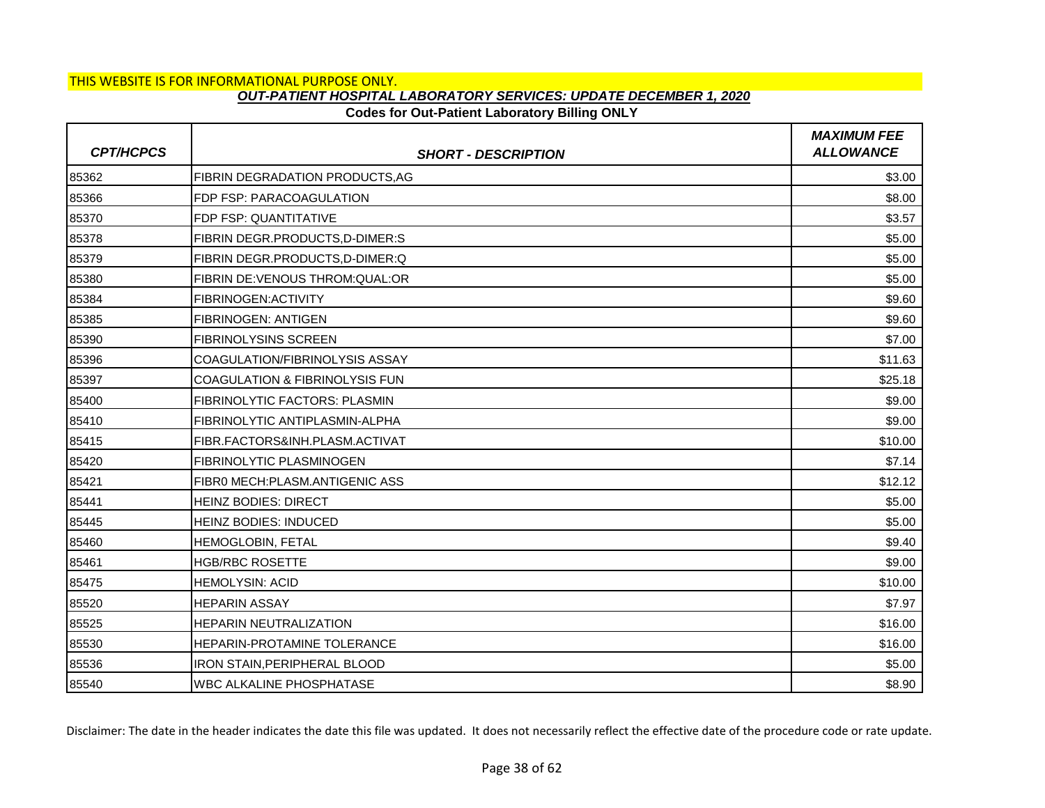## **Codes for Out-Patient Laboratory Billing ONLY**

| <b>CPT/HCPCS</b> | <b>SHORT - DESCRIPTION</b>            | <b>MAXIMUM FEE</b><br><b>ALLOWANCE</b> |
|------------------|---------------------------------------|----------------------------------------|
| 85362            | <b>FIBRIN DEGRADATION PRODUCTS.AG</b> | \$3.00                                 |
| 85366            | FDP FSP: PARACOAGULATION              | \$8.00                                 |
| 85370            | FDP FSP: QUANTITATIVE                 | \$3.57                                 |
| 85378            | <b>FIBRIN DEGR.PRODUCTS,D-DIMER:S</b> | \$5.00                                 |
| 85379            | FIBRIN DEGR.PRODUCTS, D-DIMER: Q      | \$5.00                                 |
| 85380            | FIBRIN DE: VENOUS THROM: QUAL: OR     | \$5.00                                 |
| 85384            | FIBRINOGEN: ACTIVITY                  | \$9.60                                 |
| 85385            | <b>FIBRINOGEN: ANTIGEN</b>            | \$9.60                                 |
| 85390            | <b>FIBRINOLYSINS SCREEN</b>           | \$7.00                                 |
| 85396            | COAGULATION/FIBRINOLYSIS ASSAY        | \$11.63                                |
| 85397            | COAGULATION & FIBRINOLYSIS FUN        | \$25.18                                |
| 85400            | <b>FIBRINOLYTIC FACTORS: PLASMIN</b>  | \$9.00                                 |
| 85410            | FIBRINOLYTIC ANTIPLASMIN-ALPHA        | \$9.00                                 |
| 85415            | FIBR.FACTORS&INH.PLASM.ACTIVAT        | \$10.00                                |
| 85420            | <b>FIBRINOLYTIC PLASMINOGEN</b>       | \$7.14                                 |
| 85421            | FIBRO MECH:PLASM.ANTIGENIC ASS        | \$12.12                                |
| 85441            | <b>HEINZ BODIES: DIRECT</b>           | \$5.00                                 |
| 85445            | HEINZ BODIES: INDUCED                 | \$5.00                                 |
| 85460            | HEMOGLOBIN, FETAL                     | \$9.40                                 |
| 85461            | <b>HGB/RBC ROSETTE</b>                | \$9.00                                 |
| 85475            | <b>HEMOLYSIN: ACID</b>                | \$10.00                                |
| 85520            | <b>HEPARIN ASSAY</b>                  | \$7.97                                 |
| 85525            | <b>HEPARIN NEUTRALIZATION</b>         | \$16.00                                |
| 85530            | <b>HEPARIN-PROTAMINE TOLERANCE</b>    | \$16.00                                |
| 85536            | IRON STAIN, PERIPHERAL BLOOD          | \$5.00                                 |
| 85540            | <b>WBC ALKALINE PHOSPHATASE</b>       | \$8.90                                 |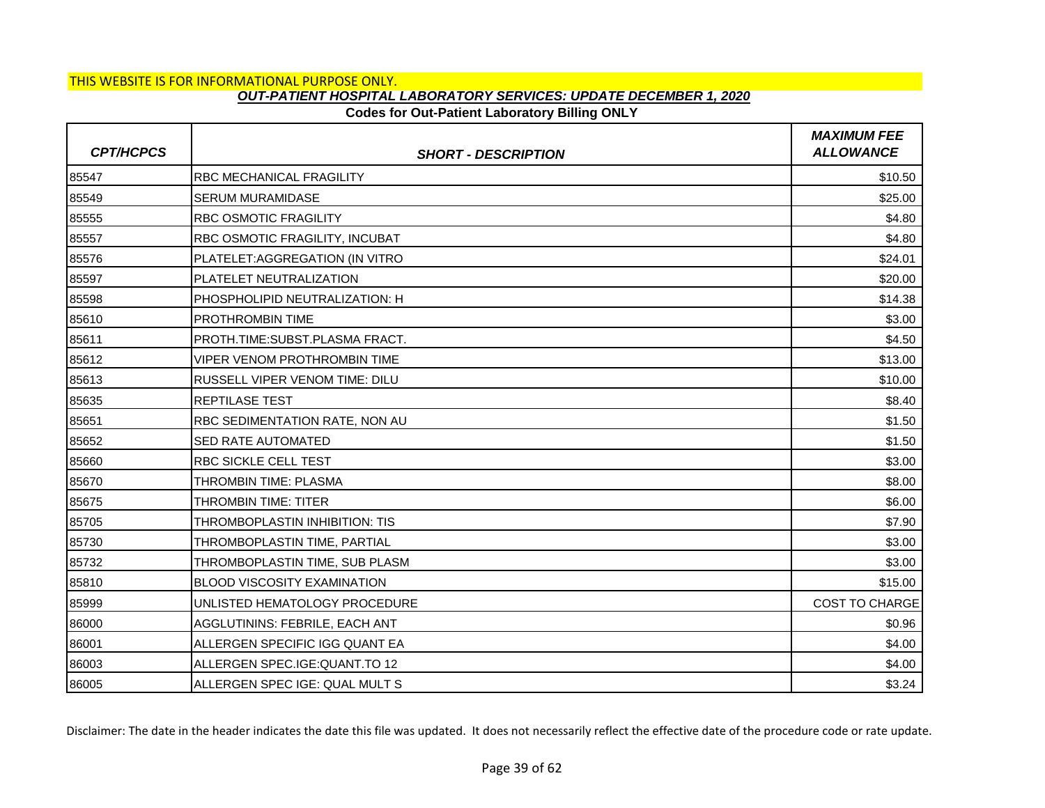# **Codes for Out-Patient Laboratory Billing ONLY**

| <b>CPT/HCPCS</b> | <b>SHORT - DESCRIPTION</b>         | <b>MAXIMUM FEE</b><br><b>ALLOWANCE</b> |
|------------------|------------------------------------|----------------------------------------|
| 85547            | <b>RBC MECHANICAL FRAGILITY</b>    | \$10.50                                |
| 85549            | SERUM MURAMIDASE                   | \$25.00                                |
| 85555            | <b>RBC OSMOTIC FRAGILITY</b>       | \$4.80                                 |
| 85557            | RBC OSMOTIC FRAGILITY, INCUBAT     | \$4.80                                 |
| 85576            | PLATELET: AGGREGATION (IN VITRO    | \$24.01                                |
| 85597            | PLATELET NEUTRALIZATION            | \$20.00                                |
| 85598            | PHOSPHOLIPID NEUTRALIZATION: H     | \$14.38                                |
| 85610            | PROTHROMBIN TIME                   | \$3.00                                 |
| 85611            | PROTH.TIME:SUBST.PLASMA FRACT.     | \$4.50                                 |
| 85612            | VIPER VENOM PROTHROMBIN TIME       | \$13.00                                |
| 85613            | RUSSELL VIPER VENOM TIME: DILU     | \$10.00                                |
| 85635            | <b>REPTILASE TEST</b>              | \$8.40                                 |
| 85651            | RBC SEDIMENTATION RATE, NON AU     | \$1.50                                 |
| 85652            | <b>SED RATE AUTOMATED</b>          | \$1.50                                 |
| 85660            | <b>RBC SICKLE CELL TEST</b>        | \$3.00                                 |
| 85670            | THROMBIN TIME: PLASMA              | \$8.00                                 |
| 85675            | THROMBIN TIME: TITER               | \$6.00                                 |
| 85705            | THROMBOPLASTIN INHIBITION: TIS     | \$7.90                                 |
| 85730            | THROMBOPLASTIN TIME, PARTIAL       | \$3.00                                 |
| 85732            | THROMBOPLASTIN TIME, SUB PLASM     | \$3.00                                 |
| 85810            | <b>BLOOD VISCOSITY EXAMINATION</b> | \$15.00                                |
| 85999            | UNLISTED HEMATOLOGY PROCEDURE      | <b>COST TO CHARGE</b>                  |
| 86000            | AGGLUTININS: FEBRILE, EACH ANT     | \$0.96                                 |
| 86001            | ALLERGEN SPECIFIC IGG QUANT EA     | \$4.00                                 |
| 86003            | ALLERGEN SPEC.IGE: QUANT.TO 12     | \$4.00                                 |
| 86005            | ALLERGEN SPEC IGE: QUAL MULT S     | \$3.24                                 |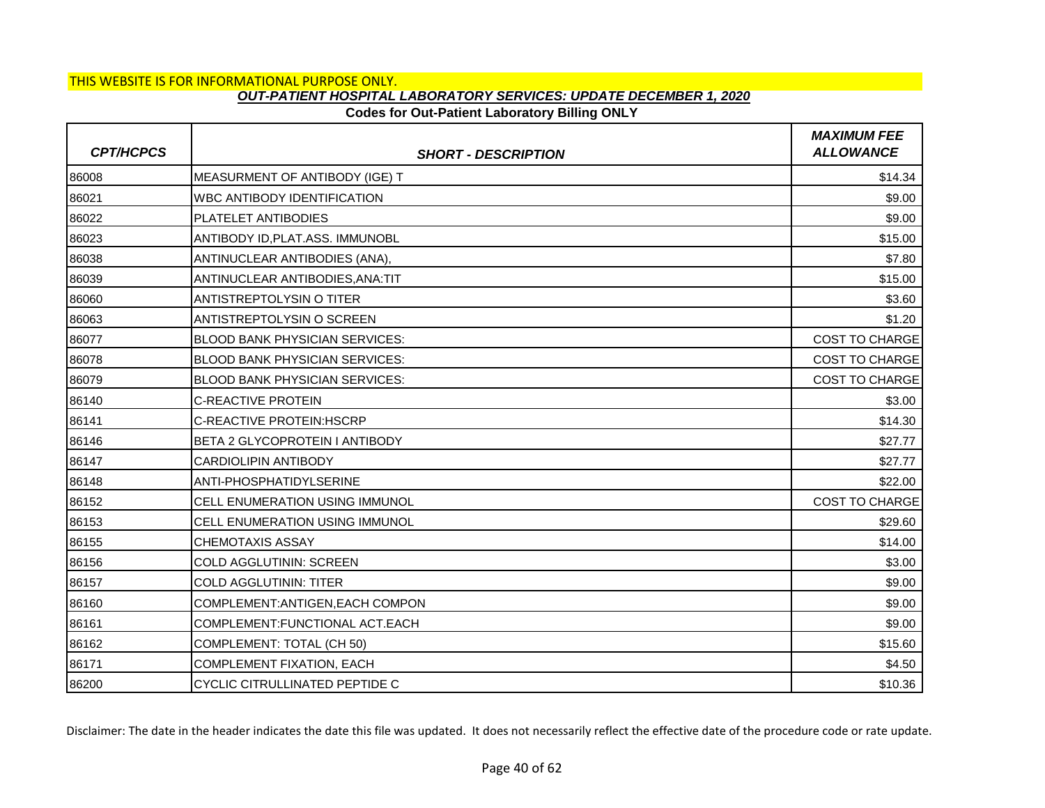# **Codes for Out-Patient Laboratory Billing ONLY**

| <b>CPT/HCPCS</b> | <b>SHORT - DESCRIPTION</b>            | <b>MAXIMUM FEE</b><br><b>ALLOWANCE</b> |
|------------------|---------------------------------------|----------------------------------------|
| 86008            | MEASURMENT OF ANTIBODY (IGE) T        | \$14.34                                |
| 86021            | <b>WBC ANTIBODY IDENTIFICATION</b>    | \$9.00                                 |
| 86022            | PLATELET ANTIBODIES                   | \$9.00                                 |
| 86023            | ANTIBODY ID, PLAT.ASS. IMMUNOBL       | \$15.00                                |
| 86038            | ANTINUCLEAR ANTIBODIES (ANA),         | \$7.80                                 |
| 86039            | ANTINUCLEAR ANTIBODIES.ANA:TIT        | \$15.00                                |
| 86060            | <b>ANTISTREPTOLYSIN O TITER</b>       | \$3.60                                 |
| 86063            | ANTISTREPTOLYSIN O SCREEN             | \$1.20                                 |
| 86077            | <b>BLOOD BANK PHYSICIAN SERVICES:</b> | <b>COST TO CHARGE</b>                  |
| 86078            | <b>BLOOD BANK PHYSICIAN SERVICES:</b> | <b>COST TO CHARGE</b>                  |
| 86079            | <b>BLOOD BANK PHYSICIAN SERVICES:</b> | COST TO CHARGE                         |
| 86140            | <b>C-REACTIVE PROTEIN</b>             | \$3.00                                 |
| 86141            | <b>C-REACTIVE PROTEIN: HSCRP</b>      | \$14.30                                |
| 86146            | BETA 2 GLYCOPROTEIN I ANTIBODY        | \$27.77                                |
| 86147            | <b>CARDIOLIPIN ANTIBODY</b>           | \$27.77                                |
| 86148            | ANTI-PHOSPHATIDYLSERINE               | \$22.00                                |
| 86152            | CELL ENUMERATION USING IMMUNOL        | <b>COST TO CHARGE</b>                  |
| 86153            | <b>CELL ENUMERATION USING IMMUNOL</b> | \$29.60                                |
| 86155            | <b>CHEMOTAXIS ASSAY</b>               | \$14.00                                |
| 86156            | COLD AGGLUTININ: SCREEN               | \$3.00                                 |
| 86157            | <b>COLD AGGLUTININ: TITER</b>         | \$9.00                                 |
| 86160            | COMPLEMENT: ANTIGEN, EACH COMPON      | \$9.00                                 |
| 86161            | COMPLEMENT: FUNCTIONAL ACT. EACH      | \$9.00                                 |
| 86162            | COMPLEMENT: TOTAL (CH 50)             | \$15.60                                |
| 86171            | <b>COMPLEMENT FIXATION, EACH</b>      | \$4.50                                 |
| 86200            | CYCLIC CITRULLINATED PEPTIDE C        | \$10.36                                |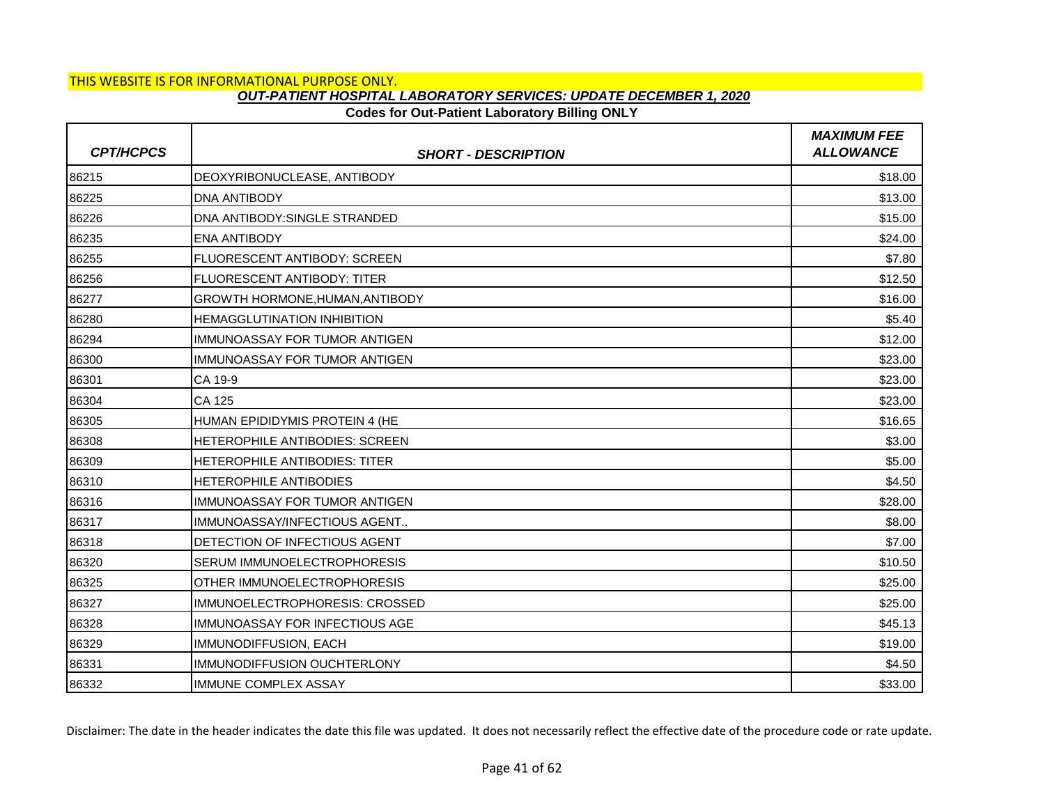# **Codes for Out-Patient Laboratory Billing ONLY**

| <b>CPT/HCPCS</b> | <b>SHORT - DESCRIPTION</b>            | <b>MAXIMUM FEE</b><br><b>ALLOWANCE</b> |
|------------------|---------------------------------------|----------------------------------------|
| 86215            | DEOXYRIBONUCLEASE, ANTIBODY           | \$18.00                                |
| 86225            | <b>DNA ANTIBODY</b>                   | \$13.00                                |
| 86226            | DNA ANTIBODY: SINGLE STRANDED         | \$15.00                                |
| 86235            | <b>ENA ANTIBODY</b>                   | \$24.00                                |
| 86255            | FLUORESCENT ANTIBODY: SCREEN          | \$7.80                                 |
| 86256            | <b>FLUORESCENT ANTIBODY: TITER</b>    | \$12.50                                |
| 86277            | GROWTH HORMONE, HUMAN, ANTIBODY       | \$16.00                                |
| 86280            | <b>HEMAGGLUTINATION INHIBITION</b>    | \$5.40                                 |
| 86294            | IIMMUNOASSAY FOR TUMOR ANTIGEN        | \$12.00                                |
| 86300            | IMMUNOASSAY FOR TUMOR ANTIGEN         | \$23.00                                |
| 86301            | CA 19-9                               | \$23.00                                |
| 86304            | <b>CA 125</b>                         | \$23.00                                |
| 86305            | HUMAN EPIDIDYMIS PROTEIN 4 (HE        | \$16.65                                |
| 86308            | HETEROPHILE ANTIBODIES: SCREEN        | \$3.00                                 |
| 86309            | <b>HETEROPHILE ANTIBODIES: TITER</b>  | \$5.00                                 |
| 86310            | <b>HETEROPHILE ANTIBODIES</b>         | \$4.50                                 |
| 86316            | IMMUNOASSAY FOR TUMOR ANTIGEN         | \$28.00                                |
| 86317            | IMMUNOASSAY/INFECTIOUS AGENT          | \$8.00                                 |
| 86318            | <b>DETECTION OF INFECTIOUS AGENT</b>  | \$7.00                                 |
| 86320            | <b>SERUM IMMUNOELECTROPHORESIS</b>    | \$10.50                                |
| 86325            | OTHER IMMUNOELECTROPHORESIS           | \$25.00                                |
| 86327            | IMMUNOELECTROPHORESIS: CROSSED        | \$25.00                                |
| 86328            | <b>IMMUNOASSAY FOR INFECTIOUS AGE</b> | \$45.13                                |
| 86329            | <b>IMMUNODIFFUSION, EACH</b>          | \$19.00                                |
| 86331            | IMMUNODIFFUSION OUCHTERLONY           | \$4.50                                 |
| 86332            | <b>IMMUNE COMPLEX ASSAY</b>           | \$33.00                                |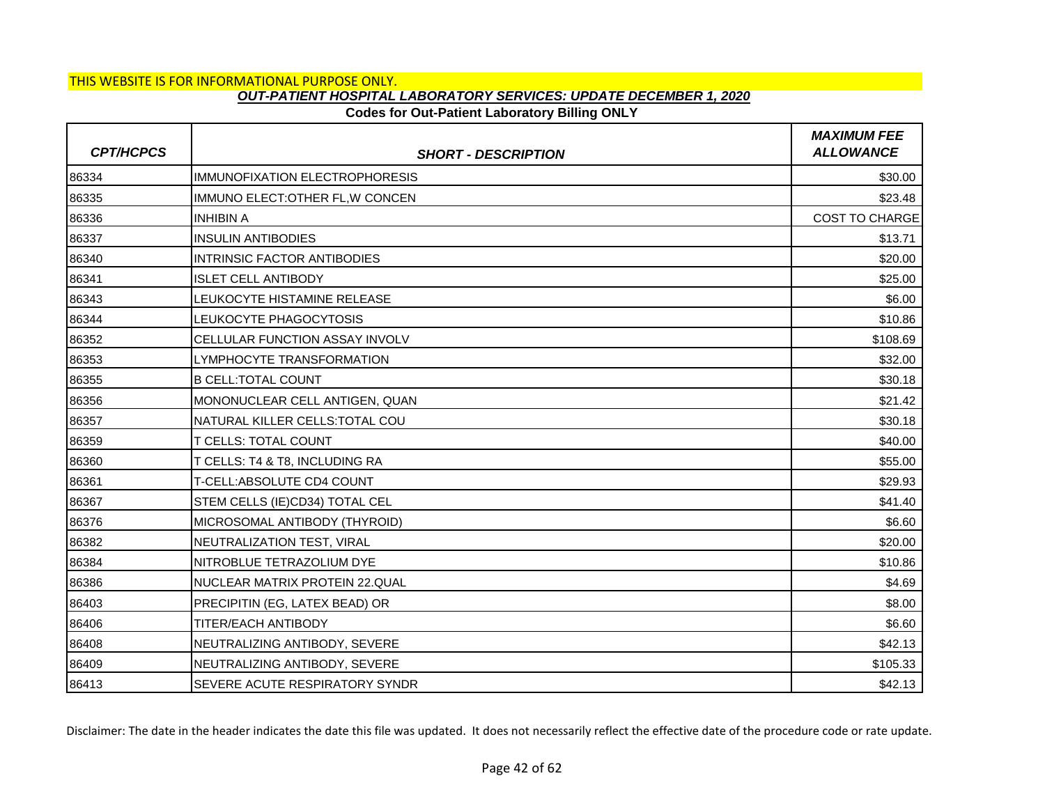# **Codes for Out-Patient Laboratory Billing ONLY**

| <b>CPT/HCPCS</b> | <b>SHORT - DESCRIPTION</b>            | <b>MAXIMUM FEE</b><br><b>ALLOWANCE</b> |
|------------------|---------------------------------------|----------------------------------------|
| 86334            | <b>IMMUNOFIXATION ELECTROPHORESIS</b> | \$30.00                                |
| 86335            | IMMUNO ELECT: OTHER FL, W CONCEN      | \$23.48                                |
| 86336            | <b>INHIBIN A</b>                      | <b>COST TO CHARGE</b>                  |
| 86337            | <b>INSULIN ANTIBODIES</b>             | \$13.71                                |
| 86340            | <b>INTRINSIC FACTOR ANTIBODIES</b>    | \$20.00                                |
| 86341            | <b>ISLET CELL ANTIBODY</b>            | \$25.00                                |
| 86343            | LEUKOCYTE HISTAMINE RELEASE           | \$6.00                                 |
| 86344            | LEUKOCYTE PHAGOCYTOSIS                | \$10.86                                |
| 86352            | CELLULAR FUNCTION ASSAY INVOLV        | \$108.69                               |
| 86353            | LYMPHOCYTE TRANSFORMATION             | \$32.00                                |
| 86355            | <b>B CELL: TOTAL COUNT</b>            | \$30.18                                |
| 86356            | MONONUCLEAR CELL ANTIGEN, QUAN        | \$21.42                                |
| 86357            | NATURAL KILLER CELLS: TOTAL COU       | \$30.18                                |
| 86359            | <b>T CELLS: TOTAL COUNT</b>           | \$40.00                                |
| 86360            | T CELLS: T4 & T8, INCLUDING RA        | \$55.00                                |
| 86361            | T-CELL: ABSOLUTE CD4 COUNT            | \$29.93                                |
| 86367            | STEM CELLS (IE)CD34) TOTAL CEL        | \$41.40                                |
| 86376            | MICROSOMAL ANTIBODY (THYROID)         | \$6.60                                 |
| 86382            | NEUTRALIZATION TEST, VIRAL            | \$20.00                                |
| 86384            | NITROBLUE TETRAZOLIUM DYE             | \$10.86                                |
| 86386            | NUCLEAR MATRIX PROTEIN 22.QUAL        | \$4.69                                 |
| 86403            | PRECIPITIN (EG, LATEX BEAD) OR        | \$8.00                                 |
| 86406            | <b>TITER/EACH ANTIBODY</b>            | \$6.60                                 |
| 86408            | NEUTRALIZING ANTIBODY, SEVERE         | \$42.13                                |
| 86409            | NEUTRALIZING ANTIBODY, SEVERE         | \$105.33                               |
| 86413            | SEVERE ACUTE RESPIRATORY SYNDR        | \$42.13                                |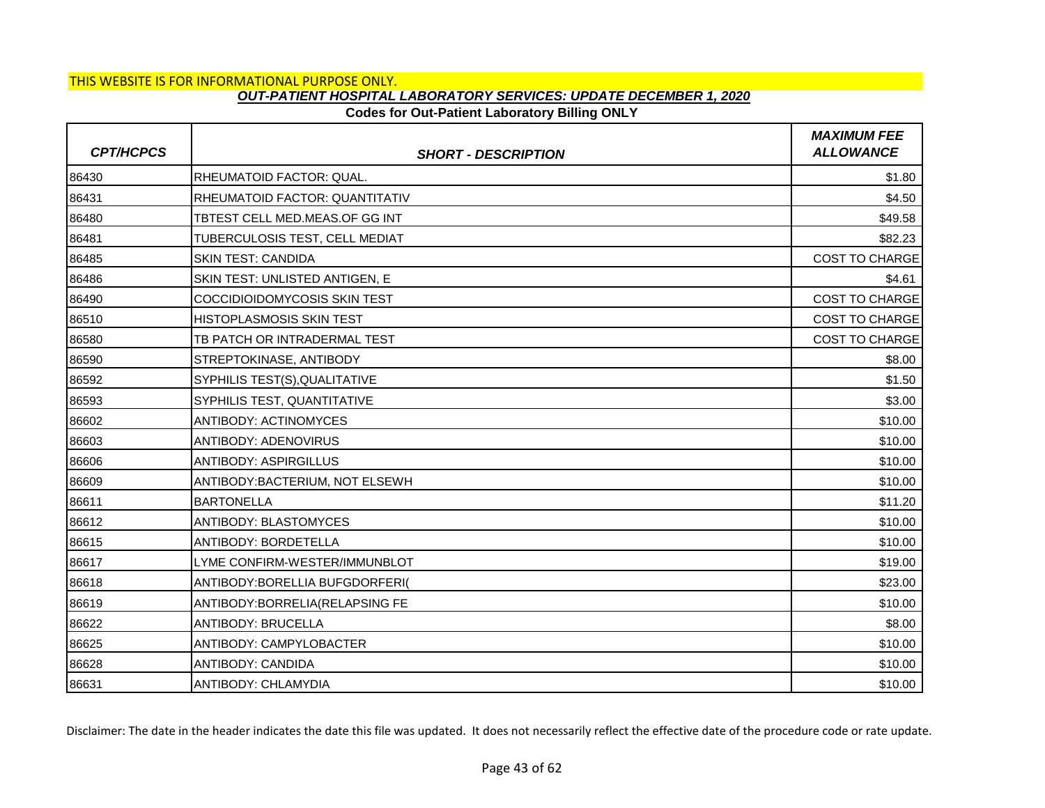# **Codes for Out-Patient Laboratory Billing ONLY**

| <b>CPT/HCPCS</b> | <b>SHORT - DESCRIPTION</b>            | <b>MAXIMUM FEE</b><br><b>ALLOWANCE</b> |
|------------------|---------------------------------------|----------------------------------------|
| 86430            | <b>RHEUMATOID FACTOR: QUAL.</b>       | \$1.80                                 |
| 86431            | <b>RHEUMATOID FACTOR: QUANTITATIV</b> | \$4.50                                 |
| 86480            | TBTEST CELL MED.MEAS.OF GG INT        | \$49.58                                |
| 86481            | TUBERCULOSIS TEST, CELL MEDIAT        | \$82.23                                |
| 86485            | <b>SKIN TEST: CANDIDA</b>             | <b>COST TO CHARGE</b>                  |
| 86486            | SKIN TEST: UNLISTED ANTIGEN, E        | \$4.61                                 |
| 86490            | COCCIDIOIDOMYCOSIS SKIN TEST          | <b>COST TO CHARGE</b>                  |
| 86510            | <b>HISTOPLASMOSIS SKIN TEST</b>       | COST TO CHARGE                         |
| 86580            | TB PATCH OR INTRADERMAL TEST          | <b>COST TO CHARGE</b>                  |
| 86590            | STREPTOKINASE, ANTIBODY               | \$8.00                                 |
| 86592            | SYPHILIS TEST(S), QUALITATIVE         | \$1.50                                 |
| 86593            | SYPHILIS TEST, QUANTITATIVE           | \$3.00                                 |
| 86602            | <b>ANTIBODY: ACTINOMYCES</b>          | \$10.00                                |
| 86603            | <b>ANTIBODY: ADENOVIRUS</b>           | \$10.00                                |
| 86606            | <b>ANTIBODY: ASPIRGILLUS</b>          | \$10.00                                |
| 86609            | ANTIBODY: BACTERIUM, NOT ELSEWH       | \$10.00                                |
| 86611            | <b>BARTONELLA</b>                     | \$11.20                                |
| 86612            | <b>ANTIBODY: BLASTOMYCES</b>          | \$10.00                                |
| 86615            | <b>ANTIBODY: BORDETELLA</b>           | \$10.00                                |
| 86617            | LYME CONFIRM-WESTER/IMMUNBLOT         | \$19.00                                |
| 86618            | ANTIBODY: BORELLIA BUFGDORFERI(       | \$23.00                                |
| 86619            | ANTIBODY: BORRELIA (RELAPSING FE      | \$10.00                                |
| 86622            | <b>ANTIBODY: BRUCELLA</b>             | \$8.00                                 |
| 86625            | <b>ANTIBODY: CAMPYLOBACTER</b>        | \$10.00                                |
| 86628            | <b>ANTIBODY: CANDIDA</b>              | \$10.00                                |
| 86631            | <b>ANTIBODY: CHLAMYDIA</b>            | \$10.00                                |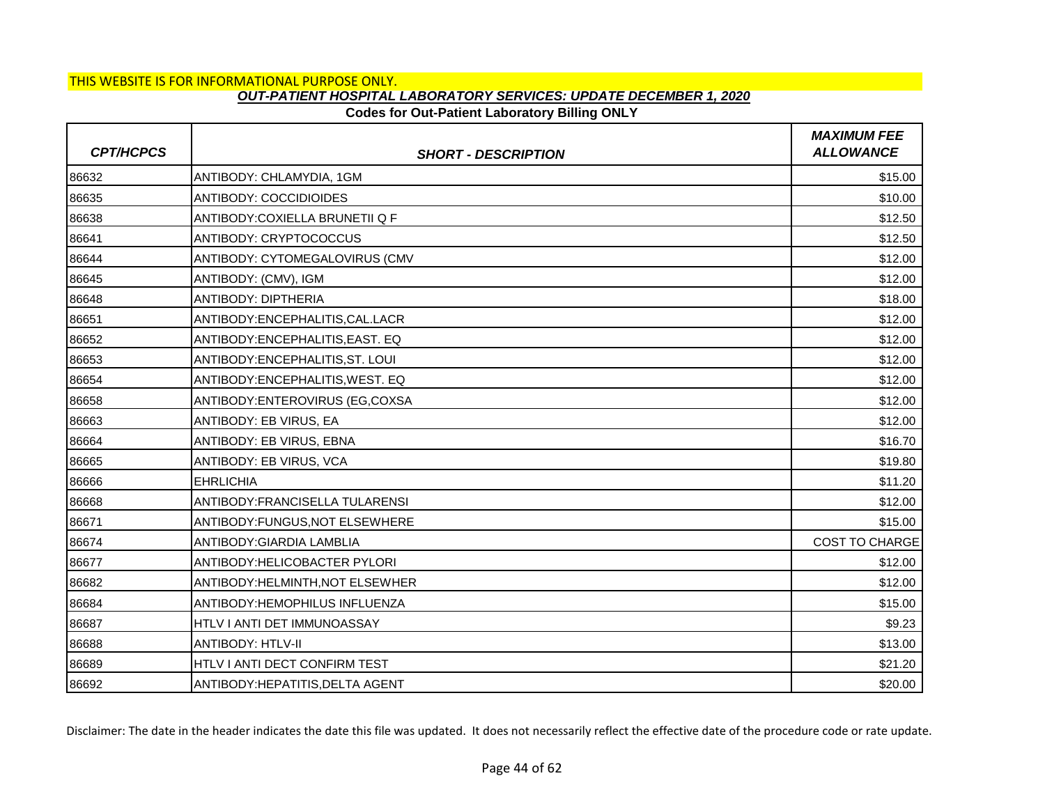# **Codes for Out-Patient Laboratory Billing ONLY**

| <b>CPT/HCPCS</b> | <b>SHORT - DESCRIPTION</b>             | <b>MAXIMUM FEE</b><br><b>ALLOWANCE</b> |
|------------------|----------------------------------------|----------------------------------------|
| 86632            | ANTIBODY: CHLAMYDIA, 1GM               | \$15.00                                |
| 86635            | <b>ANTIBODY: COCCIDIOIDES</b>          | \$10.00                                |
| 86638            | ANTIBODY: COXIELLA BRUNETII Q F        | \$12.50                                |
| 86641            | ANTIBODY: CRYPTOCOCCUS                 | \$12.50                                |
| 86644            | ANTIBODY: CYTOMEGALOVIRUS (CMV         | \$12.00                                |
| 86645            | ANTIBODY: (CMV), IGM                   | \$12.00                                |
| 86648            | <b>ANTIBODY: DIPTHERIA</b>             | \$18.00                                |
| 86651            | ANTIBODY:ENCEPHALITIS, CAL.LACR        | \$12.00                                |
| 86652            | ANTIBODY: ENCEPHALITIS. EAST. EQ       | \$12.00                                |
| 86653            | ANTIBODY: ENCEPHALITIS, ST. LOUI       | \$12.00                                |
| 86654            | ANTIBODY: ENCEPHALITIS, WEST. EQ       | \$12.00                                |
| 86658            | ANTIBODY: ENTEROVIRUS (EG, COXSA       | \$12.00                                |
| 86663            | ANTIBODY: EB VIRUS, EA                 | \$12.00                                |
| 86664            | ANTIBODY: EB VIRUS, EBNA               | \$16.70                                |
| 86665            | ANTIBODY: EB VIRUS, VCA                | \$19.80                                |
| 86666            | <b>EHRLICHIA</b>                       | \$11.20                                |
| 86668            | ANTIBODY:FRANCISELLA TULARENSI         | \$12.00                                |
| 86671            | ANTIBODY:FUNGUS, NOT ELSEWHERE         | \$15.00                                |
| 86674            | ANTIBODY: GIARDIA LAMBLIA              | <b>COST TO CHARGE</b>                  |
| 86677            | ANTIBODY: HELICOBACTER PYLORI          | \$12.00                                |
| 86682            | <b>ANTIBODY:HELMINTH, NOT ELSEWHER</b> | \$12.00                                |
| 86684            | <b>ANTIBODY:HEMOPHILUS INFLUENZA</b>   | \$15.00                                |
| 86687            | HTLV I ANTI DET IMMUNOASSAY            | \$9.23                                 |
| 86688            | <b>ANTIBODY: HTLV-II</b>               | \$13.00                                |
| 86689            | HTLV I ANTI DECT CONFIRM TEST          | \$21.20                                |
| 86692            | ANTIBODY: HEPATITIS, DELTA AGENT       | \$20.00                                |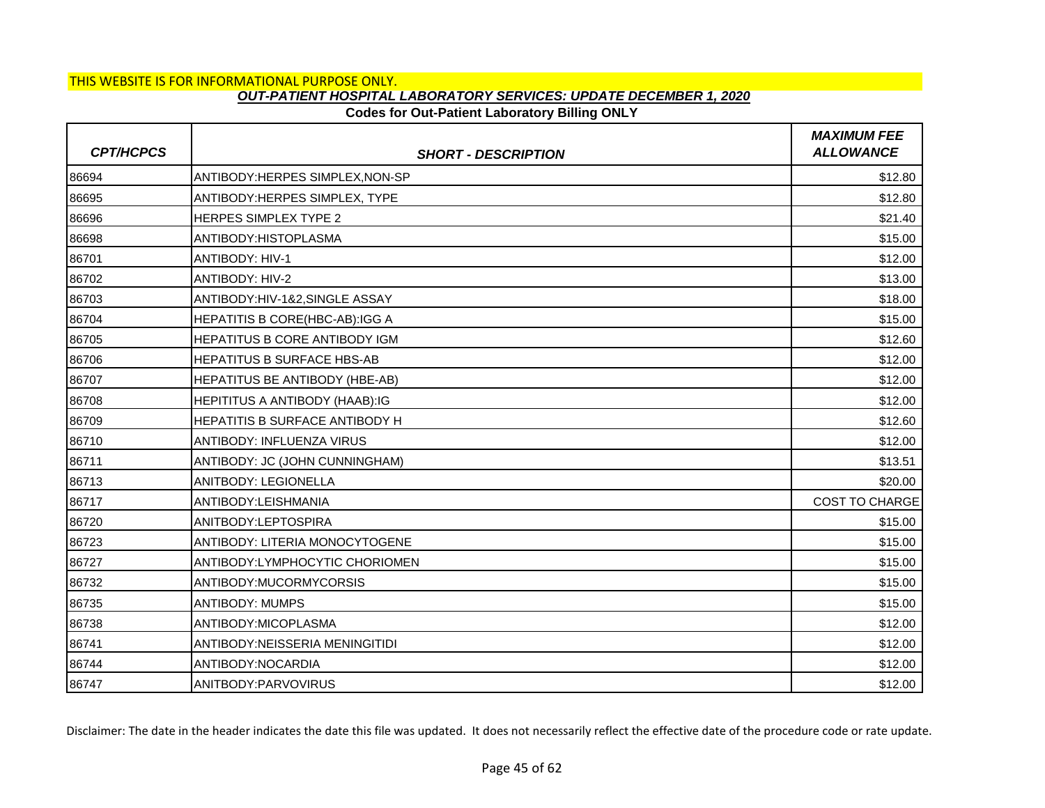# **Codes for Out-Patient Laboratory Billing ONLY**

| <b>CPT/HCPCS</b> | <b>SHORT - DESCRIPTION</b>            | <b>MAXIMUM FEE</b><br><b>ALLOWANCE</b> |
|------------------|---------------------------------------|----------------------------------------|
| 86694            | ANTIBODY:HERPES SIMPLEX, NON-SP       | \$12.80                                |
| 86695            | ANTIBODY: HERPES SIMPLEX, TYPE        | \$12.80                                |
| 86696            | <b>HERPES SIMPLEX TYPE 2</b>          | \$21.40                                |
| 86698            | ANTIBODY: HISTOPLASMA                 | \$15.00                                |
| 86701            | <b>ANTIBODY: HIV-1</b>                | \$12.00                                |
| 86702            | <b>ANTIBODY: HIV-2</b>                | \$13.00                                |
| 86703            | ANTIBODY:HIV-1&2, SINGLE ASSAY        | \$18.00                                |
| 86704            | HEPATITIS B CORE(HBC-AB):IGG A        | \$15.00                                |
| 86705            | <b>HEPATITUS B CORE ANTIBODY IGM</b>  | \$12.60                                |
| 86706            | <b>HEPATITUS B SURFACE HBS-AB</b>     | \$12.00                                |
| 86707            | HEPATITUS BE ANTIBODY (HBE-AB)        | \$12.00                                |
| 86708            | <b>HEPITITUS A ANTIBODY (HAAB):IG</b> | \$12.00                                |
| 86709            | HEPATITIS B SURFACE ANTIBODY H        | \$12.60                                |
| 86710            | <b>ANTIBODY: INFLUENZA VIRUS</b>      | \$12.00                                |
| 86711            | ANTIBODY: JC (JOHN CUNNINGHAM)        | \$13.51                                |
| 86713            | ANITBODY: LEGIONELLA                  | \$20.00                                |
| 86717            | ANTIBODY:LEISHMANIA                   | <b>COST TO CHARGE</b>                  |
| 86720            | ANITBODY:LEPTOSPIRA                   | \$15.00                                |
| 86723            | ANTIBODY: LITERIA MONOCYTOGENE        | \$15.00                                |
| 86727            | ANTIBODY:LYMPHOCYTIC CHORIOMEN        | \$15.00                                |
| 86732            | ANTIBODY:MUCORMYCORSIS                | \$15.00                                |
| 86735            | <b>ANTIBODY: MUMPS</b>                | \$15.00                                |
| 86738            | ANTIBODY: MICOPLASMA                  | \$12.00                                |
| 86741            | ANTIBODY:NEISSERIA MENINGITIDI        | \$12.00                                |
| 86744            | ANTIBODY:NOCARDIA                     | \$12.00                                |
| 86747            | <b>ANITBODY:PARVOVIRUS</b>            | \$12.00                                |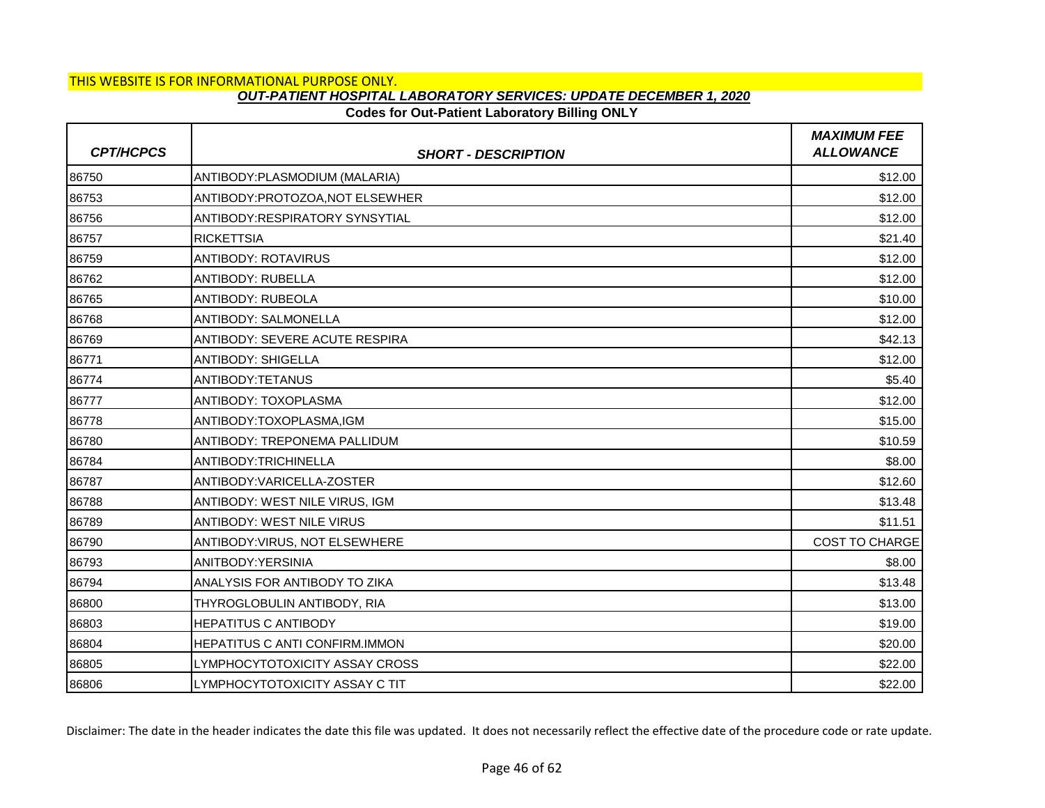## **Codes for Out-Patient Laboratory Billing ONLY**

| <b>CPT/HCPCS</b> | <b>SHORT - DESCRIPTION</b>            | <b>MAXIMUM FEE</b><br><b>ALLOWANCE</b> |
|------------------|---------------------------------------|----------------------------------------|
| 86750            | ANTIBODY: PLASMODIUM (MALARIA)        | \$12.00                                |
| 86753            | ANTIBODY: PROTOZOA, NOT ELSEWHER      | \$12.00                                |
| 86756            | ANTIBODY:RESPIRATORY SYNSYTIAL        | \$12.00                                |
| 86757            | <b>RICKETTSIA</b>                     | \$21.40                                |
| 86759            | <b>ANTIBODY: ROTAVIRUS</b>            | \$12.00                                |
| 86762            | <b>ANTIBODY: RUBELLA</b>              | \$12.00                                |
| 86765            | <b>ANTIBODY: RUBEOLA</b>              | \$10.00                                |
| 86768            | <b>ANTIBODY: SALMONELLA</b>           | \$12.00                                |
| 86769            | <b>ANTIBODY: SEVERE ACUTE RESPIRA</b> | \$42.13                                |
| 86771            | <b>ANTIBODY: SHIGELLA</b>             | \$12.00                                |
| 86774            | ANTIBODY:TETANUS                      | \$5.40                                 |
| 86777            | <b>ANTIBODY: TOXOPLASMA</b>           | \$12.00                                |
| 86778            | ANTIBODY:TOXOPLASMA,IGM               | \$15.00                                |
| 86780            | <b>ANTIBODY: TREPONEMA PALLIDUM</b>   | \$10.59                                |
| 86784            | ANTIBODY: TRICHINELLA                 | \$8.00                                 |
| 86787            | ANTIBODY:VARICELLA-ZOSTER             | \$12.60                                |
| 86788            | ANTIBODY: WEST NILE VIRUS, IGM        | \$13.48                                |
| 86789            | <b>ANTIBODY: WEST NILE VIRUS</b>      | \$11.51                                |
| 86790            | ANTIBODY: VIRUS, NOT ELSEWHERE        | <b>COST TO CHARGE</b>                  |
| 86793            | ANITBODY: YERSINIA                    | \$8.00                                 |
| 86794            | ANALYSIS FOR ANTIBODY TO ZIKA         | \$13.48                                |
| 86800            | THYROGLOBULIN ANTIBODY, RIA           | \$13.00                                |
| 86803            | <b>HEPATITUS C ANTIBODY</b>           | \$19.00                                |
| 86804            | <b>HEPATITUS C ANTI CONFIRM.IMMON</b> | \$20.00                                |
| 86805            | LYMPHOCYTOTOXICITY ASSAY CROSS        | \$22.00                                |
| 86806            | LYMPHOCYTOTOXICITY ASSAY C TIT        | \$22.00                                |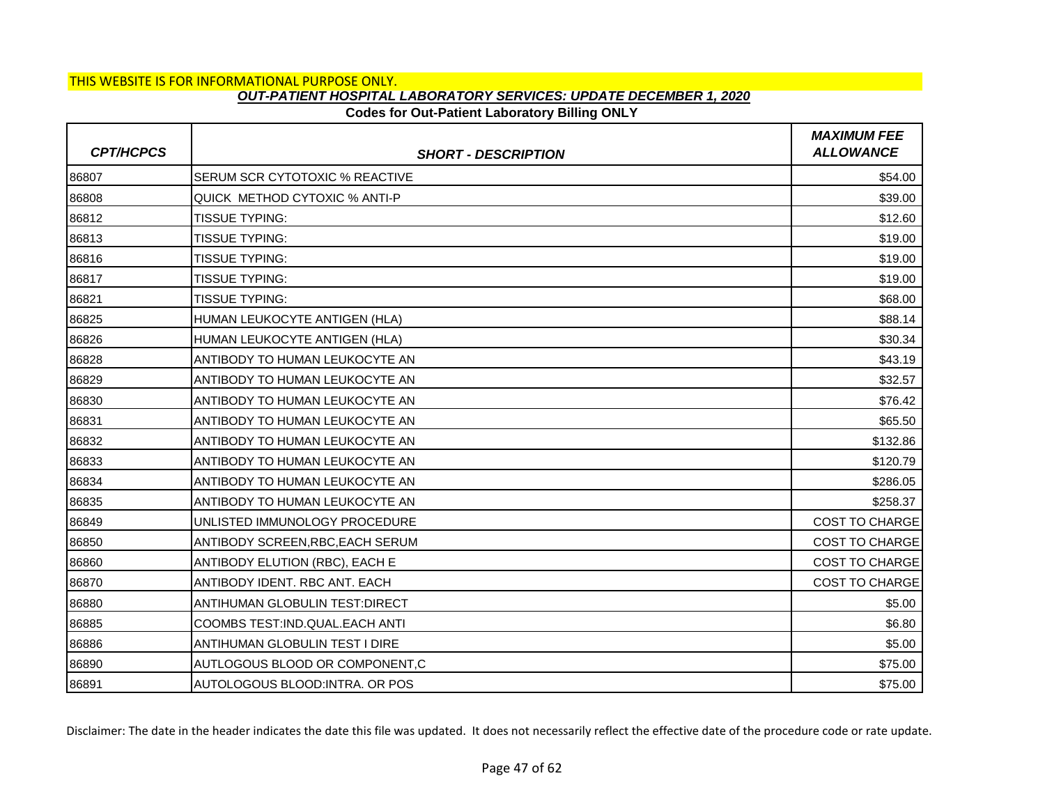# **Codes for Out-Patient Laboratory Billing ONLY**

| <b>CPT/HCPCS</b> | <b>SHORT - DESCRIPTION</b>            | <b>MAXIMUM FEE</b><br><b>ALLOWANCE</b> |
|------------------|---------------------------------------|----------------------------------------|
| 86807            | SERUM SCR CYTOTOXIC % REACTIVE        | \$54.00                                |
| 86808            | QUICK METHOD CYTOXIC % ANTI-P         | \$39.00                                |
| 86812            | <b>TISSUE TYPING:</b>                 | \$12.60                                |
| 86813            | <b>TISSUE TYPING:</b>                 | \$19.00                                |
| 86816            | <b>TISSUE TYPING:</b>                 | \$19.00                                |
| 86817            | <b>TISSUE TYPING:</b>                 | \$19.00                                |
| 86821            | <b>TISSUE TYPING:</b>                 | \$68.00                                |
| 86825            | HUMAN LEUKOCYTE ANTIGEN (HLA)         | \$88.14                                |
| 86826            | HUMAN LEUKOCYTE ANTIGEN (HLA)         | \$30.34                                |
| 86828            | ANTIBODY TO HUMAN LEUKOCYTE AN        | \$43.19                                |
| 86829            | ANTIBODY TO HUMAN LEUKOCYTE AN        | \$32.57                                |
| 86830            | ANTIBODY TO HUMAN LEUKOCYTE AN        | \$76.42                                |
| 86831            | ANTIBODY TO HUMAN LEUKOCYTE AN        | \$65.50                                |
| 86832            | ANTIBODY TO HUMAN LEUKOCYTE AN        | \$132.86                               |
| 86833            | ANTIBODY TO HUMAN LEUKOCYTE AN        | \$120.79                               |
| 86834            | ANTIBODY TO HUMAN LEUKOCYTE AN        | \$286.05                               |
| 86835            | ANTIBODY TO HUMAN LEUKOCYTE AN        | \$258.37                               |
| 86849            | UNLISTED IMMUNOLOGY PROCEDURE         | <b>COST TO CHARGE</b>                  |
| 86850            | ANTIBODY SCREEN, RBC, EACH SERUM      | <b>COST TO CHARGE</b>                  |
| 86860            | ANTIBODY ELUTION (RBC), EACH E        | <b>COST TO CHARGE</b>                  |
| 86870            | ANTIBODY IDENT. RBC ANT. EACH         | <b>COST TO CHARGE</b>                  |
| 86880            | <b>ANTIHUMAN GLOBULIN TEST:DIRECT</b> | \$5.00                                 |
| 86885            | COOMBS TEST:IND.QUAL.EACH ANTI        | \$6.80                                 |
| 86886            | ANTIHUMAN GLOBULIN TEST I DIRE        | \$5.00                                 |
| 86890            | AUTLOGOUS BLOOD OR COMPONENT,C        | \$75.00                                |
| 86891            | AUTOLOGOUS BLOOD: INTRA. OR POS       | \$75.00                                |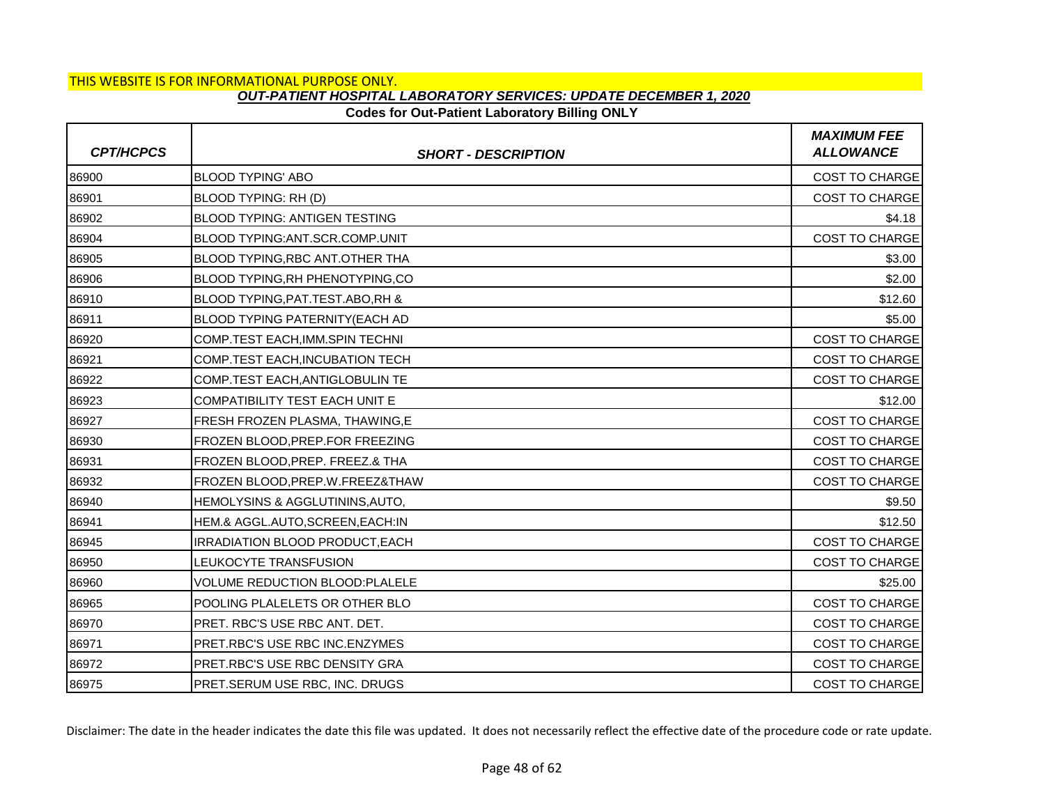## **Codes for Out-Patient Laboratory Billing ONLY**

| <b>CPT/HCPCS</b> | <b>SHORT - DESCRIPTION</b>              | <b>MAXIMUM FEE</b><br><b>ALLOWANCE</b> |
|------------------|-----------------------------------------|----------------------------------------|
| 86900            | <b>BLOOD TYPING' ABO</b>                | <b>COST TO CHARGE</b>                  |
| 86901            | BLOOD TYPING: RH (D)                    | COST TO CHARGE                         |
| 86902            | <b>BLOOD TYPING: ANTIGEN TESTING</b>    | \$4.18                                 |
| 86904            | BLOOD TYPING: ANT. SCR. COMP. UNIT      | <b>COST TO CHARGE</b>                  |
| 86905            | BLOOD TYPING, RBC ANT. OTHER THA        | \$3.00                                 |
| 86906            | <b>BLOOD TYPING, RH PHENOTYPING, CO</b> | \$2.00                                 |
| 86910            | BLOOD TYPING, PAT. TEST. ABO, RH &      | \$12.60                                |
| 86911            | BLOOD TYPING PATERNITY(EACH AD          | \$5.00                                 |
| 86920            | COMP.TEST EACH.IMM.SPIN TECHNI          | <b>COST TO CHARGE</b>                  |
| 86921            | COMP.TEST EACH.INCUBATION TECH          | <b>COST TO CHARGE</b>                  |
| 86922            | COMP.TEST EACH, ANTIGLOBULIN TE         | COST TO CHARGE                         |
| 86923            | <b>COMPATIBILITY TEST EACH UNIT E</b>   | \$12.00                                |
| 86927            | FRESH FROZEN PLASMA, THAWING, E         | <b>COST TO CHARGE</b>                  |
| 86930            | FROZEN BLOOD, PREP. FOR FREEZING        | COST TO CHARGE                         |
| 86931            | FROZEN BLOOD, PREP. FREEZ.& THA         | <b>COST TO CHARGE</b>                  |
| 86932            | FROZEN BLOOD, PREP. W. FREEZ& THAW      | COST TO CHARGE                         |
| 86940            | HEMOLYSINS & AGGLUTININS, AUTO,         | \$9.50                                 |
| 86941            | HEM.& AGGL.AUTO, SCREEN, EACH: IN       | \$12.50                                |
| 86945            | <b>IRRADIATION BLOOD PRODUCT, EACH</b>  | <b>COST TO CHARGE</b>                  |
| 86950            | LEUKOCYTE TRANSFUSION                   | <b>COST TO CHARGE</b>                  |
| 86960            | <b>VOLUME REDUCTION BLOOD:PLALELE</b>   | \$25.00                                |
| 86965            | POOLING PLALELETS OR OTHER BLO          | <b>COST TO CHARGE</b>                  |
| 86970            | PRET. RBC'S USE RBC ANT. DET.           | <b>COST TO CHARGE</b>                  |
| 86971            | PRET.RBC'S USE RBC INC.ENZYMES          | <b>COST TO CHARGE</b>                  |
| 86972            | PRET.RBC'S USE RBC DENSITY GRA          | <b>COST TO CHARGE</b>                  |
| 86975            | PRET.SERUM USE RBC, INC. DRUGS          | <b>COST TO CHARGE</b>                  |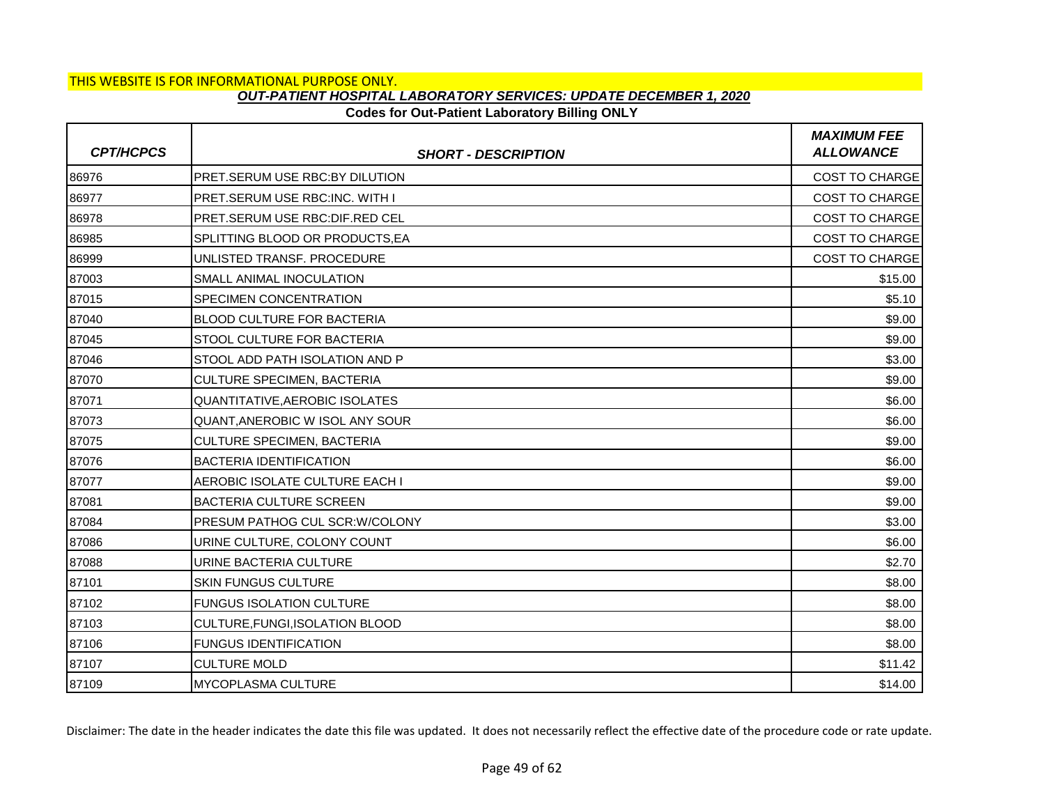## **Codes for Out-Patient Laboratory Billing ONLY**

| <b>CPT/HCPCS</b> | <b>SHORT - DESCRIPTION</b>            | <b>MAXIMUM FEE</b><br><b>ALLOWANCE</b> |
|------------------|---------------------------------------|----------------------------------------|
| 86976            | PRET.SERUM USE RBC:BY DILUTION        | <b>COST TO CHARGE</b>                  |
| 86977            | PRET.SERUM USE RBC:INC. WITH I        | <b>COST TO CHARGE</b>                  |
| 86978            | PRET.SERUM USE RBC:DIF.RED CEL        | <b>COST TO CHARGE</b>                  |
| 86985            | SPLITTING BLOOD OR PRODUCTS.EA        | <b>COST TO CHARGE</b>                  |
| 86999            | UNLISTED TRANSF. PROCEDURE            | <b>COST TO CHARGE</b>                  |
| 87003            | SMALL ANIMAL INOCULATION              | \$15.00                                |
| 87015            | SPECIMEN CONCENTRATION                | \$5.10                                 |
| 87040            | BLOOD CULTURE FOR BACTERIA            | \$9.00                                 |
| 87045            | STOOL CULTURE FOR BACTERIA            | \$9.00                                 |
| 87046            | STOOL ADD PATH ISOLATION AND P        | \$3.00                                 |
| 87070            | CULTURE SPECIMEN, BACTERIA            | \$9.00                                 |
| 87071            | <b>QUANTITATIVE, AEROBIC ISOLATES</b> | \$6.00                                 |
| 87073            | QUANT, ANEROBIC W ISOL ANY SOUR       | \$6.00                                 |
| 87075            | CULTURE SPECIMEN, BACTERIA            | \$9.00                                 |
| 87076            | <b>BACTERIA IDENTIFICATION</b>        | \$6.00                                 |
| 87077            | AEROBIC ISOLATE CULTURE EACH I        | \$9.00                                 |
| 87081            | <b>BACTERIA CULTURE SCREEN</b>        | \$9.00                                 |
| 87084            | PRESUM PATHOG CUL SCR: W/COLONY       | \$3.00                                 |
| 87086            | URINE CULTURE, COLONY COUNT           | \$6.00                                 |
| 87088            | URINE BACTERIA CULTURE                | \$2.70                                 |
| 87101            | <b>SKIN FUNGUS CULTURE</b>            | \$8.00                                 |
| 87102            | <b>FUNGUS ISOLATION CULTURE</b>       | \$8.00                                 |
| 87103            | CULTURE, FUNGI, ISOLATION BLOOD       | \$8.00                                 |
| 87106            | <b>FUNGUS IDENTIFICATION</b>          | \$8.00                                 |
| 87107            | <b>CULTURE MOLD</b>                   | \$11.42                                |
| 87109            | <b>MYCOPLASMA CULTURE</b>             | \$14.00                                |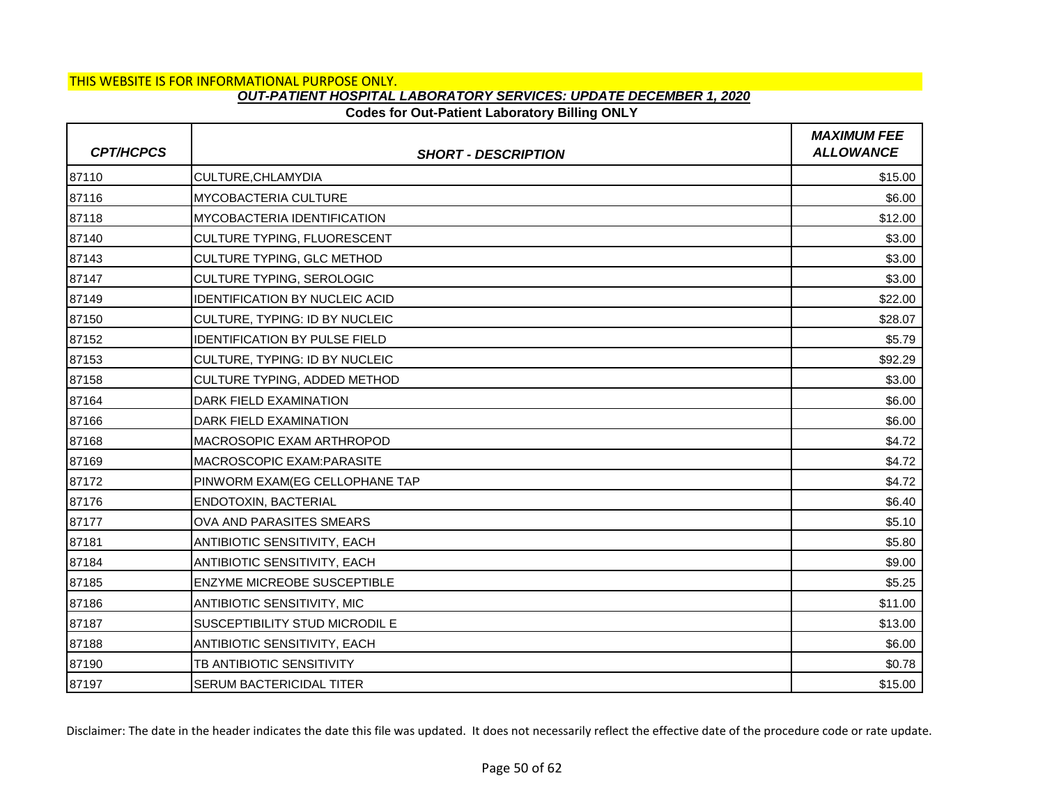# **Codes for Out-Patient Laboratory Billing ONLY**

| <b>CPT/HCPCS</b> | <b>SHORT - DESCRIPTION</b>            | <b>MAXIMUM FEE</b><br><b>ALLOWANCE</b> |
|------------------|---------------------------------------|----------------------------------------|
| 87110            | CULTURE, CHLAMYDIA                    | \$15.00                                |
| 87116            | <b>MYCOBACTERIA CULTURE</b>           | \$6.00                                 |
| 87118            | IMYCOBACTERIA IDENTIFICATION          | \$12.00                                |
| 87140            | <b>CULTURE TYPING, FLUORESCENT</b>    | \$3.00                                 |
| 87143            | CULTURE TYPING, GLC METHOD            | \$3.00                                 |
| 87147            | CULTURE TYPING, SEROLOGIC             | \$3.00                                 |
| 87149            | <b>IDENTIFICATION BY NUCLEIC ACID</b> | \$22.00                                |
| 87150            | CULTURE, TYPING: ID BY NUCLEIC        | \$28.07                                |
| 87152            | <b>IDENTIFICATION BY PULSE FIELD</b>  | \$5.79                                 |
| 87153            | CULTURE, TYPING: ID BY NUCLEIC        | \$92.29                                |
| 87158            | CULTURE TYPING, ADDED METHOD          | \$3.00                                 |
| 87164            | DARK FIELD EXAMINATION                | \$6.00                                 |
| 87166            | DARK FIELD EXAMINATION                | \$6.00                                 |
| 87168            | MACROSOPIC EXAM ARTHROPOD             | \$4.72                                 |
| 87169            | IMACROSCOPIC EXAM:PARASITE            | \$4.72                                 |
| 87172            | PINWORM EXAM(EG CELLOPHANE TAP        | \$4.72                                 |
| 87176            | <b>ENDOTOXIN, BACTERIAL</b>           | \$6.40                                 |
| 87177            | OVA AND PARASITES SMEARS              | \$5.10                                 |
| 87181            | ANTIBIOTIC SENSITIVITY, EACH          | \$5.80                                 |
| 87184            | <b>ANTIBIOTIC SENSITIVITY, EACH</b>   | \$9.00                                 |
| 87185            | <b>ENZYME MICREOBE SUSCEPTIBLE</b>    | \$5.25                                 |
| 87186            | <b>ANTIBIOTIC SENSITIVITY, MIC</b>    | \$11.00                                |
| 87187            | SUSCEPTIBILITY STUD MICRODIL E        | \$13.00                                |
| 87188            | <b>ANTIBIOTIC SENSITIVITY, EACH</b>   | \$6.00                                 |
| 87190            | TB ANTIBIOTIC SENSITIVITY             | \$0.78                                 |
| 87197            | <b>SERUM BACTERICIDAL TITER</b>       | \$15.00                                |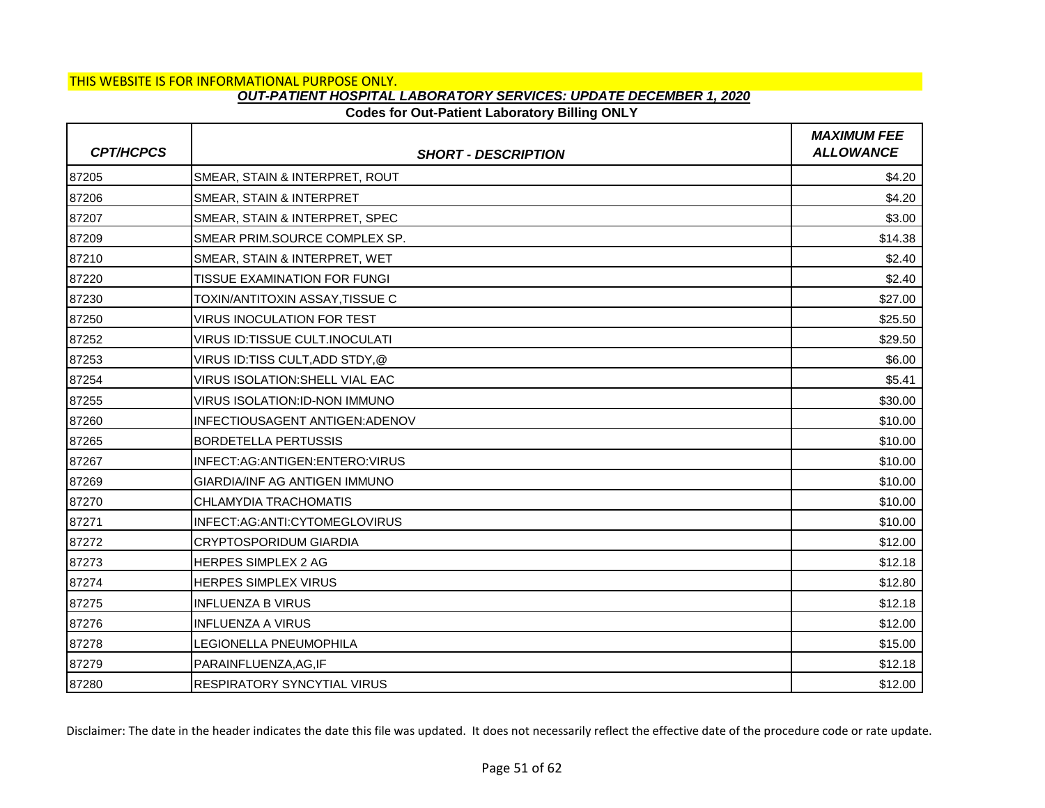# **Codes for Out-Patient Laboratory Billing ONLY**

| <b>CPT/HCPCS</b> | <b>SHORT - DESCRIPTION</b>           | <b>MAXIMUM FEE</b><br><b>ALLOWANCE</b> |
|------------------|--------------------------------------|----------------------------------------|
| 87205            | SMEAR, STAIN & INTERPRET, ROUT       | \$4.20                                 |
| 87206            | SMEAR, STAIN & INTERPRET             | \$4.20                                 |
| 87207            | SMEAR, STAIN & INTERPRET, SPEC       | \$3.00                                 |
| 87209            | SMEAR PRIM.SOURCE COMPLEX SP.        | \$14.38                                |
| 87210            | SMEAR, STAIN & INTERPRET, WET        | \$2.40                                 |
| 87220            | <b>TISSUE EXAMINATION FOR FUNGI</b>  | \$2.40                                 |
| 87230            | TOXIN/ANTITOXIN ASSAY.TISSUE C       | \$27.00                                |
| 87250            | <b>VIRUS INOCULATION FOR TEST</b>    | \$25.50                                |
| 87252            | VIRUS ID:TISSUE CULT.INOCULATI       | \$29.50                                |
| 87253            | VIRUS ID:TISS CULT,ADD STDY,@        | \$6.00                                 |
| 87254            | VIRUS ISOLATION: SHELL VIAL EAC      | \$5.41                                 |
| 87255            | <b>VIRUS ISOLATION:ID-NON IMMUNO</b> | \$30.00                                |
| 87260            | INFECTIOUSAGENT ANTIGEN: ADENOV      | \$10.00                                |
| 87265            | <b>BORDETELLA PERTUSSIS</b>          | \$10.00                                |
| 87267            | INFECT:AG:ANTIGEN:ENTERO:VIRUS       | \$10.00                                |
| 87269            | GIARDIA/INF AG ANTIGEN IMMUNO        | \$10.00                                |
| 87270            | CHLAMYDIA TRACHOMATIS                | \$10.00                                |
| 87271            | INFECT:AG:ANTI:CYTOMEGLOVIRUS        | \$10.00                                |
| 87272            | <b>CRYPTOSPORIDUM GIARDIA</b>        | \$12.00                                |
| 87273            | <b>HERPES SIMPLEX 2 AG</b>           | \$12.18                                |
| 87274            | <b>HERPES SIMPLEX VIRUS</b>          | \$12.80                                |
| 87275            | <b>INFLUENZA B VIRUS</b>             | \$12.18                                |
| 87276            | <b>INFLUENZA A VIRUS</b>             | \$12.00                                |
| 87278            | LEGIONELLA PNEUMOPHILA               | \$15.00                                |
| 87279            | PARAINFLUENZA, AG, IF                | \$12.18                                |
| 87280            | <b>RESPIRATORY SYNCYTIAL VIRUS</b>   | \$12.00                                |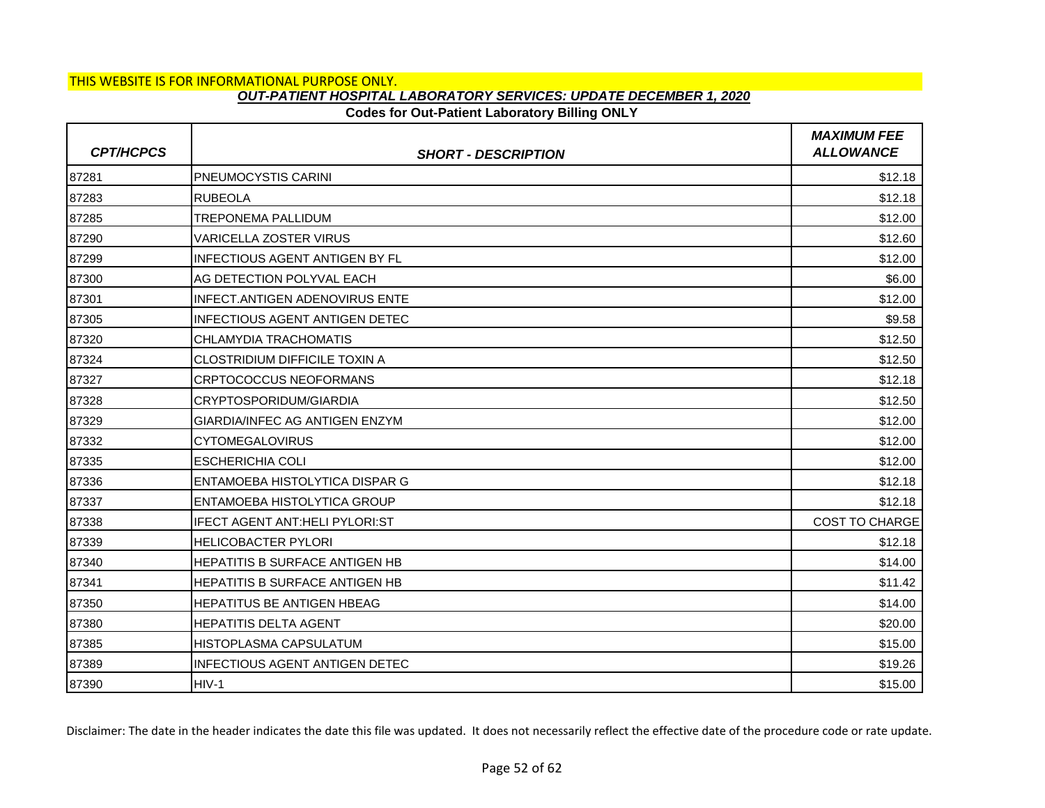# **Codes for Out-Patient Laboratory Billing ONLY**

| <b>CPT/HCPCS</b> | <b>SHORT - DESCRIPTION</b>            | <b>MAXIMUM FEE</b><br><b>ALLOWANCE</b> |
|------------------|---------------------------------------|----------------------------------------|
| 87281            | PNEUMOCYSTIS CARINI                   | \$12.18                                |
| 87283            | <b>RUBEOLA</b>                        | \$12.18                                |
| 87285            | <b>TREPONEMA PALLIDUM</b>             | \$12.00                                |
| 87290            | VARICELLA ZOSTER VIRUS                | \$12.60                                |
| 87299            | <b>INFECTIOUS AGENT ANTIGEN BY FL</b> | \$12.00                                |
| 87300            | AG DETECTION POLYVAL EACH             | \$6.00                                 |
| 87301            | <b>INFECT.ANTIGEN ADENOVIRUS ENTE</b> | \$12.00                                |
| 87305            | <b>INFECTIOUS AGENT ANTIGEN DETEC</b> | \$9.58                                 |
| 87320            | CHLAMYDIA TRACHOMATIS                 | \$12.50                                |
| 87324            | <b>CLOSTRIDIUM DIFFICILE TOXIN A</b>  | \$12.50                                |
| 87327            | CRPTOCOCCUS NEOFORMANS                | \$12.18                                |
| 87328            | CRYPTOSPORIDUM/GIARDIA                | \$12.50                                |
| 87329            | <b>GIARDIA/INFEC AG ANTIGEN ENZYM</b> | \$12.00                                |
| 87332            | <b>CYTOMEGALOVIRUS</b>                | \$12.00                                |
| 87335            | <b>ESCHERICHIA COLI</b>               | \$12.00                                |
| 87336            | ENTAMOEBA HISTOLYTICA DISPAR G        | \$12.18                                |
| 87337            | ENTAMOEBA HISTOLYTICA GROUP           | \$12.18                                |
| 87338            | <b>IFECT AGENT ANT:HELI PYLORI:ST</b> | <b>COST TO CHARGE</b>                  |
| 87339            | <b>HELICOBACTER PYLORI</b>            | \$12.18                                |
| 87340            | HEPATITIS B SURFACE ANTIGEN HB        | \$14.00                                |
| 87341            | <b>HEPATITIS B SURFACE ANTIGEN HB</b> | \$11.42                                |
| 87350            | <b>HEPATITUS BE ANTIGEN HBEAG</b>     | \$14.00                                |
| 87380            | <b>HEPATITIS DELTA AGENT</b>          | \$20.00                                |
| 87385            | <b>HISTOPLASMA CAPSULATUM</b>         | \$15.00                                |
| 87389            | <b>INFECTIOUS AGENT ANTIGEN DETEC</b> | \$19.26                                |
| 87390            | $HIV-1$                               | \$15.00                                |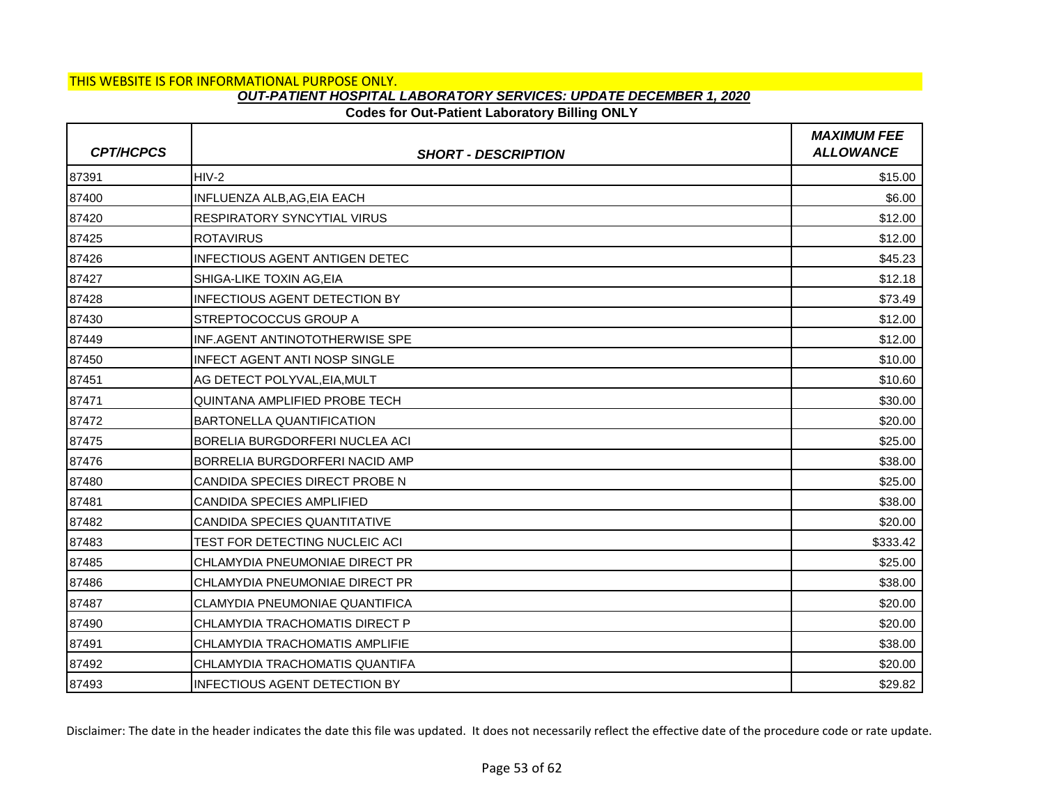# **Codes for Out-Patient Laboratory Billing ONLY**

| <b>CPT/HCPCS</b> | <b>SHORT - DESCRIPTION</b>            | <b>MAXIMUM FEE</b><br><b>ALLOWANCE</b> |
|------------------|---------------------------------------|----------------------------------------|
| 87391            | $HIV-2$                               | \$15.00                                |
| 87400            | INFLUENZA ALB, AG, EIA EACH           | \$6.00                                 |
| 87420            | <b>RESPIRATORY SYNCYTIAL VIRUS</b>    | \$12.00                                |
| 87425            | <b>ROTAVIRUS</b>                      | \$12.00                                |
| 87426            | <b>INFECTIOUS AGENT ANTIGEN DETEC</b> | \$45.23                                |
| 87427            | SHIGA-LIKE TOXIN AG.EIA               | \$12.18                                |
| 87428            | <b>INFECTIOUS AGENT DETECTION BY</b>  | \$73.49                                |
| 87430            | STREPTOCOCCUS GROUP A                 | \$12.00                                |
| 87449            | INF.AGENT ANTINOTOTHERWISE SPE        | \$12.00                                |
| 87450            | <b>INFECT AGENT ANTI NOSP SINGLE</b>  | \$10.00                                |
| 87451            | AG DETECT POLYVAL, EIA, MULT          | \$10.60                                |
| 87471            | QUINTANA AMPLIFIED PROBE TECH         | \$30.00                                |
| 87472            | <b>BARTONELLA QUANTIFICATION</b>      | \$20.00                                |
| 87475            | BORELIA BURGDORFERI NUCLEA ACI        | \$25.00                                |
| 87476            | BORRELIA BURGDORFERI NACID AMP        | \$38.00                                |
| 87480            | CANDIDA SPECIES DIRECT PROBE N        | \$25.00                                |
| 87481            | CANDIDA SPECIES AMPLIFIED             | \$38.00                                |
| 87482            | CANDIDA SPECIES QUANTITATIVE          | \$20.00                                |
| 87483            | TEST FOR DETECTING NUCLEIC ACI        | \$333.42                               |
| 87485            | CHLAMYDIA PNEUMONIAE DIRECT PR        | \$25.00                                |
| 87486            | CHLAMYDIA PNEUMONIAE DIRECT PR        | \$38.00                                |
| 87487            | <b>CLAMYDIA PNEUMONIAE QUANTIFICA</b> | \$20.00                                |
| 87490            | CHLAMYDIA TRACHOMATIS DIRECT P        | \$20.00                                |
| 87491            | CHLAMYDIA TRACHOMATIS AMPLIFIE        | \$38.00                                |
| 87492            | CHLAMYDIA TRACHOMATIS QUANTIFA        | \$20.00                                |
| 87493            | <b>INFECTIOUS AGENT DETECTION BY</b>  | \$29.82                                |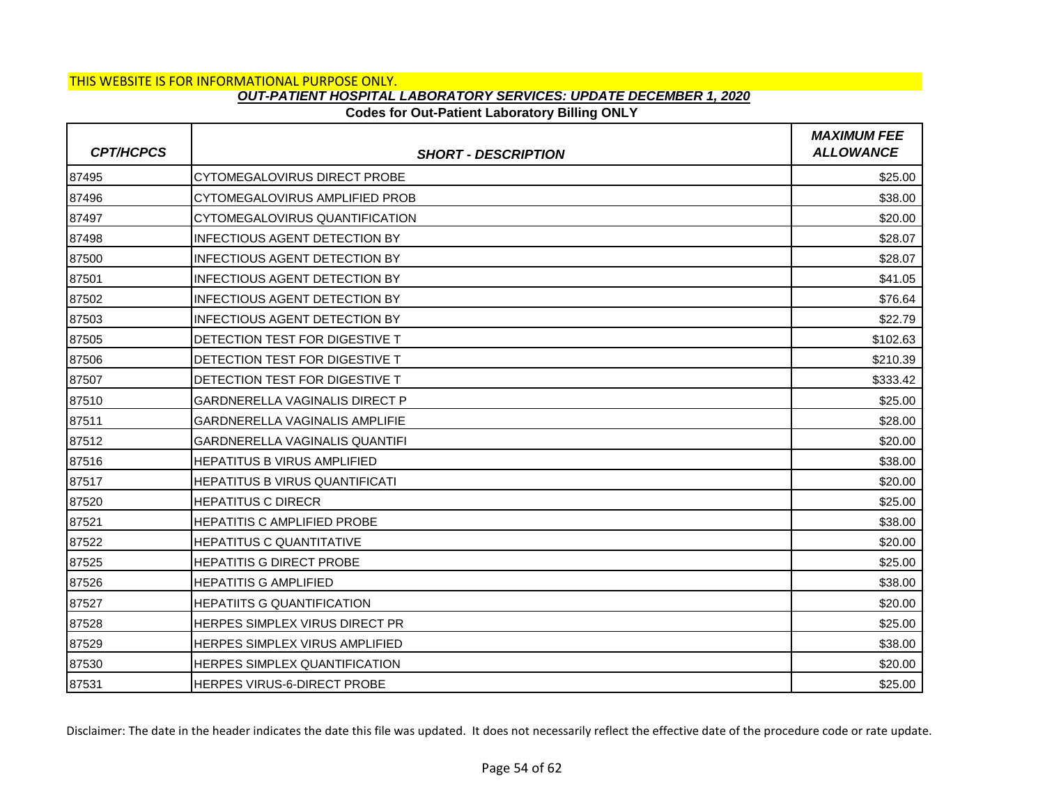# **Codes for Out-Patient Laboratory Billing ONLY**

| <b>CPT/HCPCS</b> | <b>SHORT - DESCRIPTION</b>             | <b>MAXIMUM FEE</b><br><b>ALLOWANCE</b> |
|------------------|----------------------------------------|----------------------------------------|
| 87495            | <b>CYTOMEGALOVIRUS DIRECT PROBE</b>    | \$25.00                                |
| 87496            | CYTOMEGALOVIRUS AMPLIFIED PROB         | \$38.00                                |
| 87497            | CYTOMEGALOVIRUS QUANTIFICATION         | \$20.00                                |
| 87498            | INFECTIOUS AGENT DETECTION BY          | \$28.07                                |
| 87500            | <b>INFECTIOUS AGENT DETECTION BY</b>   | \$28.07                                |
| 87501            | INFECTIOUS AGENT DETECTION BY          | \$41.05                                |
| 87502            | INFECTIOUS AGENT DETECTION BY          | \$76.64                                |
| 87503            | <b>INFECTIOUS AGENT DETECTION BY</b>   | \$22.79                                |
| 87505            | <b>IDETECTION TEST FOR DIGESTIVE T</b> | \$102.63                               |
| 87506            | DETECTION TEST FOR DIGESTIVE T         | \$210.39                               |
| 87507            | <b>DETECTION TEST FOR DIGESTIVE T</b>  | \$333.42                               |
| 87510            | <b>GARDNERELLA VAGINALIS DIRECT P</b>  | \$25.00                                |
| 87511            | GARDNERELLA VAGINALIS AMPLIFIE         | \$28.00                                |
| 87512            | <b>GARDNERELLA VAGINALIS QUANTIFI</b>  | \$20.00                                |
| 87516            | IHEPATITUS B VIRUS AMPLIFIED           | \$38.00                                |
| 87517            | HEPATITUS B VIRUS QUANTIFICATI         | \$20.00                                |
| 87520            | <b>HEPATITUS C DIRECR</b>              | \$25.00                                |
| 87521            | IHEPATITIS C AMPLIFIED PROBE           | \$38.00                                |
| 87522            | <b>HEPATITUS C QUANTITATIVE</b>        | \$20.00                                |
| 87525            | <b>HEPATITIS G DIRECT PROBE</b>        | \$25.00                                |
| 87526            | <b>HEPATITIS G AMPLIFIED</b>           | \$38.00                                |
| 87527            | <b>HEPATIITS G QUANTIFICATION</b>      | \$20.00                                |
| 87528            | HERPES SIMPLEX VIRUS DIRECT PR         | \$25.00                                |
| 87529            | <b>HERPES SIMPLEX VIRUS AMPLIFIED</b>  | \$38.00                                |
| 87530            | HERPES SIMPLEX QUANTIFICATION          | \$20.00                                |
| 87531            | <b>HERPES VIRUS-6-DIRECT PROBE</b>     | \$25.00                                |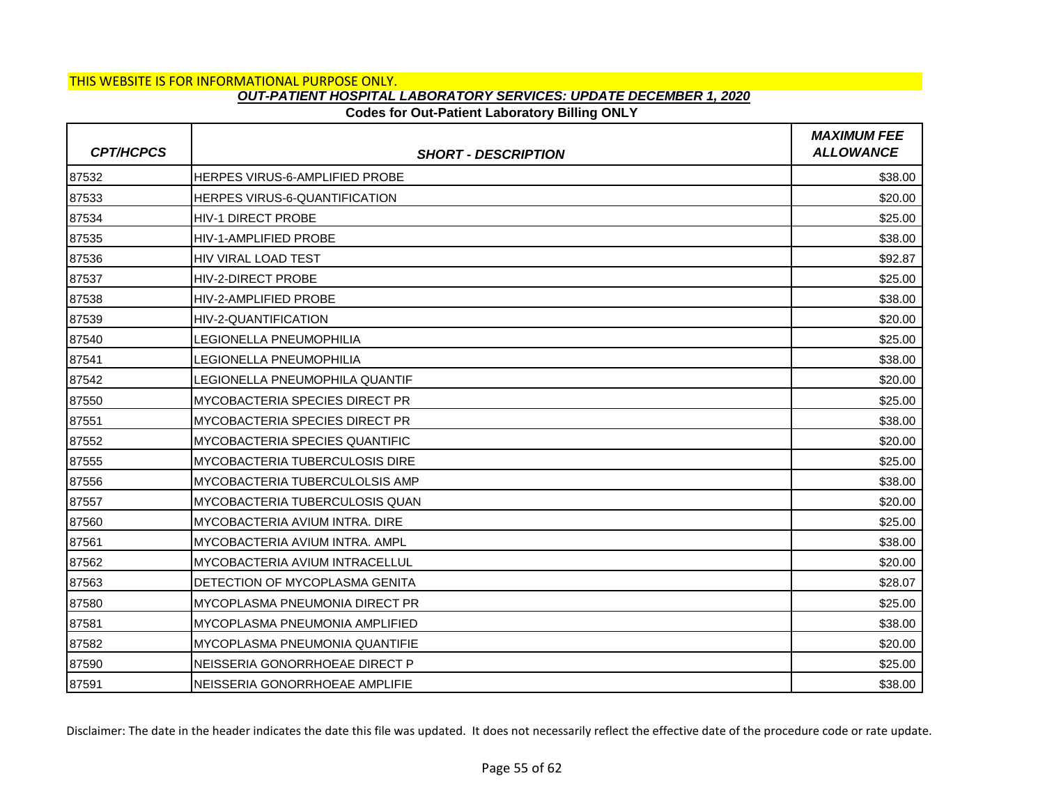## **Codes for Out-Patient Laboratory Billing ONLY**

| <b>CPT/HCPCS</b> | <b>SHORT - DESCRIPTION</b>            | <b>MAXIMUM FEE</b><br><b>ALLOWANCE</b> |
|------------------|---------------------------------------|----------------------------------------|
| 87532            | <b>HERPES VIRUS-6-AMPLIFIED PROBE</b> | \$38.00                                |
| 87533            | HERPES VIRUS-6-QUANTIFICATION         | \$20.00                                |
| 87534            | <b>HIV-1 DIRECT PROBE</b>             | \$25.00                                |
| 87535            | <b>HIV-1-AMPLIFIED PROBE</b>          | \$38.00                                |
| 87536            | <b>HIV VIRAL LOAD TEST</b>            | \$92.87                                |
| 87537            | <b>HIV-2-DIRECT PROBE</b>             | \$25.00                                |
| 87538            | <b>HIV-2-AMPLIFIED PROBE</b>          | \$38.00                                |
| 87539            | HIV-2-QUANTIFICATION                  | \$20.00                                |
| 87540            | <b>LEGIONELLA PNEUMOPHILIA</b>        | \$25.00                                |
| 87541            | <b>LEGIONELLA PNEUMOPHILIA</b>        | \$38.00                                |
| 87542            | LEGIONELLA PNEUMOPHILA QUANTIF        | \$20.00                                |
| 87550            | <b>MYCOBACTERIA SPECIES DIRECT PR</b> | \$25.00                                |
| 87551            | MYCOBACTERIA SPECIES DIRECT PR        | \$38.00                                |
| 87552            | MYCOBACTERIA SPECIES QUANTIFIC        | \$20.00                                |
| 87555            | <b>MYCOBACTERIA TUBERCULOSIS DIRE</b> | \$25.00                                |
| 87556            | MYCOBACTERIA TUBERCULOLSIS AMP        | \$38.00                                |
| 87557            | MYCOBACTERIA TUBERCULOSIS QUAN        | \$20.00                                |
| 87560            | MYCOBACTERIA AVIUM INTRA. DIRE        | \$25.00                                |
| 87561            | MYCOBACTERIA AVIUM INTRA. AMPL        | \$38.00                                |
| 87562            | MYCOBACTERIA AVIUM INTRACELLUL        | \$20.00                                |
| 87563            | DETECTION OF MYCOPLASMA GENITA        | \$28.07                                |
| 87580            | MYCOPLASMA PNEUMONIA DIRECT PR        | \$25.00                                |
| 87581            | MYCOPLASMA PNEUMONIA AMPLIFIED        | \$38.00                                |
| 87582            | <b>MYCOPLASMA PNEUMONIA QUANTIFIE</b> | \$20.00                                |
| 87590            | NEISSERIA GONORRHOEAE DIRECT P        | \$25.00                                |
| 87591            | NEISSERIA GONORRHOEAE AMPLIFIE        | \$38.00                                |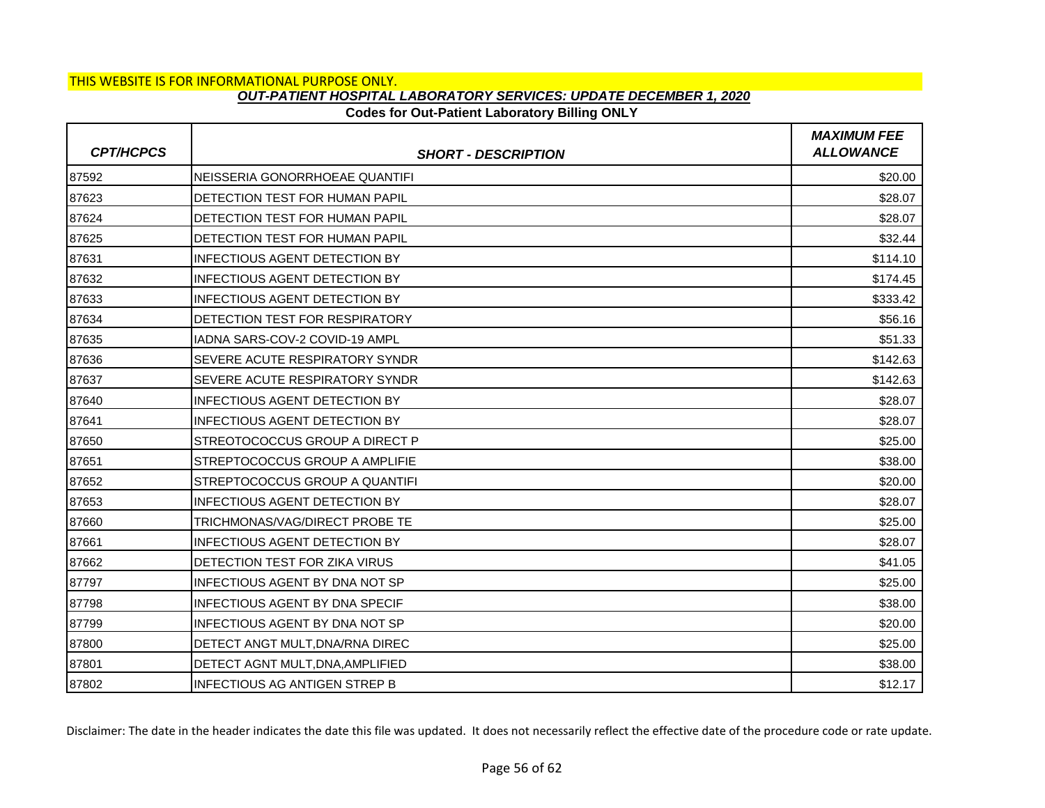## **Codes for Out-Patient Laboratory Billing ONLY**

| <b>CPT/HCPCS</b> | <b>SHORT - DESCRIPTION</b>            | <b>MAXIMUM FEE</b><br><b>ALLOWANCE</b> |
|------------------|---------------------------------------|----------------------------------------|
| 87592            | INEISSERIA GONORRHOEAE QUANTIFI       | \$20.00                                |
| 87623            | DETECTION TEST FOR HUMAN PAPIL        | \$28.07                                |
| 87624            | DETECTION TEST FOR HUMAN PAPIL        | \$28.07                                |
| 87625            | DETECTION TEST FOR HUMAN PAPIL        | \$32.44                                |
| 87631            | <b>INFECTIOUS AGENT DETECTION BY</b>  | \$114.10                               |
| 87632            | <b>INFECTIOUS AGENT DETECTION BY</b>  | \$174.45                               |
| 87633            | <b>INFECTIOUS AGENT DETECTION BY</b>  | \$333.42                               |
| 87634            | DETECTION TEST FOR RESPIRATORY        | \$56.16                                |
| 87635            | IADNA SARS-COV-2 COVID-19 AMPL        | \$51.33                                |
| 87636            | <b>SEVERE ACUTE RESPIRATORY SYNDR</b> | \$142.63                               |
| 87637            | <b>SEVERE ACUTE RESPIRATORY SYNDR</b> | \$142.63                               |
| 87640            | <b>INFECTIOUS AGENT DETECTION BY</b>  | \$28.07                                |
| 87641            | INFECTIOUS AGENT DETECTION BY         | \$28.07                                |
| 87650            | <b>STREOTOCOCCUS GROUP A DIRECT P</b> | \$25.00                                |
| 87651            | <b>STREPTOCOCCUS GROUP A AMPLIFIE</b> | \$38.00                                |
| 87652            | STREPTOCOCCUS GROUP A QUANTIFI        | \$20.00                                |
| 87653            | <b>INFECTIOUS AGENT DETECTION BY</b>  | \$28.07                                |
| 87660            | TRICHMONAS/VAG/DIRECT PROBE TE        | \$25.00                                |
| 87661            | <b>INFECTIOUS AGENT DETECTION BY</b>  | \$28.07                                |
| 87662            | DETECTION TEST FOR ZIKA VIRUS         | \$41.05                                |
| 87797            | IINFECTIOUS AGENT BY DNA NOT SP       | \$25.00                                |
| 87798            | <b>INFECTIOUS AGENT BY DNA SPECIF</b> | \$38.00                                |
| 87799            | <b>INFECTIOUS AGENT BY DNA NOT SP</b> | \$20.00                                |
| 87800            | DETECT ANGT MULT.DNA/RNA DIREC        | \$25.00                                |
| 87801            | DETECT AGNT MULT, DNA, AMPLIFIED      | \$38.00                                |
| 87802            | <b>INFECTIOUS AG ANTIGEN STREP B</b>  | \$12.17                                |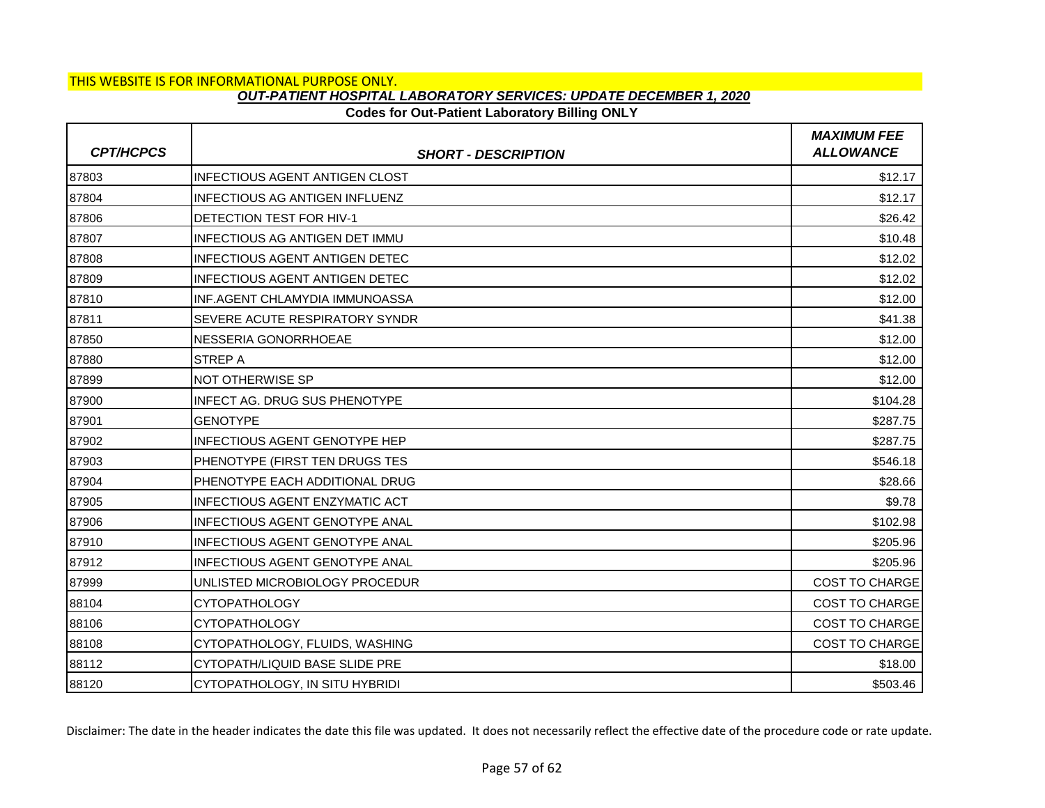### **Codes for Out-Patient Laboratory Billing ONLY**

| <b>CPT/HCPCS</b> | <b>SHORT - DESCRIPTION</b>            | <b>MAXIMUM FEE</b><br><b>ALLOWANCE</b> |
|------------------|---------------------------------------|----------------------------------------|
| 87803            | <b>INFECTIOUS AGENT ANTIGEN CLOST</b> | \$12.17                                |
| 87804            | <b>INFECTIOUS AG ANTIGEN INFLUENZ</b> | \$12.17                                |
| 87806            | <b>DETECTION TEST FOR HIV-1</b>       | \$26.42                                |
| 87807            | <b>INFECTIOUS AG ANTIGEN DET IMMU</b> | \$10.48                                |
| 87808            | <b>INFECTIOUS AGENT ANTIGEN DETEC</b> | \$12.02                                |
| 87809            | <b>INFECTIOUS AGENT ANTIGEN DETEC</b> | \$12.02                                |
| 87810            | INF.AGENT CHLAMYDIA IMMUNOASSA        | \$12.00                                |
| 87811            | SEVERE ACUTE RESPIRATORY SYNDR        | \$41.38                                |
| 87850            | NESSERIA GONORRHOEAE                  | \$12.00                                |
| 87880            | <b>STREP A</b>                        | \$12.00                                |
| 87899            | NOT OTHERWISE SP                      | \$12.00                                |
| 87900            | <b>INFECT AG. DRUG SUS PHENOTYPE</b>  | \$104.28                               |
| 87901            | <b>GENOTYPE</b>                       | \$287.75                               |
| 87902            | <b>INFECTIOUS AGENT GENOTYPE HEP</b>  | \$287.75                               |
| 87903            | PHENOTYPE (FIRST TEN DRUGS TES        | \$546.18                               |
| 87904            | PHENOTYPE EACH ADDITIONAL DRUG        | \$28.66                                |
| 87905            | INFECTIOUS AGENT ENZYMATIC ACT        | \$9.78                                 |
| 87906            | <b>INFECTIOUS AGENT GENOTYPE ANAL</b> | \$102.98                               |
| 87910            | INFECTIOUS AGENT GENOTYPE ANAL        | \$205.96                               |
| 87912            | INFECTIOUS AGENT GENOTYPE ANAL        | \$205.96                               |
| 87999            | UNLISTED MICROBIOLOGY PROCEDUR        | <b>COST TO CHARGE</b>                  |
| 88104            | <b>CYTOPATHOLOGY</b>                  | <b>COST TO CHARGE</b>                  |
| 88106            | <b>CYTOPATHOLOGY</b>                  | <b>COST TO CHARGE</b>                  |
| 88108            | CYTOPATHOLOGY, FLUIDS, WASHING        | <b>COST TO CHARGE</b>                  |
| 88112            | CYTOPATH/LIQUID BASE SLIDE PRE        | \$18.00                                |
| 88120            | CYTOPATHOLOGY, IN SITU HYBRIDI        | \$503.46                               |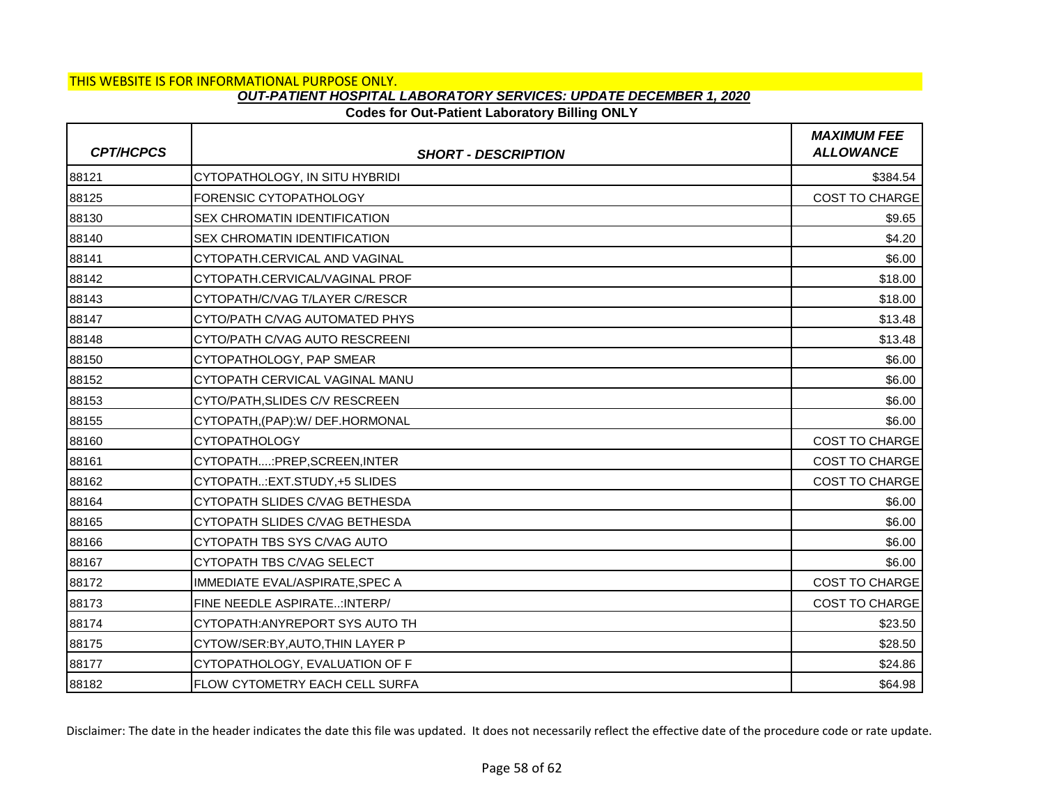## **Codes for Out-Patient Laboratory Billing ONLY**

| <b>CPT/HCPCS</b> | <b>SHORT - DESCRIPTION</b>            | <b>MAXIMUM FEE</b><br><b>ALLOWANCE</b> |
|------------------|---------------------------------------|----------------------------------------|
| 88121            | CYTOPATHOLOGY, IN SITU HYBRIDI        | \$384.54                               |
| 88125            | FORENSIC CYTOPATHOLOGY                | COST TO CHARGE                         |
| 88130            | <b>SEX CHROMATIN IDENTIFICATION</b>   | \$9.65                                 |
| 88140            | <b>SEX CHROMATIN IDENTIFICATION</b>   | \$4.20                                 |
| 88141            | CYTOPATH.CERVICAL AND VAGINAL         | \$6.00                                 |
| 88142            | CYTOPATH.CERVICAL/VAGINAL PROF        | \$18.00                                |
| 88143            | CYTOPATH/C/VAG T/LAYER C/RESCR        | \$18.00                                |
| 88147            | CYTO/PATH C/VAG AUTOMATED PHYS        | \$13.48                                |
| 88148            | CYTO/PATH C/VAG AUTO RESCREENI        | \$13.48                                |
| 88150            | CYTOPATHOLOGY, PAP SMEAR              | \$6.00                                 |
| 88152            | CYTOPATH CERVICAL VAGINAL MANU        | \$6.00                                 |
| 88153            | CYTO/PATH, SLIDES C/V RESCREEN        | \$6.00                                 |
| 88155            | CYTOPATH, (PAP): W/DEF.HORMONAL       | \$6.00                                 |
| 88160            | <b>CYTOPATHOLOGY</b>                  | COST TO CHARGE                         |
| 88161            | CYTOPATH:PREP,SCREEN,INTER            | <b>COST TO CHARGE</b>                  |
| 88162            | CYTOPATH: EXT.STUDY, +5 SLIDES        | COST TO CHARGE                         |
| 88164            | CYTOPATH SLIDES C/VAG BETHESDA        | \$6.00                                 |
| 88165            | CYTOPATH SLIDES C/VAG BETHESDA        | \$6.00                                 |
| 88166            | CYTOPATH TBS SYS C/VAG AUTO           | \$6.00                                 |
| 88167            | CYTOPATH TBS C/VAG SELECT             | \$6.00                                 |
| 88172            | IMMEDIATE EVAL/ASPIRATE, SPEC A       | <b>COST TO CHARGE</b>                  |
| 88173            | FINE NEEDLE ASPIRATE: INTERP/         | COST TO CHARGE                         |
| 88174            | CYTOPATH: ANYREPORT SYS AUTO TH       | \$23.50                                |
| 88175            | CYTOW/SER:BY, AUTO, THIN LAYER P      | \$28.50                                |
| 88177            | CYTOPATHOLOGY, EVALUATION OF F        | \$24.86                                |
| 88182            | <b>FLOW CYTOMETRY EACH CELL SURFA</b> | \$64.98                                |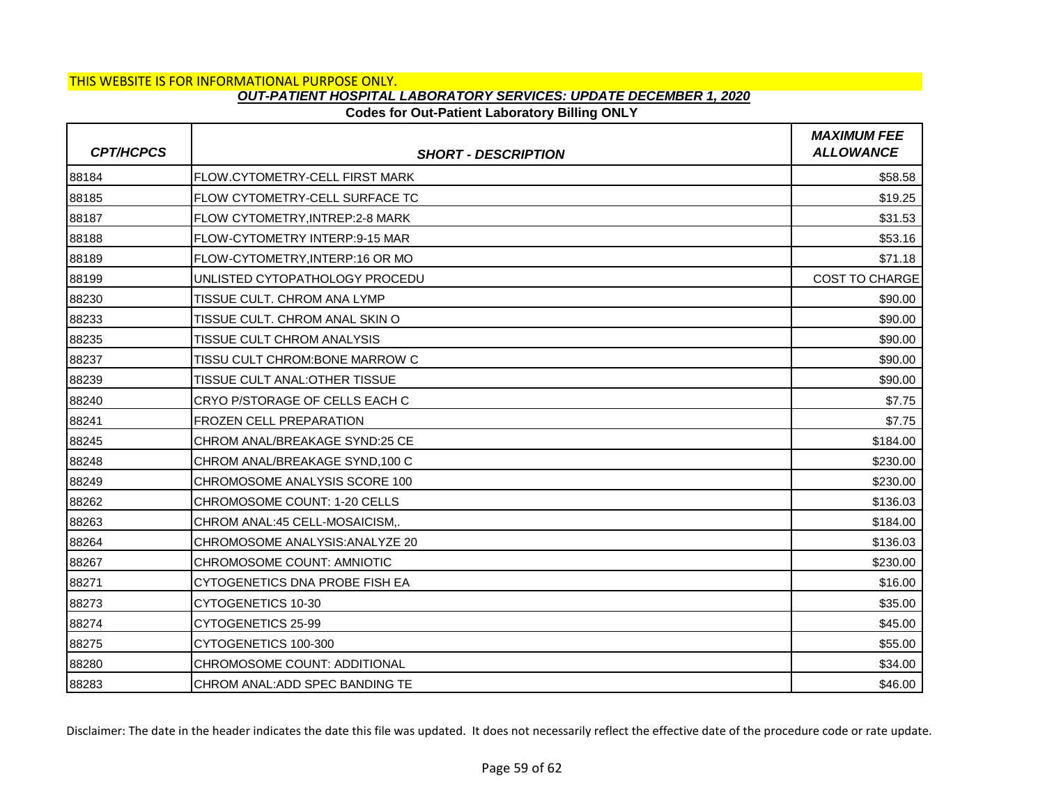## **Codes for Out-Patient Laboratory Billing ONLY**

| <b>CPT/HCPCS</b> | <b>SHORT - DESCRIPTION</b>             | <b>MAXIMUM FEE</b><br><b>ALLOWANCE</b> |
|------------------|----------------------------------------|----------------------------------------|
| 88184            | <b>FLOW.CYTOMETRY-CELL FIRST MARK</b>  | \$58.58                                |
| 88185            | FLOW CYTOMETRY-CELL SURFACE TC         | \$19.25                                |
| 88187            | <b>FLOW CYTOMETRY, INTREP:2-8 MARK</b> | \$31.53                                |
| 88188            | FLOW-CYTOMETRY INTERP:9-15 MAR         | \$53.16                                |
| 88189            | FLOW-CYTOMETRY, INTERP:16 OR MO        | \$71.18                                |
| 88199            | UNLISTED CYTOPATHOLOGY PROCEDU         | <b>COST TO CHARGE</b>                  |
| 88230            | TISSUE CULT. CHROM ANA LYMP            | \$90.00                                |
| 88233            | TISSUE CULT. CHROM ANAL SKIN O         | \$90.00                                |
| 88235            | <b>TISSUE CULT CHROM ANALYSIS</b>      | \$90.00                                |
| 88237            | TISSU CULT CHROM: BONE MARROW C        | \$90.00                                |
| 88239            | TISSUE CULT ANAL: OTHER TISSUE         | \$90.00                                |
| 88240            | <b>CRYO P/STORAGE OF CELLS EACH C</b>  | \$7.75                                 |
| 88241            | <b>FROZEN CELL PREPARATION</b>         | \$7.75                                 |
| 88245            | CHROM ANAL/BREAKAGE SYND:25 CE         | \$184.00                               |
| 88248            | CHROM ANAL/BREAKAGE SYND, 100 C        | \$230.00                               |
| 88249            | CHROMOSOME ANALYSIS SCORE 100          | \$230.00                               |
| 88262            | CHROMOSOME COUNT: 1-20 CELLS           | \$136.03                               |
| 88263            | CHROM ANAL:45 CELL-MOSAICISM           | \$184.00                               |
| 88264            | CHROMOSOME ANALYSIS: ANALYZE 20        | \$136.03                               |
| 88267            | CHROMOSOME COUNT: AMNIOTIC             | \$230.00                               |
| 88271            | CYTOGENETICS DNA PROBE FISH EA         | \$16.00                                |
| 88273            | CYTOGENETICS 10-30                     | \$35.00                                |
| 88274            | CYTOGENETICS 25-99                     | \$45.00                                |
| 88275            | CYTOGENETICS 100-300                   | \$55.00                                |
| 88280            | CHROMOSOME COUNT: ADDITIONAL           | \$34.00                                |
| 88283            | CHROM ANAL: ADD SPEC BANDING TE        | \$46.00                                |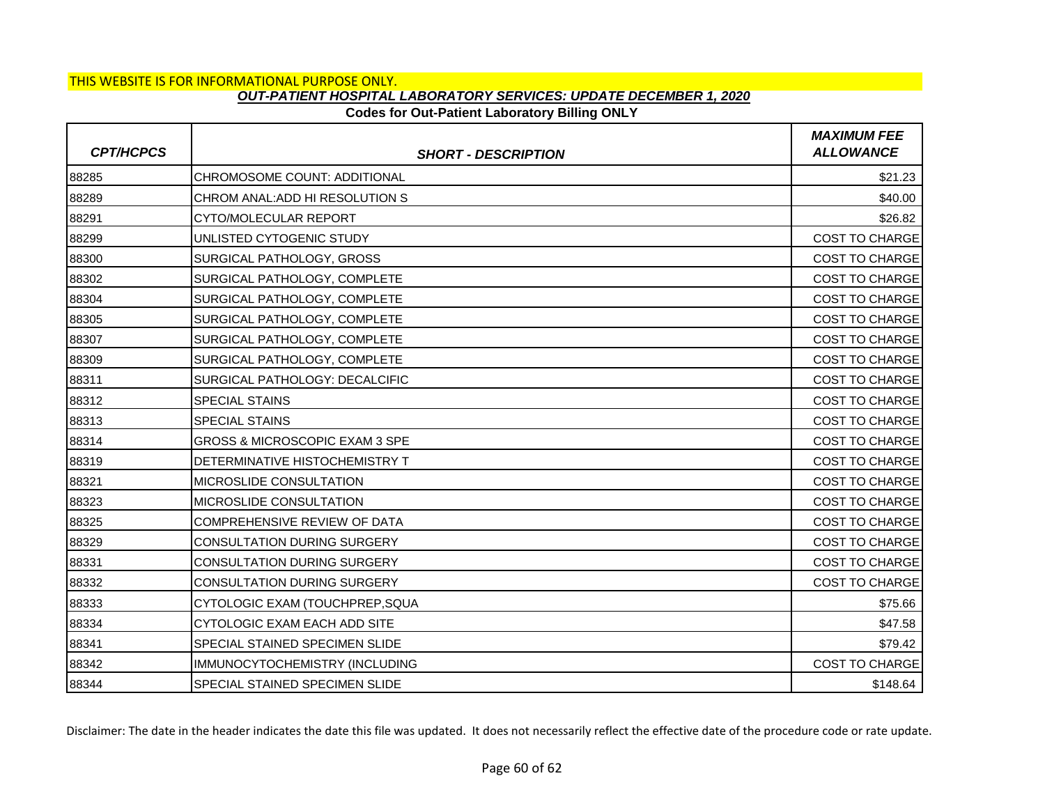### **Codes for Out-Patient Laboratory Billing ONLY**

| <b>CPT/HCPCS</b> | <b>SHORT - DESCRIPTION</b>            | <b>MAXIMUM FEE</b><br><b>ALLOWANCE</b> |
|------------------|---------------------------------------|----------------------------------------|
| 88285            | CHROMOSOME COUNT: ADDITIONAL          | \$21.23                                |
| 88289            | CHROM ANAL: ADD HI RESOLUTION S       | \$40.00                                |
| 88291            | CYTO/MOLECULAR REPORT                 | \$26.82                                |
| 88299            | UNLISTED CYTOGENIC STUDY              | COST TO CHARGE                         |
| 88300            | SURGICAL PATHOLOGY, GROSS             | COST TO CHARGE                         |
| 88302            | SURGICAL PATHOLOGY, COMPLETE          | <b>COST TO CHARGE</b>                  |
| 88304            | SURGICAL PATHOLOGY, COMPLETE          | <b>COST TO CHARGE</b>                  |
| 88305            | SURGICAL PATHOLOGY, COMPLETE          | COST TO CHARGE                         |
| 88307            | SURGICAL PATHOLOGY, COMPLETE          | <b>COST TO CHARGE</b>                  |
| 88309            | SURGICAL PATHOLOGY, COMPLETE          | <b>COST TO CHARGE</b>                  |
| 88311            | SURGICAL PATHOLOGY: DECALCIFIC        | COST TO CHARGE                         |
| 88312            | <b>SPECIAL STAINS</b>                 | <b>COST TO CHARGE</b>                  |
| 88313            | <b>SPECIAL STAINS</b>                 | <b>COST TO CHARGE</b>                  |
| 88314            | GROSS & MICROSCOPIC EXAM 3 SPE        | COST TO CHARGE                         |
| 88319            | DETERMINATIVE HISTOCHEMISTRY T        | <b>COST TO CHARGE</b>                  |
| 88321            | <b>IMICROSLIDE CONSULTATION</b>       | <b>COST TO CHARGE</b>                  |
| 88323            | MICROSLIDE CONSULTATION               | COST TO CHARGE                         |
| 88325            | COMPREHENSIVE REVIEW OF DATA          | <b>COST TO CHARGE</b>                  |
| 88329            | <b>CONSULTATION DURING SURGERY</b>    | <b>COST TO CHARGE</b>                  |
| 88331            | <b>CONSULTATION DURING SURGERY</b>    | COST TO CHARGE                         |
| 88332            | <b>CONSULTATION DURING SURGERY</b>    | <b>COST TO CHARGE</b>                  |
| 88333            | CYTOLOGIC EXAM (TOUCHPREP, SQUA       | \$75.66                                |
| 88334            | CYTOLOGIC EXAM EACH ADD SITE          | \$47.58                                |
| 88341            | SPECIAL STAINED SPECIMEN SLIDE        | \$79.42                                |
| 88342            | IMMUNOCYTOCHEMISTRY (INCLUDING        | <b>COST TO CHARGE</b>                  |
| 88344            | <b>SPECIAL STAINED SPECIMEN SLIDE</b> | \$148.64                               |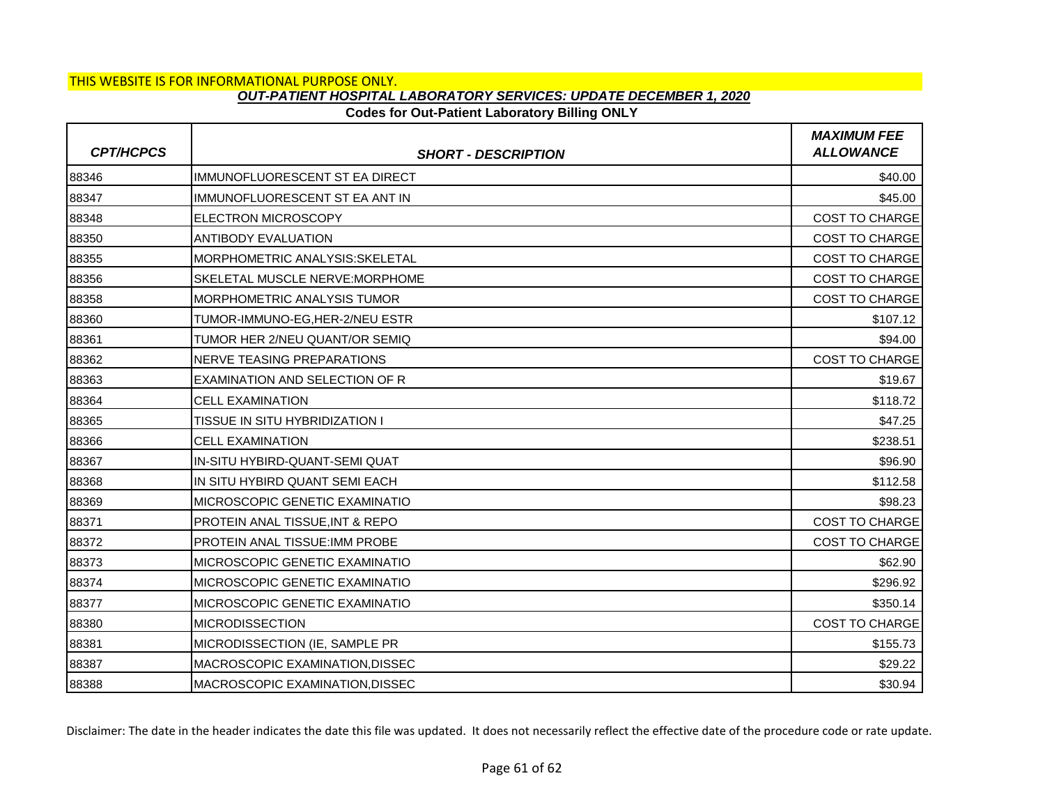# **Codes for Out-Patient Laboratory Billing ONLY**

| <b>CPT/HCPCS</b> | <b>SHORT - DESCRIPTION</b>                | <b>MAXIMUM FEE</b><br><b>ALLOWANCE</b> |
|------------------|-------------------------------------------|----------------------------------------|
| 88346            | IMMUNOFLUORESCENT ST EA DIRECT            | \$40.00                                |
| 88347            | IMMUNOFLUORESCENT ST EA ANT IN            | \$45.00                                |
| 88348            | <b>ELECTRON MICROSCOPY</b>                | <b>COST TO CHARGE</b>                  |
| 88350            | <b>ANTIBODY EVALUATION</b>                | COST TO CHARGE                         |
| 88355            | <b>MORPHOMETRIC ANALYSIS:SKELETAL</b>     | <b>COST TO CHARGE</b>                  |
| 88356            | SKELETAL MUSCLE NERVE: MORPHOME           | <b>COST TO CHARGE</b>                  |
| 88358            | <b>IMORPHOMETRIC ANALYSIS TUMOR</b>       | <b>COST TO CHARGE</b>                  |
| 88360            | TUMOR-IMMUNO-EG, HER-2/NEU ESTR           | \$107.12                               |
| 88361            | TUMOR HER 2/NEU QUANT/OR SEMIQ            | \$94.00                                |
| 88362            | <b>NERVE TEASING PREPARATIONS</b>         | <b>COST TO CHARGE</b>                  |
| 88363            | EXAMINATION AND SELECTION OF R            | \$19.67                                |
| 88364            | <b>CELL EXAMINATION</b>                   | \$118.72                               |
| 88365            | TISSUE IN SITU HYBRIDIZATION I            | \$47.25                                |
| 88366            | <b>CELL EXAMINATION</b>                   | \$238.51                               |
| 88367            | IN-SITU HYBIRD-QUANT-SEMI QUAT            | \$96.90                                |
| 88368            | IN SITU HYBIRD QUANT SEMI EACH            | \$112.58                               |
| 88369            | MICROSCOPIC GENETIC EXAMINATIO            | \$98.23                                |
| 88371            | <b>PROTEIN ANAL TISSUE.INT &amp; REPO</b> | COST TO CHARGE                         |
| 88372            | <b>PROTEIN ANAL TISSUE: IMM PROBE</b>     | <b>COST TO CHARGE</b>                  |
| 88373            | MICROSCOPIC GENETIC EXAMINATIO            | \$62.90                                |
| 88374            | MICROSCOPIC GENETIC EXAMINATIO            | \$296.92                               |
| 88377            | MICROSCOPIC GENETIC EXAMINATIO            | \$350.14                               |
| 88380            | <b>IMICRODISSECTION</b>                   | <b>COST TO CHARGE</b>                  |
| 88381            | MICRODISSECTION (IE, SAMPLE PR            | \$155.73                               |
| 88387            | MACROSCOPIC EXAMINATION, DISSEC           | \$29.22                                |
| 88388            | MACROSCOPIC EXAMINATION, DISSEC           | \$30.94                                |